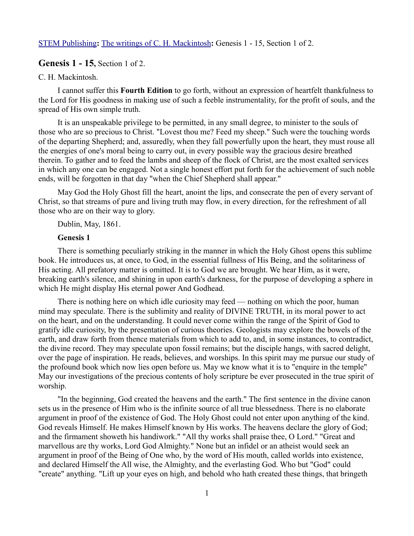[STEM Publishing](http://www.stempublishing.com/)**:** [The writings of C. H. Mackintosh](http://www.stempublishing.com/authors/mackintosh/index.html)**:** Genesis 1 - 15, Section 1 of 2.

## **Genesis 1 - 15,** Section 1 of 2.

### C. H. Mackintosh.

I cannot suffer this **Fourth Edition** to go forth, without an expression of heartfelt thankfulness to the Lord for His goodness in making use of such a feeble instrumentality, for the profit of souls, and the spread of His own simple truth.

It is an unspeakable privilege to be permitted, in any small degree, to minister to the souls of those who are so precious to Christ. "Lovest thou me? Feed my sheep." Such were the touching words of the departing Shepherd; and, assuredly, when they fall powerfully upon the heart, they must rouse all the energies of one's moral being to carry out, in every possible way the gracious desire breathed therein. To gather and to feed the lambs and sheep of the flock of Christ, are the most exalted services in which any one can be engaged. Not a single honest effort put forth for the achievement of such noble ends, will be forgotten in that day "when the Chief Shepherd shall appear."

May God the Holy Ghost fill the heart, anoint the lips, and consecrate the pen of every servant of Christ, so that streams of pure and living truth may flow, in every direction, for the refreshment of all those who are on their way to glory.

Dublin, May, 1861.

#### **Genesis 1**

There is something peculiarly striking in the manner in which the Holy Ghost opens this sublime book. He introduces us, at once, to God, in the essential fullness of His Being, and the solitariness of His acting. All prefatory matter is omitted. It is to God we are brought. We hear Him, as it were, breaking earth's silence, and shining in upon earth's darkness, for the purpose of developing a sphere in which He might display His eternal power And Godhead.

There is nothing here on which idle curiosity may feed — nothing on which the poor, human mind may speculate. There is the sublimity and reality of DIVINE TRUTH, in its moral power to act on the heart, and on the understanding. It could never come within the range of the Spirit of God to gratify idle curiosity, by the presentation of curious theories. Geologists may explore the bowels of the earth, and draw forth from thence materials from which to add to, and, in some instances, to contradict, the divine record. They may speculate upon fossil remains; but the disciple hangs, with sacred delight, over the page of inspiration. He reads, believes, and worships. In this spirit may me pursue our study of the profound book which now lies open before us. May we know what it is to "enquire in the temple" May our investigations of the precious contents of holy scripture be ever prosecuted in the true spirit of worship.

"In the beginning, God created the heavens and the earth." The first sentence in the divine canon sets us in the presence of Him who is the infinite source of all true blessedness. There is no elaborate argument in proof of the existence of God. The Holy Ghost could not enter upon anything of the kind. God reveals Himself. He makes Himself known by His works. The heavens declare the glory of God; and the firmament showeth his handiwork." "All thy works shall praise thee, O Lord." "Great and marvellous are thy works, Lord God Almighty." None but an infidel or an atheist would seek an argument in proof of the Being of One who, by the word of His mouth, called worlds into existence, and declared Himself the All wise, the Almighty, and the everlasting God. Who but "God" could "create" anything. "Lift up your eyes on high, and behold who hath created these things, that bringeth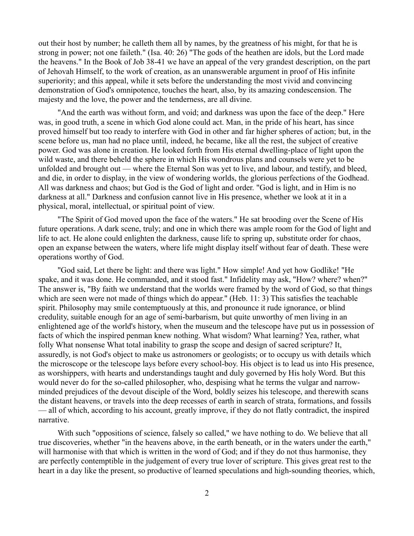out their host by number; he calleth them all by names, by the greatness of his might, for that he is strong in power; not one faileth." (Isa. 40: 26) "The gods of the heathen are idols, but the Lord made the heavens." In the Book of Job 38-41 we have an appeal of the very grandest description, on the part of Jehovah Himself, to the work of creation, as an unanswerable argument in proof of His infinite superiority; and this appeal, while it sets before the understanding the most vivid and convincing demonstration of God's omnipotence, touches the heart, also, by its amazing condescension. The majesty and the love, the power and the tenderness, are all divine.

"And the earth was without form, and void; and darkness was upon the face of the deep." Here was, in good truth, a scene in which God alone could act. Man, in the pride of his heart, has since proved himself but too ready to interfere with God in other and far higher spheres of action; but, in the scene before us, man had no place until, indeed, he became, like all the rest, the subject of creative power. God was alone in creation. He looked forth from His eternal dwelling-place of light upon the wild waste, and there beheld the sphere in which His wondrous plans and counsels were yet to be unfolded and brought out — where the Eternal Son was yet to live, and labour, and testify, and bleed, and die, in order to display, in the view of wondering worlds, the glorious perfections of the Godhead. All was darkness and chaos; but God is the God of light and order. "God is light, and in Him is no darkness at all." Darkness and confusion cannot live in His presence, whether we look at it in a physical, moral, intellectual, or spiritual point of view.

"The Spirit of God moved upon the face of the waters." He sat brooding over the Scene of His future operations. A dark scene, truly; and one in which there was ample room for the God of light and life to act. He alone could enlighten the darkness, cause life to spring up, substitute order for chaos, open an expanse between the waters, where life might display itself without fear of death. These were operations worthy of God.

"God said, Let there be light: and there was light." How simple! And yet how Godlike! "He spake, and it was done. He commanded, and it stood fast." Infidelity may ask, "How? where? when?" The answer is, "By faith we understand that the worlds were framed by the word of God, so that things which are seen were not made of things which do appear." (Heb. 11: 3) This satisfies the teachable spirit. Philosophy may smile contemptuously at this, and pronounce it rude ignorance, or blind credulity, suitable enough for an age of semi-barbarism, but quite unworthy of men living in an enlightened age of the world's history, when the museum and the telescope have put us in possession of facts of which the inspired penman knew nothing. What wisdom? What learning? Yea, rather, what folly What nonsense What total inability to grasp the scope and design of sacred scripture? It, assuredly, is not God's object to make us astronomers or geologists; or to occupy us with details which the microscope or the telescope lays before every school-boy. His object is to lead us into His presence, as worshippers, with hearts and understandings taught and duly governed by His holy Word. But this would never do for the so-called philosopher, who, despising what he terms the vulgar and narrowminded prejudices of the devout disciple of the Word, boldly seizes his telescope, and therewith scans the distant heavens, or travels into the deep recesses of earth in search of strata, formations, and fossils — all of which, according to his account, greatly improve, if they do not flatly contradict, the inspired narrative.

With such "oppositions of science, falsely so called," we have nothing to do. We believe that all true discoveries, whether "in the heavens above, in the earth beneath, or in the waters under the earth," will harmonise with that which is written in the word of God; and if they do not thus harmonise, they are perfectly contemptible in the judgement of every true lover of scripture. This gives great rest to the heart in a day like the present, so productive of learned speculations and high-sounding theories, which,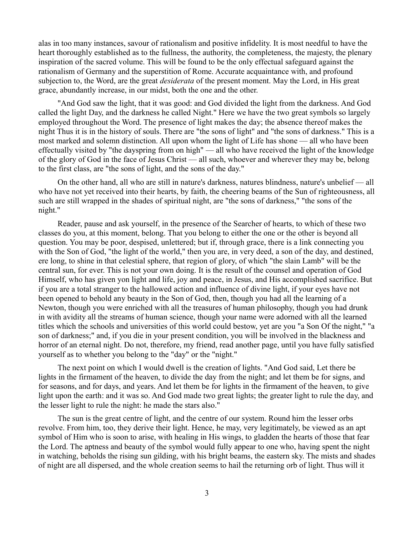alas in too many instances, savour of rationalism and positive infidelity. It is most needful to have the heart thoroughly established as to the fullness, the authority, the completeness, the majesty, the plenary inspiration of the sacred volume. This will be found to be the only effectual safeguard against the rationalism of Germany and the superstition of Rome. Accurate acquaintance with, and profound subjection to, the Word, are the great *desiderata* of the present moment. May the Lord, in His great grace, abundantly increase, in our midst, both the one and the other.

"And God saw the light, that it was good: and God divided the light from the darkness. And God called the light Day, and the darkness he called Night." Here we have the two great symbols so largely employed throughout the Word. The presence of light makes the day; the absence thereof makes the night Thus it is in the history of souls. There are "the sons of light" and "the sons of darkness." This is a most marked and solemn distinction. All upon whom the light of Life has shone — all who have been effectually visited by "the dayspring from on high" — all who have received the light of the knowledge of the glory of God in the face of Jesus Christ — all such, whoever and wherever they may be, belong to the first class, are "the sons of light, and the sons of the day."

On the other hand, all who are still in nature's darkness, natures blindness, nature's unbelief — all who have not yet received into their hearts, by faith, the cheering beams of the Sun of righteousness, all such are still wrapped in the shades of spiritual night, are "the sons of darkness," "the sons of the night."

Reader, pause and ask yourself, in the presence of the Searcher of hearts, to which of these two classes do you, at this moment, belong. That you belong to either the one or the other is beyond all question. You may be poor, despised, unlettered; but if, through grace, there is a link connecting you with the Son of God, "the light of the world," then you are, in very deed, a son of the day, and destined, ere long, to shine in that celestial sphere, that region of glory, of which "the slain Lamb" will be the central sun, for ever. This is not your own doing. It is the result of the counsel and operation of God Himself, who has given yon light and life, joy and peace, in Jesus, and His accomplished sacrifice. But if you are a total stranger to the hallowed action and influence of divine light, if your eyes have not been opened to behold any beauty in the Son of God, then, though you had all the learning of a Newton, though you were enriched with all the treasures of human philosophy, though you had drunk in with avidity all the streams of human science, though your name were adorned with all the learned titles which the schools and universities of this world could bestow, yet are you "a Son Of the night," "a son of darkness;" and, if you die in your present condition, you will be involved in the blackness and horror of an eternal night. Do not, therefore, my friend, read another page, until you have fully satisfied yourself as to whether you belong to the "day" or the "night."

The next point on which I would dwell is the creation of lights. "And God said, Let there be lights in the firmament of the heaven, to divide the day from the night; and let them be for signs, and for seasons, and for days, and years. And let them be for lights in the firmament of the heaven, to give light upon the earth: and it was so. And God made two great lights; the greater light to rule the day, and the lesser light to rule the night: he made the stars also."

The sun is the great centre of light, and the centre of our system. Round him the lesser orbs revolve. From him, too, they derive their light. Hence, he may, very legitimately, be viewed as an apt symbol of Him who is soon to arise, with healing in His wings, to gladden the hearts of those that fear the Lord. The aptness and beauty of the symbol would fully appear to one who, having spent the night in watching, beholds the rising sun gilding, with his bright beams, the eastern sky. The mists and shades of night are all dispersed, and the whole creation seems to hail the returning orb of light. Thus will it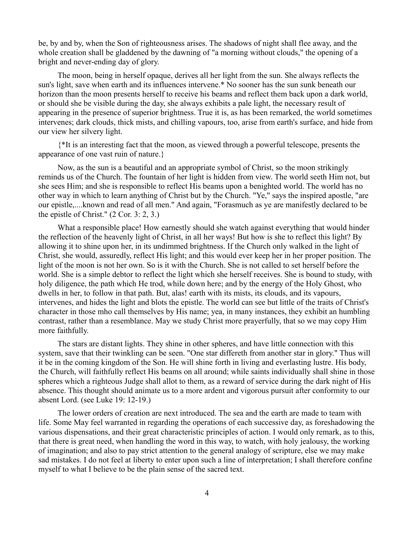be, by and by, when the Son of righteousness arises. The shadows of night shall flee away, and the whole creation shall be gladdened by the dawning of "a morning without clouds," the opening of a bright and never-ending day of glory.

The moon, being in herself opaque, derives all her light from the sun. She always reflects the sun's light, save when earth and its influences intervene.\* No sooner has the sun sunk beneath our horizon than the moon presents herself to receive his beams and reflect them back upon a dark world, or should she be visible during the day, she always exhibits a pale light, the necessary result of appearing in the presence of superior brightness. True it is, as has been remarked, the world sometimes intervenes; dark clouds, thick mists, and chilling vapours, too, arise from earth's surface, and hide from our view her silvery light.

{\*It is an interesting fact that the moon, as viewed through a powerful telescope, presents the appearance of one vast ruin of nature.}

Now, as the sun is a beautiful and an appropriate symbol of Christ, so the moon strikingly reminds us of the Church. The fountain of her light is hidden from view. The world seeth Him not, but she sees Him; and she is responsible to reflect His beams upon a benighted world. The world has no other way in which to learn anything of Christ but by the Church. "Ye," says the inspired apostle, "are our epistle,....known and read of all men." And again, "Forasmuch as ye are manifestly declared to be the epistle of Christ." (2 Cor. 3: 2, 3.)

What a responsible place! How earnestly should she watch against everything that would hinder the reflection of the heavenly light of Christ, in all her ways! But how is she to reflect this light? By allowing it to shine upon her, in its undimmed brightness. If the Church only walked in the light of Christ, she would, assuredly, reflect His light; and this would ever keep her in her proper position. The light of the moon is not her own. So is it with the Church. She is not called to set herself before the world. She is a simple debtor to reflect the light which she herself receives. She is bound to study, with holy diligence, the path which He trod, while down here; and by the energy of the Holy Ghost, who dwells in her, to follow in that path. But, alas! earth with its mists, its clouds, and its vapours, intervenes, and hides the light and blots the epistle. The world can see but little of the traits of Christ's character in those mho call themselves by His name; yea, in many instances, they exhibit an humbling contrast, rather than a resemblance. May we study Christ more prayerfully, that so we may copy Him more faithfully.

The stars are distant lights. They shine in other spheres, and have little connection with this system, save that their twinkling can be seen. "One star differeth from another star in glory." Thus will it be in the coming kingdom of the Son. He will shine forth in living and everlasting lustre. His body, the Church, will faithfully reflect His beams on all around; while saints individually shall shine in those spheres which a righteous Judge shall allot to them, as a reward of service during the dark night of His absence. This thought should animate us to a more ardent and vigorous pursuit after conformity to our absent Lord. (see Luke 19: 12-19.)

The lower orders of creation are next introduced. The sea and the earth are made to team with life. Some May feel warranted in regarding the operations of each successive day, as foreshadowing the various dispensations, and their great characteristic principles of action. I would only remark, as to this, that there is great need, when handling the word in this way, to watch, with holy jealousy, the working of imagination; and also to pay strict attention to the general analogy of scripture, else we may make sad mistakes. I do not feel at liberty to enter upon such a line of interpretation; I shall therefore confine myself to what I believe to be the plain sense of the sacred text.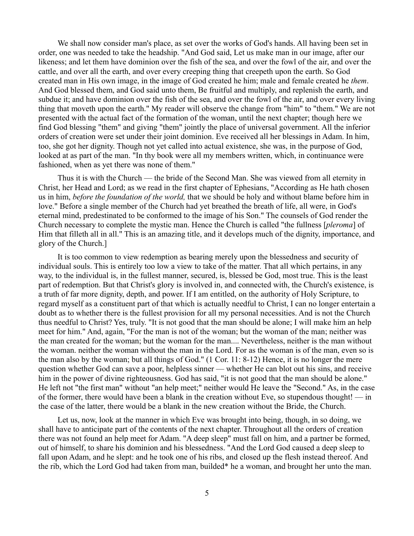We shall now consider man's place, as set over the works of God's hands. All having been set in order, one was needed to take the headship. "And God said, Let us make man in our image, after our likeness; and let them have dominion over the fish of the sea, and over the fowl of the air, and over the cattle, and over all the earth, and over every creeping thing that creepeth upon the earth. So God created man in His own image, in the image of God created he him; male and female created he *them*. And God blessed them, and God said unto them, Be fruitful and multiply, and replenish the earth, and subdue it; and have dominion over the fish of the sea, and over the fowl of the air, and over every living thing that moveth upon the earth." My reader will observe the change from "him" to "them." We are not presented with the actual fact of the formation of the woman, until the next chapter; though here we find God blessing "them" and giving "them" jointly the place of universal government. All the inferior orders of creation were set under their joint dominion. Eve received all her blessings in Adam. In him, too, she got her dignity. Though not yet called into actual existence, she was, in the purpose of God, looked at as part of the man. "In thy book were all my members written, which, in continuance were fashioned, when as yet there was none of them."

Thus it is with the Church — the bride of the Second Man. She was viewed from all eternity in Christ, her Head and Lord; as we read in the first chapter of Ephesians, "According as He hath chosen us in him, *before the foundation of the world,* that we should be holy and without blame before him in love." Before a single member of the Church had yet breathed the breath of life, all were, in God's eternal mind, predestinated to be conformed to the image of his Son." The counsels of God render the Church necessary to complete the mystic man. Hence the Church is called "the fullness [*pleroma*] of Him that filleth all in all." This is an amazing title, and it develops much of the dignity, importance, and glory of the Church.]

It is too common to view redemption as bearing merely upon the blessedness and security of individual souls. This is entirely too low a view to take of the matter. That all which pertains, in any way, to the individual is, in the fullest manner, secured, is, blessed be God, most true. This is the least part of redemption. But that Christ's glory is involved in, and connected with, the Church's existence, is a truth of far more dignity, depth, and power. If I am entitled, on the authority of Holy Scripture, to regard myself as a constituent part of that which is actually needful to Christ, I can no longer entertain a doubt as to whether there is the fullest provision for all my personal necessities. And is not the Church thus needful to Christ? Yes, truly. "It is not good that the man should be alone; I will make him an help meet for him." And, again, "For the man is not of the woman; but the woman of the man; neither was the man created for the woman; but the woman for the man.... Nevertheless, neither is the man without the woman. neither the woman without the man in the Lord. For as the woman is of the man, even so is the man also by the woman; but all things of God." (1 Cor. 11: 8-12) Hence, it is no longer the mere question whether God can save a poor, helpless sinner — whether He can blot out his sins, and receive him in the power of divine righteousness. God has said, "it is not good that the man should be alone." He left not "the first man" without "an help meet;" neither would He leave the "Second." As, in the case of the former, there would have been a blank in the creation without Eve, so stupendous thought! — in the case of the latter, there would be a blank in the new creation without the Bride, the Church.

Let us, now, look at the manner in which Eve was brought into being, though, in so doing, we shall have to anticipate part of the contents of the next chapter. Throughout all the orders of creation there was not found an help meet for Adam. "A deep sleep" must fall on him, and a partner be formed, out of himself, to share his dominion and his blessedness. "And the Lord God caused a deep sleep to fall upon Adam, and he slept: and he took one of his ribs, and closed up the flesh instead thereof. And the rib, which the Lord God had taken from man, builded\* he a woman, and brought her unto the man.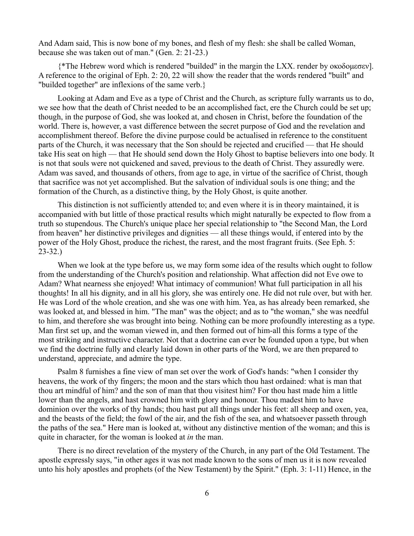And Adam said, This is now bone of my bones, and flesh of my flesh: she shall be called Woman, because she was taken out of man." (Gen. 2: 21-23.)

{\*The Hebrew word which is rendered "builded" in the margin the LXX. render by οκοδομεσεν]. A reference to the original of Eph. 2: 20, 22 will show the reader that the words rendered "built" and "builded together" are inflexions of the same verb.}

Looking at Adam and Eve as a type of Christ and the Church, as scripture fully warrants us to do, we see how that the death of Christ needed to be an accomplished fact, ere the Church could be set up; though, in the purpose of God, she was looked at, and chosen in Christ, before the foundation of the world. There is, however, a vast difference between the secret purpose of God and the revelation and accomplishment thereof. Before the divine purpose could be actualised in reference to the constituent parts of the Church, it was necessary that the Son should be rejected and crucified — that He should take His seat on high — that He should send down the Holy Ghost to baptise believers into one body. It is not that souls were not quickened and saved, previous to the death of Christ. They assuredly were. Adam was saved, and thousands of others, from age to age, in virtue of the sacrifice of Christ, though that sacrifice was not yet accomplished. But the salvation of individual souls is one thing; and the formation of the Church, as a distinctive thing, by the Holy Ghost, is quite another.

This distinction is not sufficiently attended to; and even where it is in theory maintained, it is accompanied with but little of those practical results which might naturally be expected to flow from a truth so stupendous. The Church's unique place her special relationship to "the Second Man, the Lord from heaven" her distinctive privileges and dignities — all these things would, if entered into by the power of the Holy Ghost, produce the richest, the rarest, and the most fragrant fruits. (See Eph. 5: 23-32.)

When we look at the type before us, we may form some idea of the results which ought to follow from the understanding of the Church's position and relationship. What affection did not Eve owe to Adam? What nearness she enjoyed! What intimacy of communion! What full participation in all his thoughts! In all his dignity, and in all his glory, she was entirely one. He did not rule over, but with her. He was Lord of the whole creation, and she was one with him. Yea, as has already been remarked, she was looked at, and blessed in him. "The man" was the object; and as to "the woman," she was needful to him, and therefore she was brought into being. Nothing can be more profoundly interesting as a type. Man first set up, and the woman viewed in, and then formed out of him-all this forms a type of the most striking and instructive character. Not that a doctrine can ever be founded upon a type, but when we find the doctrine fully and clearly laid down in other parts of the Word, we are then prepared to understand, appreciate, and admire the type.

Psalm 8 furnishes a fine view of man set over the work of God's hands: "when I consider thy heavens, the work of thy fingers; the moon and the stars which thou hast ordained: what is man that thou art mindful of him? and the son of man that thou visitest him? For thou hast made him a little lower than the angels, and hast crowned him with glory and honour. Thou madest him to have dominion over the works of thy hands; thou hast put all things under his feet: all sheep and oxen, yea, and the beasts of the field; the fowl of the air, and the fish of the sea, and whatsoever passeth through the paths of the sea." Here man is looked at, without any distinctive mention of the woman; and this is quite in character, for the woman is looked at *in* the man.

There is no direct revelation of the mystery of the Church, in any part of the Old Testament. The apostle expressly says, "in other ages it was not made known to the sons of men us it is now revealed unto his holy apostles and prophets (of the New Testament) by the Spirit." (Eph. 3: 1-11) Hence, in the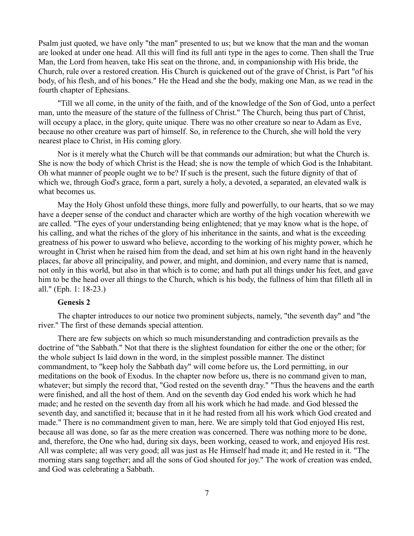Psalm just quoted, we have only "the man" presented to us; but we know that the man and the woman are looked at under one head. All this will find its full anti type in the ages to come. Then shall the True Man, the Lord from heaven, take His seat on the throne, and, in companionship with His bride, the Church, rule over a restored creation. His Church is quickened out of the grave of Christ, is Part "of his body, of his flesh, and of his bones." He the Head and she the body, making one Man, as we read in the fourth chapter of Ephesians.

"Till we all come, in the unity of the faith, and of the knowledge of the Son of God, unto a perfect man, unto the measure of the stature of the fullness of Christ." The Church, being thus part of Christ, will occupy a place, in the glory, quite unique. There was no other creature so near to Adam as Eve, because no other creature was part of himself. So, in reference to the Church, she will hold the very nearest place to Christ, in His coming glory.

Nor is it merely what the Church will be that commands our admiration; but what the Church is. She is now the body of which Christ is the Head; she is now the temple of which God is the Inhabitant. Oh what manner of people ought we to be? If such is the present, such the future dignity of that of which we, through God's grace, form a part, surely a holy, a devoted, a separated, an elevated walk is what becomes us.

May the Holy Ghost unfold these things, more fully and powerfully, to our hearts, that so we may have a deeper sense of the conduct and character which are worthy of the high vocation wherewith we are called. "The eyes of your understanding being enlightened; that ye may know what is the hope, of his calling, and what the riches of the glory of his inheritance in the saints, and what is the exceeding greatness of his power to usward who believe, according to the working of his mighty power, which he wrought in Christ when he raised him from the dead, and set him at his own right hand in the heavenly places, far above all principality, and power, and might, and dominion, and every name that is named, not only in this world, but also in that which is to come; and hath put all things under his feet, and gave him to be the head over all things to the Church, which is his body, the fullness of him that filleth all in all." (Eph. 1: 18-23.)

# **Genesis 2**

The chapter introduces to our notice two prominent subjects, namely, "the seventh day" and "the river." The first of these demands special attention.

There are few subjects on which so much misunderstanding and contradiction prevails as the doctrine of "the Sabbath." Not that there is the slightest foundation for either the one or the other; for the whole subject Is laid down in the word, in the simplest possible manner. The distinct commandment, to "keep holy the Sabbath day" will come before us, the Lord permitting, in our meditations on the book of Exodus. In the chapter now before us, there is no command given to man, whatever; but simply the record that, "God rested on the seventh dray." "Thus the heavens and the earth were finished, and all the host of them. And on the seventh day God ended his work which he had made; and he rested on the seventh day from all his work which he had made. and God blessed the seventh day, and sanctified it; because that in it he had rested from all his work which God created and made." There is no commandment given to man, here. We are simply told that God enjoyed His rest, because all was done, so far as the mere creation was concerned. There was nothing more to be done, and, therefore, the One who had, during six days, been working, ceased to work, and enjoyed His rest. All was complete; all was very good; all was just as He Himself had made it; and He rested in it. "The morning stars sang together; and all the sons of God shouted for joy." The work of creation was ended, and God was celebrating a Sabbath.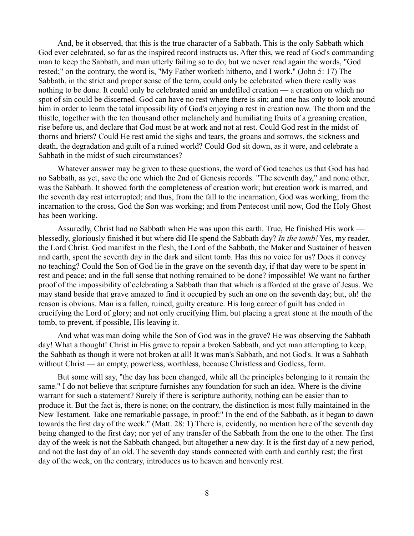And, be it observed, that this is the true character of a Sabbath. This is the only Sabbath which God ever celebrated, so far as the inspired record instructs us. After this, we read of God's commanding man to keep the Sabbath, and man utterly failing so to do; but we never read again the words, "God rested;" on the contrary, the word is, "My Father worketh hitherto, and I work." (John 5: 17) The Sabbath, in the strict and proper sense of the term, could only be celebrated when there really was nothing to be done. It could only be celebrated amid an undefiled creation — a creation on which no spot of sin could be discerned. God can have no rest where there is sin; and one has only to look around him in order to learn the total impossibility of God's enjoying a rest in creation now. The thorn and the thistle, together with the ten thousand other melancholy and humiliating fruits of a groaning creation, rise before us, and declare that God must be at work and not at rest. Could God rest in the midst of thorns and briers? Could He rest amid the sighs and tears, the groans and sorrows, the sickness and death, the degradation and guilt of a ruined world? Could God sit down, as it were, and celebrate a Sabbath in the midst of such circumstances?

Whatever answer may be given to these questions, the word of God teaches us that God has had no Sabbath, as yet, save the one which the 2nd of Genesis records. "The seventh day," and none other, was the Sabbath. It showed forth the completeness of creation work; but creation work is marred, and the seventh day rest interrupted; and thus, from the fall to the incarnation, God was working; from the incarnation to the cross, God the Son was working; and from Pentecost until now, God the Holy Ghost has been working.

Assuredly, Christ had no Sabbath when He was upon this earth. True, He finished His work blessedly, gloriously finished it but where did He spend the Sabbath day? *In the tomb!* Yes, my reader, the Lord Christ. God manifest in the flesh, the Lord of the Sabbath, the Maker and Sustainer of heaven and earth, spent the seventh day in the dark and silent tomb. Has this no voice for us? Does it convey no teaching? Could the Son of God lie in the grave on the seventh day, if that day were to be spent in rest and peace; and in the full sense that nothing remained to be done? impossible! We want no farther proof of the impossibility of celebrating a Sabbath than that which is afforded at the grave of Jesus. We may stand beside that grave amazed to find it occupied by such an one on the seventh day; but, oh! the reason is obvious. Man is a fallen, ruined, guilty creature. His long career of guilt has ended in crucifying the Lord of glory; and not only crucifying Him, but placing a great stone at the mouth of the tomb, to prevent, if possible, His leaving it.

And what was man doing while the Son of God was in the grave? He was observing the Sabbath day! What a thought! Christ in His grave to repair a broken Sabbath, and yet man attempting to keep, the Sabbath as though it were not broken at all! It was man's Sabbath, and not God's. It was a Sabbath without Christ — an empty, powerless, worthless, because Christless and Godless, form.

But some will say, "the day has been changed, while all the principles belonging to it remain the same." I do not believe that scripture furnishes any foundation for such an idea. Where is the divine warrant for such a statement? Surely if there is scripture authority, nothing can be easier than to produce it. But the fact is, there is none; on the contrary, the distinction is most fully maintained in the New Testament. Take one remarkable passage, in proof:" In the end of the Sabbath, as it began to dawn towards the first day of the week." (Matt. 28: 1) There is, evidently, no mention here of the seventh day being changed to the first day; nor yet of any transfer of the Sabbath from the one to the other. The first day of the week is not the Sabbath changed, but altogether a new day. It is the first day of a new period, and not the last day of an old. The seventh day stands connected with earth and earthly rest; the first day of the week, on the contrary, introduces us to heaven and heavenly rest.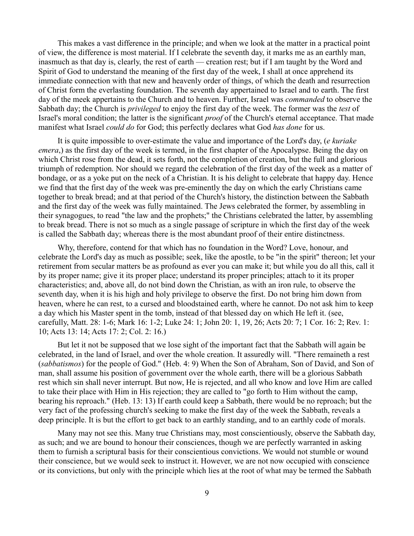This makes a vast difference in the principle; and when we look at the matter in a practical point of view, the difference is most material. If I celebrate the seventh day, it marks me as an earthly man, inasmuch as that day is, clearly, the rest of earth — creation rest; but if I am taught by the Word and Spirit of God to understand the meaning of the first day of the week, I shall at once apprehend its immediate connection with that new and heavenly order of things, of which the death and resurrection of Christ form the everlasting foundation. The seventh day appertained to Israel and to earth. The first day of the meek appertains to the Church and to heaven. Further, Israel was *commanded* to observe the Sabbath day; the Church is *privileged* to enjoy the first day of the week. The former was the *test* of Israel's moral condition; the latter is the significant *proof* of the Church's eternal acceptance. That made manifest what Israel *could do* for God; this perfectly declares what God *has done* for us.

It is quite impossible to over-estimate the value and importance of the Lord's day, (*e kuriake emera*,) as the first day of the week is termed, in the first chapter of the Apocalypse. Being the day on which Christ rose from the dead, it sets forth, not the completion of creation, but the full and glorious triumph of redemption. Nor should we regard the celebration of the first day of the week as a matter of bondage, or as a yoke put on the neck of a Christian. It is his delight to celebrate that happy day. Hence we find that the first day of the week was pre-eminently the day on which the early Christians came together to break bread; and at that period of the Church's history, the distinction between the Sabbath and the first day of the week was fully maintained. The Jews celebrated the former, by assembling in their synagogues, to read "the law and the prophets;" the Christians celebrated the latter, by assembling to break bread. There is not so much as a single passage of scripture in which the first day of the week is called the Sabbath day; whereas there is the most abundant proof of their entire distinctness.

Why, therefore, contend for that which has no foundation in the Word? Love, honour, and celebrate the Lord's day as much as possible; seek, like the apostle, to be "in the spirit" thereon; let your retirement from secular matters be as profound as ever you can make it; but while you do all this, call it by its proper name; give it its proper place; understand its proper principles; attach to it its proper characteristics; and, above all, do not bind down the Christian, as with an iron rule, to observe the seventh day, when it is his high and holy privilege to observe the first. Do not bring him down from heaven, where he can rest, to a cursed and bloodstained earth, where he cannot. Do not ask him to keep a day which his Master spent in the tomb, instead of that blessed day on which He left it. (see, carefully, Matt. 28: 1-6; Mark 16: 1-2; Luke 24: 1; John 20: 1, 19, 26; Acts 20: 7; 1 Cor. 16: 2; Rev. 1: 10; Acts 13: 14; Acts 17: 2; Col. 2: 16.)

But let it not be supposed that we lose sight of the important fact that the Sabbath will again be celebrated, in the land of Israel, and over the whole creation. It assuredly will. "There remaineth a rest (*sabbatismos*) for the people of God." (Heb. 4: 9) When the Son of Abraham, Son of David, and Son of man, shall assume his position of government over the whole earth, there will be a glorious Sabbath rest which sin shall never interrupt. But now, He is rejected, and all who know and love Him are called to take their place with Him in His rejection; they are called to "go forth to Him without the camp, bearing his reproach." (Heb. 13: 13) If earth could keep a Sabbath, there would be no reproach; but the very fact of the professing church's seeking to make the first day of the week the Sabbath, reveals a deep principle. It is but the effort to get back to an earthly standing, and to an earthly code of morals.

Many may not see this. Many true Christians may, most conscientiously, observe the Sabbath day, as such; and we are bound to honour their consciences, though we are perfectly warranted in asking them to furnish a scriptural basis for their conscientious convictions. We would not stumble or wound their conscience, but we would seek to instruct it. However, we are not now occupied with conscience or its convictions, but only with the principle which lies at the root of what may be termed the Sabbath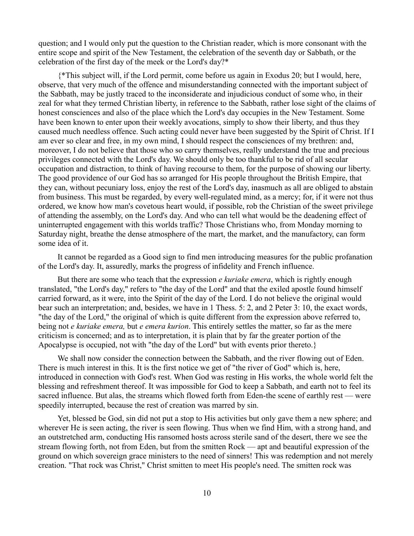question; and I would only put the question to the Christian reader, which is more consonant with the entire scope and spirit of the New Testament, the celebration of the seventh day or Sabbath, or the celebration of the first day of the meek or the Lord's day?\*

{\*This subject will, if the Lord permit, come before us again in Exodus 20; but I would, here, observe, that very much of the offence and misunderstanding connected with the important subject of the Sabbath, may be justly traced to the inconsiderate and injudicious conduct of some who, in their zeal for what they termed Christian liberty, in reference to the Sabbath, rather lose sight of the claims of honest consciences and also of the place which the Lord's day occupies in the New Testament. Some have been known to enter upon their weekly avocations, simply to show their liberty, and thus they caused much needless offence. Such acting could never have been suggested by the Spirit of Christ. If I am ever so clear and free, in my own mind, I should respect the consciences of my brethren: and, moreover, I do not believe that those who so carry themselves, really understand the true and precious privileges connected with the Lord's day. We should only be too thankful to be rid of all secular occupation and distraction, to think of having recourse to them, for the purpose of showing our liberty. The good providence of our God has so arranged for His people throughout the British Empire, that they can, without pecuniary loss, enjoy the rest of the Lord's day, inasmuch as all are obliged to abstain from business. This must be regarded, by every well-regulated mind, as a mercy; for, if it were not thus ordered, we know how man's covetous heart would, if possible, rob the Christian of the sweet privilege of attending the assembly, on the Lord's day. And who can tell what would be the deadening effect of uninterrupted engagement with this worlds traffic? Those Christians who, from Monday morning to Saturday night, breathe the dense atmosphere of the mart, the market, and the manufactory, can form some idea of it.

It cannot be regarded as a Good sign to find men introducing measures for the public profanation of the Lord's day. It, assuredly, marks the progress of infidelity and French influence.

But there are some who teach that the expression *e kuriake emera*, which is rightly enough translated, "the Lord's day," refers to "the day of the Lord" and that the exiled apostle found himself carried forward, as it were, into the Spirit of the day of the Lord. I do not believe the original would bear such an interpretation; and, besides, we have in 1 Thess. 5: 2, and 2 Peter 3: 10, the exact words, "the day of the Lord," the original of which is quite different from the expression above referred to, being not *e kuriake emera,* but *e emera kurion*. This entirely settles the matter, so far as the mere criticism is concerned; and as to interpretation, it is plain that by far the greater portion of the Apocalypse is occupied, not with "the day of the Lord" but with events prior thereto.}

We shall now consider the connection between the Sabbath, and the river flowing out of Eden. There is much interest in this. It is the first notice we get of "the river of God" which is, here, introduced in connection with God's rest. When God was resting in His works, the whole world felt the blessing and refreshment thereof. It was impossible for God to keep a Sabbath, and earth not to feel its sacred influence. But alas, the streams which flowed forth from Eden-the scene of earthly rest — were speedily interrupted, because the rest of creation was marred by sin.

Yet, blessed be God, sin did not put a stop to His activities but only gave them a new sphere; and wherever He is seen acting, the river is seen flowing. Thus when we find Him, with a strong hand, and an outstretched arm, conducting His ransomed hosts across sterile sand of the desert, there we see the stream flowing forth, not from Eden, but from the smitten Rock — apt and beautiful expression of the ground on which sovereign grace ministers to the need of sinners! This was redemption and not merely creation. "That rock was Christ," Christ smitten to meet His people's need. The smitten rock was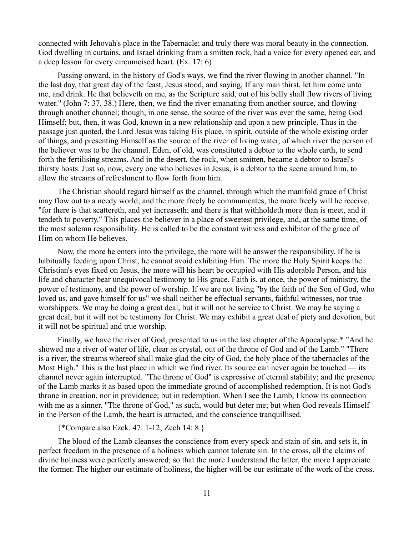connected with Jehovah's place in the Tabernacle; and truly there was moral beauty in the connection. God dwelling in curtains, and Israel drinking from a smitten rock, had a voice for every opened ear, and a deep lesson for every circumcised heart. (Ex. 17: 6)

Passing onward, in the history of God's ways, we find the river flowing in another channel. "In the last day, that great day of the feast, Jesus stood, and saying, If any man thirst, let him come unto me, and drink. He that believeth on me, as the Scripture said, out of his belly shall flow rivers of living water." (John 7: 37, 38.) Here, then, we find the river emanating from another source, and flowing through another channel; though, in one sense, the source of the river was ever the same, being God Himself; but, then, it was God, known in a new relationship and upon a new principle. Thus in the passage just quoted, the Lord Jesus was taking His place, in spirit, outside of the whole existing order of things, and presenting Himself as the source of the river of living water, of which river the person of the believer was to be the channel. Eden, of old, was constituted a debtor to the whole earth, to send forth the fertilising streams. And in the desert, the rock, when smitten, became a debtor to Israel's thirsty hosts. Just so, now, every one who believes in Jesus, is a debtor to the scene around him, to allow the streams of refreshment to flow forth from him.

The Christian should regard himself as the channel, through which the manifold grace of Christ may flow out to a needy world; and the more freely he communicates, the more freely will he receive, "for there is that scattereth, and yet increaseth; and there is that withholdeth more than is meet, and it tendeth to poverty." This places the believer in a place of sweetest privilege, and, at the same time, of the most solemn responsibility. He is called to be the constant witness and exhibitor of the grace of Him on whom He believes.

Now, the more he enters into the privilege, the more will he answer the responsibility. If he is habitually feeding upon Christ, he cannot avoid exhibiting Him. The more the Holy Spirit keeps the Christian's eyes fixed on Jesus, the more will his heart be occupied with His adorable Person, and his life and character bear unequivocal testimony to His grace. Faith is, at once, the power of ministry, the power of testimony, and the power of worship. If we are not living "by the faith of the Son of God, who loved us, and gave himself for us" we shall neither be effectual servants, faithful witnesses, nor true worshippers. We may be doing a great deal, but it will not be service to Christ. We may be saying a great deal, but it will not be testimony for Christ. We may exhibit a great deal of piety and devotion, but it will not be spiritual and true worship.

Finally, we have the river of God, presented to us in the last chapter of the Apocalypse.\* "And he showed me a river of water of life, clear as crystal, out of the throne of God and of the Lamb." "There is a river, the streams whereof shall make glad the city of God, the holy place of the tabernacles of the Most High." This is the last place in which we find river. Its source can never again be touched — its channel never again interrupted. "The throne of God" is expressive of eternal stability; and the presence of the Lamb marks it as based upon the immediate ground of accomplished redemption. It is not God's throne in creation, nor in providence; but in redemption. When I see the Lamb, I know its connection with me as a sinner. "The throne of God," as such, would but deter me; but when God reveals Himself in the Person of the Lamb, the heart is attracted, and the conscience tranquillised.

### {\*Compare also Ezek. 47: 1-12; Zech 14: 8.}

The blood of the Lamb cleanses the conscience from every speck and stain of sin, and sets it, in perfect freedom in the presence of a holiness which cannot tolerate sin. In the cross, all the claims of divine holiness were perfectly answered; so that the more I understand the latter, the more I appreciate the former. The higher our estimate of holiness, the higher will be our estimate of the work of the cross.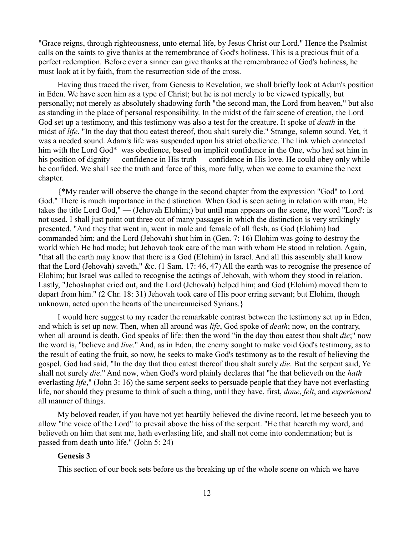"Grace reigns, through righteousness, unto eternal life, by Jesus Christ our Lord." Hence the Psalmist calls on the saints to give thanks at the remembrance of God's holiness. This is a precious fruit of a perfect redemption. Before ever a sinner can give thanks at the remembrance of God's holiness, he must look at it by faith, from the resurrection side of the cross.

Having thus traced the river, from Genesis to Revelation, we shall briefly look at Adam's position in Eden. We have seen him as a type of Christ; but he is not merely to be viewed typically, but personally; not merely as absolutely shadowing forth "the second man, the Lord from heaven," but also as standing in the place of personal responsibility. In the midst of the fair scene of creation, the Lord God set up a testimony, and this testimony was also a test for the creature. It spoke of *death* in the midst of *life*. "In the day that thou eatest thereof, thou shalt surely die." Strange, solemn sound. Yet, it was a needed sound. Adam's life was suspended upon his strict obedience. The link which connected him with the Lord God\* was obedience, based on implicit confidence in the One, who had set him in his position of dignity — confidence in His truth — confidence in His love. He could obey only while he confided. We shall see the truth and force of this, more fully, when we come to examine the next chapter.

{\*My reader will observe the change in the second chapter from the expression "God" to Lord God." There is much importance in the distinction. When God is seen acting in relation with man, He takes the title Lord God," — (Jehovah Elohim;) but until man appears on the scene, the word "Lord': is not used. I shall just point out three out of many passages in which the distinction is very strikingly presented. "And they that went in, went in male and female of all flesh, as God (Elohim) had commanded him; and the Lord (Jehovah) shut him in (Gen. 7: 16) Elohim was going to destroy the world which He had made; but Jehovah took care of the man with whom He stood in relation. Again, "that all the earth may know that there is a God (Elohim) in Israel. And all this assembly shall know that the Lord (Jehovah) saveth," &c. (1 Sam. 17: 46, 47) All the earth was to recognise the presence of Elohim; but Israel was called to recognise the actings of Jehovah, with whom they stood in relation. Lastly, "Jehoshaphat cried out, and the Lord (Jehovah) helped him; and God (Elohim) moved them to depart from him." (2 Chr. 18: 31) Jehovah took care of His poor erring servant; but Elohim, though unknown, acted upon the hearts of the uncircumcised Syrians.}

I would here suggest to my reader the remarkable contrast between the testimony set up in Eden, and which is set up now. Then, when all around was *life*, God spoke of *death*; now, on the contrary, when all around is death, God speaks of life: then the word "in the day thou eatest thou shalt *die*;" now the word is, "believe and *live*." And, as in Eden, the enemy sought to make void God's testimony, as to the result of eating the fruit, so now, he seeks to make God's testimony as to the result of believing the gospel. God had said, "In the day that thou eatest thereof thou shalt surely *die*. But the serpent said, Ye shall not surely *die*." And now, when God's word plainly declares that "he that believeth on the *hath* everlasting *life*," (John 3: 16) the same serpent seeks to persuade people that they have not everlasting life, nor should they presume to think of such a thing, until they have, first, *done*, *felt*, and *experienced* all manner of things.

My beloved reader, if you have not yet heartily believed the divine record, let me beseech you to allow "the voice of the Lord" to prevail above the hiss of the serpent. "He that heareth my word, and believeth on him that sent me, hath everlasting life, and shall not come into condemnation; but is passed from death unto life." (John 5: 24)

## **Genesis 3**

This section of our book sets before us the breaking up of the whole scene on which we have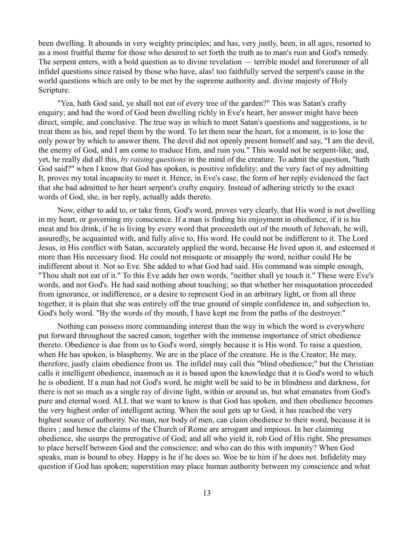been dwelling. It abounds in very weighty principles; and has, very justly, been, in all ages, resorted to as a most fruitful theme for those who desired to set forth the truth as to man's ruin and God's remedy. The serpent enters, with a bold question as to divine revelation — terrible model and forerunner of all infidel questions since raised by those who have, alas! too faithfully served the serpent's cause in the world questions which are only to be met by the supreme authority and. divine majesty of Holy Scripture.

"Yea, hath God said, ye shall not eat of every tree of the garden?" This was Satan's crafty enquiry; and had the word of God been dwelling richly in Eve's heart, her answer might have been direct, simple, and conclusive. The true way in which to meet Satan's questions and suggestions, is to treat them as his, and repel them by the word. To let them near the heart, for a moment, is to lose the only power by which to answer them. The devil did not openly present himself and say, "I am the devil, the enemy of God, and I am come to traduce Him, and ruin you." This would not be serpent-like; and, yet, he really did all this, *by raising questions* in the mind of the creature. To admit the question, "hath God said?" when I know that God has spoken, is positive infidelity; and the very fact of my admitting It, proves my total incapacity to meet it. Hence, in Eve's case, the form of her reply evidenced the fact that she bad admitted to her heart serpent's crafty enquiry. Instead of adhering strictly to the exact words of God, she, in her reply, actually adds thereto.

Now, either to add to, or take from, God's word, proves very clearly, that His word is not dwelling in my heart, or governing my conscience. If a man is finding his enjoyment in obedience, if it is his meat and his drink, if he is living by every word that proceedeth out of the mouth of Jehovah, he will, assuredly, be acquainted with, and fully alive to, His word. He could not be indifferent to it. The Lord Jesus, in His conflict with Satan, accurately applied the word, because He lived upon it, and esteemed it more than His necessary food. He could not misquote or misapply the word, neither could He be indifferent about it. Not so Eve. She added to what God had said. His command was simple enough, "Thou shalt not eat of it." To this Eve adds her own words, "neither shall ye touch it." These were Eve's words, and not God's. He had said nothing about touching; so that whether her misquotation proceeded from ignorance, or indifference, or a desire to represent God in an arbitrary light, or from all three together, it is plain that she was entirely off the true ground of simple confidence in, and subjection to, God's holy word. "By the words of thy mouth, I have kept me from the paths of the destroyer."

Nothing can possess more commanding interest than the way in which the word is everywhere put forward throughout the sacred canon, together with the immense importance of strict obedience thereto. Obedience is due from us to God's word, simply because it is His word. To raise a question, when He has spoken, is blasphemy. We are in the place of the creature. He is the Creator; He may, therefore, justly claim obedience from us. The infidel may call this "blind obedience;" but the Christian calls it intelligent obedience, inasmuch as it is based upon the knowledge that it is God's word to which he is obedient. If a man had not God's word, he might well be said to be in blindness and darkness, for there is not so much as a single ray of divine light, within or around us, but what emanates from God's pure and eternal word. ALL that we want to know is that God has spoken, and then obedience becomes the very highest order of intelligent acting. When the soul gets up to God, it has reached the very highest source of authority. No man, nor body of men, can claim obedience to their word, because it is theirs ; and hence the claims of the Church of Rome are arrogant and impious. In her claiming obedience, she usurps the prerogative of God; and all who yield it, rob God of His right. She presumes to place herself between God and the conscience; and who can do this with impunity? When God speaks, man is bound to obey. Happy is he if he does so. Woe be to him if he does not. Infidelity may question if God has spoken; superstition may place human authority between my conscience and what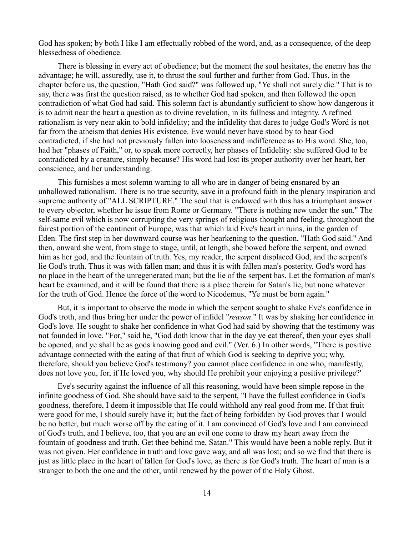God has spoken; by both I like I am effectually robbed of the word, and, as a consequence, of the deep blessedness of obedience.

There is blessing in every act of obedience; but the moment the soul hesitates, the enemy has the advantage; he will, assuredly, use it, to thrust the soul further and further from God. Thus, in the chapter before us, the question, "Hath God said?" was followed up, "Ye shall not surely die." That is to say, there was first the question raised, as to whether God had spoken, and then followed the open contradiction of what God had said. This solemn fact is abundantly sufficient to show how dangerous it is to admit near the heart a question as to divine revelation, in its fullness and integrity. A refined rationalism is very near akin to bold infidelity; and the infidelity that dares to judge God's Word is not far from the atheism that denies His existence. Eve would never have stood by to hear God contradicted, if she had not previously fallen into looseness and indifference as to His word. She, too, had her "phases of Faith," or, to speak more correctly, her phases of Infidelity: she suffered God to be contradicted by a creature, simply because? His word had lost its proper authority over her heart, her conscience, and her understanding.

This furnishes a most solemn warning to all who are in danger of being ensnared by an unhallowed rationalism. There is no true security, save in a profound faith in the plenary inspiration and supreme authority of "ALL SCRIPTURE." The soul that is endowed with this has a triumphant answer to every objector, whether he issue from Rome or Germany. "There is nothing new under the sun." The self-same evil which is now corrupting the very springs of religious thought and feeling, throughout the fairest portion of the continent of Europe, was that which laid Eve's heart in ruins, in the garden of Eden. The first step in her downward course was her hearkening to the question, "Hath God said." And then, onward she went, from stage to stage, until, at length, she bowed before the serpent, and owned him as her god, and the fountain of truth. Yes, my reader, the serpent displaced God, and the serpent's lie God's truth. Thus it was with fallen man; and thus it is with fallen man's posterity. God's word has no place in the heart of the unregenerated man; but the lie of the serpent has. Let the formation of man's heart be examined, and it will be found that there is a place therein for Satan's lie, but none whatever for the truth of God. Hence the force of the word to Nicodemus, "Ye must be born again."

But, it is important to observe the mode in which the serpent sought to shake Eve's confidence in God's troth, and thus bring her under the power of infidel "*reason*." It was by shaking her confidence in God's love. He sought to shake her confidence in what God had said by showing that the testimony was not founded in love. "For," said he, "God doth know that in the day ye eat thereof, then your eyes shall be opened, and ye shall be as gods knowing good and evil." (Ver. 6.) In other words, "There is positive advantage connected with the eating of that fruit of which God is seeking to deprive you; why, therefore, should you believe God's testimony? you cannot place confidence in one who, manifestly, does not love you, for, if He loved you, why should He prohibit your enjoying a positive privilege?'

Eve's security against the influence of all this reasoning, would have been simple repose in the infinite goodness of God. She should have said to the serpent, "I have the fullest confidence in God's goodness, therefore, I deem it impossible that He could withhold any real good from me. If that fruit were good for me, I should surely have it; but the fact of being forbidden by God proves that I would be no better, but much worse off by the eating of it. I am convinced of God's love and I am convinced of God's truth, and I believe, too, that you are an evil one come to draw my heart away from the fountain of goodness and truth. Get thee behind me, Satan." This would have been a noble reply. But it was not given. Her confidence in truth and love gave way, and all was lost; and so we find that there is just as little place in the heart of fallen for God's love, as there is for God's truth. The heart of man is a stranger to both the one and the other, until renewed by the power of the Holy Ghost.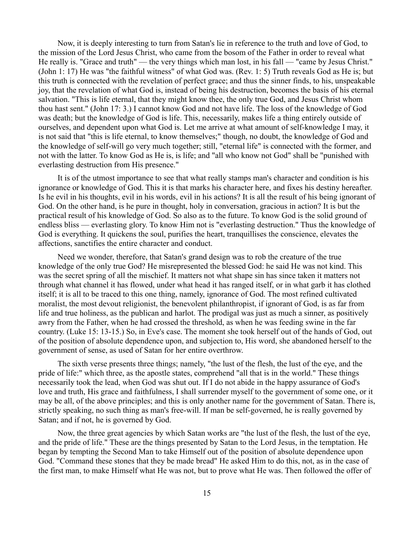Now, it is deeply interesting to turn from Satan's lie in reference to the truth and love of God, to the mission of the Lord Jesus Christ, who came from the bosom of the Father in order to reveal what He really is. "Grace and truth" — the very things which man lost, in his fall — "came by Jesus Christ." (John 1: 17) He was "the faithful witness" of what God was. (Rev. 1: 5) Truth reveals God as He is; but this truth is connected with the revelation of perfect grace; and thus the sinner finds, to his, unspeakable joy, that the revelation of what God is, instead of being his destruction, becomes the basis of his eternal salvation. "This is life eternal, that they might know thee, the only true God, and Jesus Christ whom thou hast sent." (John 17: 3.) I cannot know God and not have life. The loss of the knowledge of God was death; but the knowledge of God is life. This, necessarily, makes life a thing entirely outside of ourselves, and dependent upon what God is. Let me arrive at what amount of self-knowledge I may, it is not said that "this is life eternal, to know themselves;" though, no doubt, the knowledge of God and the knowledge of self-will go very much together; still, "eternal life" is connected with the former, and not with the latter. To know God as He is, is life; and "all who know not God" shall be "punished with everlasting destruction from His presence."

It is of the utmost importance to see that what really stamps man's character and condition is his ignorance or knowledge of God. This it is that marks his character here, and fixes his destiny hereafter. Is he evil in his thoughts, evil in his words, evil in his actions? It is all the result of his being ignorant of God. On the other hand, is he pure in thought, holy in conversation, gracious in action? It is but the practical result of his knowledge of God. So also as to the future. To know God is the solid ground of endless bliss — everlasting glory. To know Him not is "everlasting destruction." Thus the knowledge of God is everything. It quickens the soul, purifies the heart, tranquillises the conscience, elevates the affections, sanctifies the entire character and conduct.

Need we wonder, therefore, that Satan's grand design was to rob the creature of the true knowledge of the only true God? He misrepresented the blessed God: he said He was not kind. This was the secret spring of all the mischief. It matters not what shape sin has since taken it matters not through what channel it has flowed, under what head it has ranged itself, or in what garb it has clothed itself; it is all to be traced to this one thing, namely, ignorance of God. The most refined cultivated moralist, the most devout religionist, the benevolent philanthropist, if ignorant of God, is as far from life and true holiness, as the publican and harlot. The prodigal was just as much a sinner, as positively awry from the Father, when he had crossed the threshold, as when he was feeding swine in the far country. (Luke 15: 13-15.) So, in Eve's case. The moment she took herself out of the hands of God, out of the position of absolute dependence upon, and subjection to, His word, she abandoned herself to the government of sense, as used of Satan for her entire overthrow.

The sixth verse presents three things; namely, "the lust of the flesh, the lust of the eye, and the pride of life:" which three, as the apostle states, comprehend "all that is in the world." These things necessarily took the lead, when God was shut out. If I do not abide in the happy assurance of God's love and truth, His grace and faithfulness, I shall surrender myself to the government of some one, or it may be all, of the above principles; and this is only another name for the government of Satan. There is, strictly speaking, no such thing as man's free-will. If man be self-governed, he is really governed by Satan; and if not, he is governed by God.

Now, the three great agencies by which Satan works are "the lust of the flesh, the lust of the eye, and the pride of life." These are the things presented by Satan to the Lord Jesus, in the temptation. He began by tempting the Second Man to take Himself out of the position of absolute dependence upon God. "Command these stones that they be made bread" He asked Him to do this, not, as in the case of the first man, to make Himself what He was not, but to prove what He was. Then followed the offer of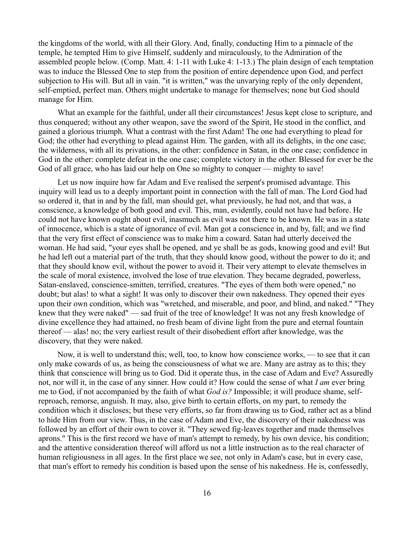the kingdoms of the world, with all their Glory. And, finally, conducting Him to a pinnacle of the temple, he tempted Him to give Himself, suddenly and miraculously, to the Admiration of the assembled people below. (Comp. Matt. 4: 1-11 with Luke 4: 1-13.) The plain design of each temptation was to induce the Blessed One to step from the position of entire dependence upon God, and perfect subjection to His will. But all in vain. "it is written," was the unvarying reply of the only dependent, self-emptied, perfect man. Others might undertake to manage for themselves; none but God should manage for Him.

What an example for the faithful, under all their circumstances! Jesus kept close to scripture, and thus conquered; without any other weapon, save the sword of the Spirit, He stood in the conflict, and gained a glorious triumph. What a contrast with the first Adam! The one had everything to plead for God; the other had everything to plead against Him. The garden, with all its delights, in the one case; the wilderness, with all its privations, in the other: confidence in Satan, in the one case; confidence in God in the other: complete defeat in the one case; complete victory in the other. Blessed for ever be the God of all grace, who has laid our help on One so mighty to conquer — mighty to save!

Let us now inquire how far Adam and Eve realised the serpent's promised advantage. This inquiry will lead us to a deeply important point in connection with the fall of man. The Lord God had so ordered it, that in and by the fall, man should get, what previously, he had not, and that was, a conscience, a knowledge of both good and evil. This, man, evidently, could not have had before. He could not have known ought about evil, inasmuch as evil was not there to be known. He was in a state of innocence, which is a state of ignorance of evil. Man got a conscience in, and by, fall; and we find that the very first effect of conscience was to make him a coward. Satan had utterly deceived the woman. He had said, "your eyes shall be opened, and ye shall be as gods, knowing good and evil! But he had left out a material part of the truth, that they should know good, without the power to do it; and that they should know evil, without the power to avoid it. Their very attempt to elevate themselves in the scale of moral existence, involved the lose of true elevation. They became degraded, powerless, Satan-enslaved, conscience-smitten, terrified, creatures. "The eyes of them both were opened," no doubt; but alas! to what a sight! It was only to discover their own nakedness. They opened their eyes upon their own condition, which was "wretched, and miserable, and poor, and blind, and naked." "They knew that they were naked" — sad fruit of the tree of knowledge! It was not any fresh knowledge of divine excellence they had attained, no fresh beam of divine light from the pure and eternal fountain thereof — alas! no; the very earliest result of their disobedient effort after knowledge, was the discovery, that they were naked.

Now, it is well to understand this; well, too, to know how conscience works, — to see that it can only make cowards of us, as being the consciousness of what we are. Many are astray as to this; they think that conscience will bring us to God. Did it operate thus, in the case of Adam and Eve? Assuredly not, nor will it, in the case of any sinner. How could it? How could the sense of what *I am* ever bring me to God, if not accompanied by the faith of what *God is?* Impossible; it will produce shame, selfreproach, remorse, anguish. It may, also, give birth to certain efforts, on my part, to remedy the condition which it discloses; but these very efforts, so far from drawing us to God, rather act as a blind to hide Him from our view. Thus, in the case of Adam and Eve, the discovery of their nakedness was followed by an effort of their own to cover it. "They sewed fig-leaves together and made themselves aprons." This is the first record we have of man's attempt to remedy, by his own device, his condition; and the attentive consideration thereof will afford us not a little instruction as to the real character of human religiousness in all ages. In the first place we see, not only in Adam's case, but in every case, that man's effort to remedy his condition is based upon the sense of his nakedness. He is, confessedly,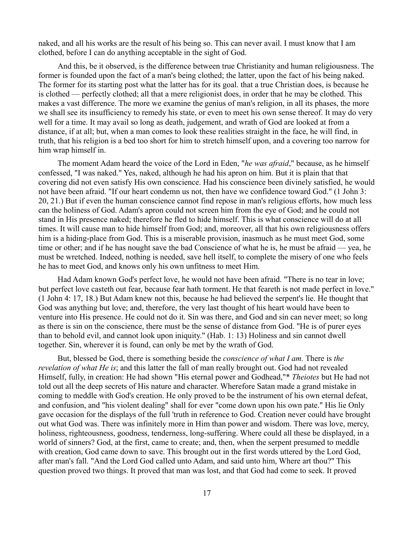naked, and all his works are the result of his being so. This can never avail. I must know that I am clothed, before I can do anything acceptable in the sight of God.

And this, be it observed, is the difference between true Christianity and human religiousness. The former is founded upon the fact of a man's being clothed; the latter, upon the fact of his being naked. The former for its starting post what the latter has for its goal. that a true Christian does, is because he is clothed — perfectly clothed; all that a mere religionist does, in order that he may be clothed. This makes a vast difference. The more we examine the genius of man's religion, in all its phases, the more we shall see its insufficiency to remedy his state, or even to meet his own sense thereof. It may do very well for a time. It may avail so long as death, judgement, and wrath of God are looked at from a distance, if at all; but, when a man comes to look these realities straight in the face, he will find, in truth, that his religion is a bed too short for him to stretch himself upon, and a covering too narrow for him wrap himself in.

The moment Adam heard the voice of the Lord in Eden, "*he was afraid*," because, as he himself confessed, "I was naked." Yes, naked, although he had his apron on him. But it is plain that that covering did not even satisfy His own conscience. Had his conscience been divinely satisfied, he would not have been afraid. "If our heart condemn us not, then have we confidence toward God." (1 John 3: 20, 21.) But if even the human conscience cannot find repose in man's religious efforts, how much less can the holiness of God. Adam's apron could not screen him from the eye of God; and he could not stand in His presence naked; therefore he fled to hide himself. This is what conscience will do at all times. It will cause man to hide himself from God; and, moreover, all that his own religiousness offers him is a hiding-place from God. This is a miserable provision, inasmuch as he must meet God, some time or other; and if he has nought save the bad Conscience of what he is, he must be afraid — yea, he must be wretched. Indeed, nothing is needed, save hell itself, to complete the misery of one who feels he has to meet God, and knows only his own unfitness to meet Him.

Had Adam known God's perfect love, he would not have been afraid. "There is no tear in love; but perfect love casteth out fear, because fear hath torment. He that feareth is not made perfect in love." (1 John 4: 17, 18.) But Adam knew not this, because he had believed the serpent's lie. He thought that God was anything but love; and, therefore, the very last thought of his heart would have been to venture into His presence. He could not do it. Sin was there, and God and sin can never meet; so long as there is sin on the conscience, there must be the sense of distance from God. "He is of purer eyes than to behold evil, and cannot look upon iniquity." (Hab. 1: 13) Holiness and sin cannot dwell together. Sin, wherever it is found, can only be met by the wrath of God.

But, blessed be God, there is something beside the *conscience of what I am.* There is *the revelation of what He is*; and this latter the fall of man really brought out. God had not revealed Himself, fully, in creation: He had shown "His eternal power and Godhead,"\* *Theiotes* but He had not told out all the deep secrets of His nature and character. Wherefore Satan made a grand mistake in coming to meddle with God's creation. He only proved to be the instrument of his own eternal defeat, and confusion, and "his violent dealing" shall for ever "come down upon his own pate." His lie Only gave occasion for the displays of the full 'truth in reference to God. Creation never could have brought out what God was. There was infinitely more in Him than power and wisdom. There was love, mercy, holiness, righteousness, goodness, tenderness, long-suffering. Where could all these be displayed, in a world of sinners? God, at the first, came to create; and, then, when the serpent presumed to meddle with creation, God came down to save. This brought out in the first words uttered by the Lord God, after man's fall. "And the Lord God called unto Adam, and said unto him, Where art thou?" This question proved two things. It proved that man was lost, and that God had come to seek. It proved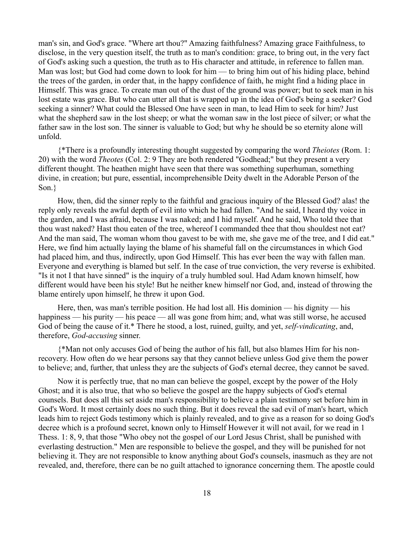man's sin, and God's grace. "Where art thou?" Amazing faithfulness? Amazing grace Faithfulness, to disclose, in the very question itself, the truth as to man's condition: grace, to bring out, in the very fact of God's asking such a question, the truth as to His character and attitude, in reference to fallen man. Man was lost; but God had come down to look for him — to bring him out of his hiding place, behind the trees of the garden, in order that, in the happy confidence of faith, he might find a hiding place in Himself. This was grace. To create man out of the dust of the ground was power; but to seek man in his lost estate was grace. But who can utter all that is wrapped up in the idea of God's being a seeker? God seeking a sinner? What could the Blessed One have seen in man, to lead Him to seek for him? Just what the shepherd saw in the lost sheep; or what the woman saw in the lost piece of silver; or what the father saw in the lost son. The sinner is valuable to God; but why he should be so eternity alone will unfold.

{\*There is a profoundly interesting thought suggested by comparing the word *Theiotes* (Rom. 1: 20) with the word *Theotes* (Col. 2: 9 They are both rendered "Godhead;" but they present a very different thought. The heathen might have seen that there was something superhuman, something divine, in creation; but pure, essential, incomprehensible Deity dwelt in the Adorable Person of the Son.}

How, then, did the sinner reply to the faithful and gracious inquiry of the Blessed God? alas! the reply only reveals the awful depth of evil into which he had fallen. "And he said, I heard thy voice in the garden, and I was afraid, because I was naked; and I hid myself. And he said, Who told thee that thou wast naked? Hast thou eaten of the tree, whereof I commanded thee that thou shouldest not eat? And the man said, The woman whom thou gavest to be with me, she gave me of the tree, and I did eat." Here, we find him actually laying the blame of his shameful fall on the circumstances in which God had placed him, and thus, indirectly, upon God Himself. This has ever been the way with fallen man. Everyone and everything is blamed but self. In the case of true conviction, the very reverse is exhibited. "Is it not I that have sinned" is the inquiry of a truly humbled soul. Had Adam known himself, how different would have been his style! But he neither knew himself nor God, and, instead of throwing the blame entirely upon himself, he threw it upon God.

Here, then, was man's terrible position. He had lost all. His dominion — his dignity — his happiness — his purity — his peace — all was gone from him; and, what was still worse, he accused God of being the cause of it.\* There he stood, a lost, ruined, guilty, and yet, *self-vindicating*, and, therefore, *God-accusing* sinner.

{\*Man not only accuses God of being the author of his fall, but also blames Him for his nonrecovery. How often do we hear persons say that they cannot believe unless God give them the power to believe; and, further, that unless they are the subjects of God's eternal decree, they cannot be saved.

Now it is perfectly true, that no man can believe the gospel, except by the power of the Holy Ghost; and it is also true, that who so believe the gospel are the happy subjects of God's eternal counsels. But does all this set aside man's responsibility to believe a plain testimony set before him in God's Word. It most certainly does no such thing. But it does reveal the sad evil of man's heart, which leads him to reject Gods testimony which is plainly revealed, and to give as a reason for so doing God's decree which is a profound secret, known only to Himself However it will not avail, for we read in 1 Thess. 1: 8, 9, that those "Who obey not the gospel of our Lord Jesus Christ, shall be punished with everlasting destruction." Men are responsible to believe the gospel, and they will be punished for not believing it. They are not responsible to know anything about God's counsels, inasmuch as they are not revealed, and, therefore, there can be no guilt attached to ignorance concerning them. The apostle could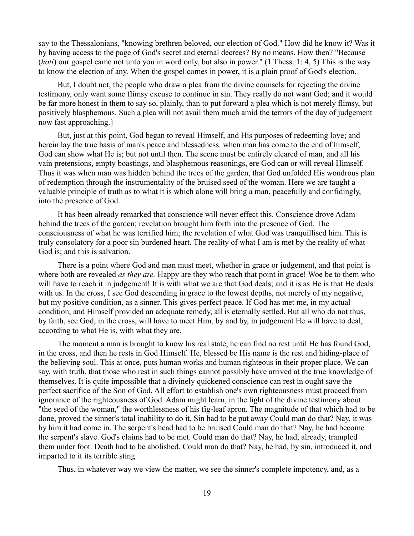say to the Thessalonians, "knowing brethren beloved, our election of God." How did he know it? Was it by having access to the page of God's secret and eternal decrees? By no means. How then? "Because (*hoti*) our gospel came not unto you in word only, but also in power." (1 Thess. 1: 4, 5) This is the way to know the election of any. When the gospel comes in power, it is a plain proof of God's election.

But, I doubt not, the people who draw a plea from the divine counsels for rejecting the divine testimony, only want some flimsy excuse to continue in sin. They really do not want God; and it would be far more honest in them to say so, plainly, than to put forward a plea which is not merely flimsy, but positively blasphemous. Such a plea will not avail them much amid the terrors of the day of judgement now fast approaching.}

But, just at this point, God began to reveal Himself, and His purposes of redeeming love; and herein lay the true basis of man's peace and blessedness. when man has come to the end of himself, God can show what He is; but not until then. The scene must be entirely cleared of man, and all his vain pretensions, empty boastings, and blasphemous reasonings, ere God can or will reveal Himself. Thus it was when man was hidden behind the trees of the garden, that God unfolded His wondrous plan of redemption through the instrumentality of the bruised seed of the woman. Here we are taught a valuable principle of truth as to what it is which alone will bring a man, peacefully and confidingly, into the presence of God.

It has been already remarked that conscience will never effect this. Conscience drove Adam behind the trees of the garden; revelation brought him forth into the presence of God. The consciousness of what he was terrified him; the revelation of what God was tranquillised him. This is truly consolatory for a poor sin burdened heart. The reality of what I am is met by the reality of what God is; and this is salvation.

There is a point where God and man must meet, whether in grace or judgement, and that point is where both are revealed *as they are.* Happy are they who reach that point in grace! Woe be to them who will have to reach it in judgement! It is with what we are that God deals; and it is as He is that He deals with us. In the cross, I see God descending in grace to the lowest depths, not merely of my negative, but my positive condition, as a sinner. This gives perfect peace. If God has met me, in my actual condition, and Himself provided an adequate remedy, all is eternally settled. But all who do not thus, by faith, see God, in the cross, will have to meet Him, by and by, in judgement He will have to deal, according to what He is, with what they are.

The moment a man is brought to know his real state, he can find no rest until He has found God, in the cross, and then he rests in God Himself. He, blessed be His name is the rest and hiding-place of the believing soul. This at once, puts human works and human righteous in their proper place. We can say, with truth, that those who rest in such things cannot possibly have arrived at the true knowledge of themselves. It is quite impossible that a divinely quickened conscience can rest in ought save the perfect sacrifice of the Son of God. All effort to establish one's own righteousness must proceed from ignorance of the righteousness of God. Adam might learn, in the light of the divine testimony about "the seed of the woman," the worthlessness of his fig-leaf apron. The magnitude of that which had to be done, proved the sinner's total inability to do it. Sin had to be put away Could man do that? Nay, it was by him it had come in. The serpent's head had to be bruised Could man do that? Nay, he had become the serpent's slave. God's claims had to be met. Could man do that? Nay, he had, already, trampled them under foot. Death had to be abolished. Could man do that? Nay, he had, by sin, introduced it, and imparted to it its terrible sting.

Thus, in whatever way we view the matter, we see the sinner's complete impotency, and, as a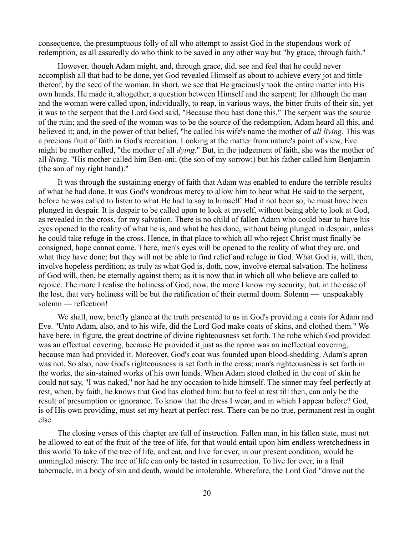consequence, the presumptuous folly of all who attempt to assist God in the stupendous work of redemption, as all assuredly do who think to be saved in any other way but "by grace, through faith."

However, though Adam might, and, through grace, did, see and feel that he could never accomplish all that had to be done, yet God revealed Himself as about to achieve every jot and tittle thereof, by the seed of the woman. In short, we see that He graciously took the entire matter into His own hands. He made it, altogether, a question between Himself and the serpent; for although the man and the woman were called upon, individually, to reap, in various ways, the bitter fruits of their sin, yet it was to the serpent that the Lord God said, "Because thou hast done this." The serpent was the source of the ruin; and the seed of the woman was to be the source of the redemption. Adam heard all this, and believed it; and, in the power of that belief, "he called his wife's name the mother of *all living*. This was a precious fruit of faith in God's recreation. Looking at the matter from nature's point of view, Eve might be mother called, "the mother of all *dying*." But, in the judgement of faith, she was the mother of all *living*. "His mother called him Ben-oni; (the son of my sorrow;) but his father called him Benjamin (the son of my right hand)."

It was through the sustaining energy of faith that Adam was enabled to endure the terrible results of what he had done. It was God's wondrous mercy to allow him to hear what He said to the serpent, before he was called to listen to what He had to say to himself. Had it not been so, he must have been plunged in despair. It is despair to be called upon to look at myself, without being able to look at God, as revealed in the cross, for my salvation. There is no child of fallen Adam who could bear to have his eyes opened to the reality of what he is, and what he has done, without being plunged in despair, unless he could take refuge in the cross. Hence, in that place to which all who reject Christ must finally be consigned, hope cannot come. There, men's eyes will be opened to the reality of what they are, and what they have done; but they will not be able to find relief and refuge in God. What God is, will, then, involve hopeless perdition; as truly as what God is, doth, now, involve eternal salvation. The holiness of God will, then, be eternally against them; as it is now that in which all who believe are called to rejoice. The more I realise the holiness of God, now, the more I know my security; but, in the case of the lost, that very holiness will be but the ratification of their eternal doom. Solemn — unspeakably solemn — reflection!

We shall, now, briefly glance at the truth presented to us in God's providing a coats for Adam and Eve. "Unto Adam, also, and to his wife, did the Lord God make coats of skins, and clothed them." We have here, in figure, the great doctrine of divine righteousness set forth. The robe which God provided was an effectual covering, because He provided it just as the apron was an ineffectual covering, because man had provided it. Moreover, God's coat was founded upon blood-shedding. Adam's apron was not. So also, now God's righteousness is set forth in the cross; man's righteousness is set forth in the works, the sin-stained works of his own hands. When Adam stood clothed in the coat of skin he could not say, "I was naked,'' nor had he any occasion to hide himself. The sinner may feel perfectly at rest, when, by faith, he knows that God has clothed him: but to feel at rest till then, can only be the result of presumption or ignorance. To know that the dress I wear, and in which I appear before? God, is of His own providing, must set my heart at perfect rest. There can be no true, permanent rest in ought else.

The closing verses of this chapter are full of instruction. Fallen man, in his fallen state, must not be allowed to eat of the fruit of the tree of life, for that would entail upon him endless wretchedness in this world To take of the tree of life, and eat, and live for ever, in our present condition, would be unmingled misery. The tree of life can only be tasted in resurrection. To live for ever, in a frail tabernacle, in a body of sin and death, would be intolerable. Wherefore, the Lord God "drove out the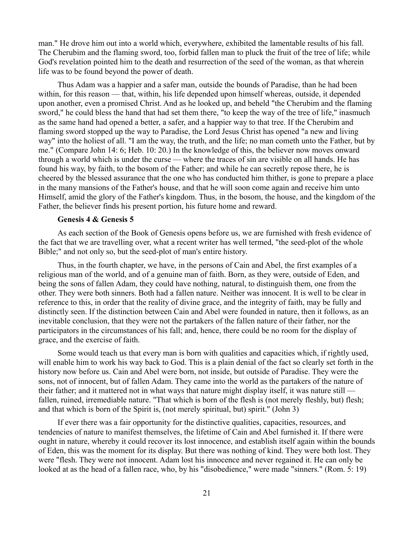man." He drove him out into a world which, everywhere, exhibited the lamentable results of his fall. The Cherubim and the flaming sword, too, forbid fallen man to pluck the fruit of the tree of life; while God's revelation pointed him to the death and resurrection of the seed of the woman, as that wherein life was to be found beyond the power of death.

Thus Adam was a happier and a safer man, outside the bounds of Paradise, than he had been within, for this reason — that, within, his life depended upon himself whereas, outside, it depended upon another, even a promised Christ. And as he looked up, and beheld "the Cherubim and the flaming sword," he could bless the hand that had set them there, "to keep the way of the tree of life," inasmuch as the same hand had opened a better, a safer, and a happier way to that tree. If the Cherubim and flaming sword stopped up the way to Paradise, the Lord Jesus Christ has opened "a new and living way" into the holiest of all. "I am the way, the truth, and the life; no man cometh unto the Father, but by me." (Compare John 14: 6; Heb. 10: 20.) In the knowledge of this, the believer now moves onward through a world which is under the curse — where the traces of sin are visible on all hands. He has found his way, by faith, to the bosom of the Father; and while he can secretly repose there, he is cheered by the blessed assurance that the one who has conducted him thither, is gone to prepare a place in the many mansions of the Father's house, and that he will soon come again and receive him unto Himself, amid the glory of the Father's kingdom. Thus, in the bosom, the house, and the kingdom of the Father, the believer finds his present portion, his future home and reward.

### **Genesis 4 & Genesis 5**

As each section of the Book of Genesis opens before us, we are furnished with fresh evidence of the fact that we are travelling over, what a recent writer has well termed, "the seed-plot of the whole Bible;" and not only so, but the seed-plot of man's entire history.

Thus, in the fourth chapter, we have, in the persons of Cain and Abel, the first examples of a religious man of the world, and of a genuine man of faith. Born, as they were, outside of Eden, and being the sons of fallen Adam, they could have nothing, natural, to distinguish them, one from the other. They were both sinners. Both had a fallen nature. Neither was innocent. It is well to be clear in reference to this, in order that the reality of divine grace, and the integrity of faith, may be fully and distinctly seen. If the distinction between Cain and Abel were founded in nature, then it follows, as an inevitable conclusion, that they were not the partakers of the fallen nature of their father, nor the participators in the circumstances of his fall; and, hence, there could be no room for the display of grace, and the exercise of faith.

Some would teach us that every man is born with qualities and capacities which, if rightly used, will enable him to work his way back to God. This is a plain denial of the fact so clearly set forth in the history now before us. Cain and Abel were born, not inside, but outside of Paradise. They were the sons, not of innocent, but of fallen Adam. They came into the world as the partakers of the nature of their father; and it mattered not in what ways that nature might display itself, it was nature still fallen, ruined, irremediable nature. "That which is born of the flesh is (not merely fleshly, but) flesh; and that which is born of the Spirit is, (not merely spiritual, but) spirit." (John 3)

If ever there was a fair opportunity for the distinctive qualities, capacities, resources, and tendencies of nature to manifest themselves, the lifetime of Cain and Abel furnished it. If there were ought in nature, whereby it could recover its lost innocence, and establish itself again within the bounds of Eden, this was the moment for its display. But there was nothing of kind. They were both lost. They were "flesh. They were not innocent. Adam lost his innocence and never regained it. He can only be looked at as the head of a fallen race, who, by his "disobedience," were made "sinners." (Rom. 5: 19)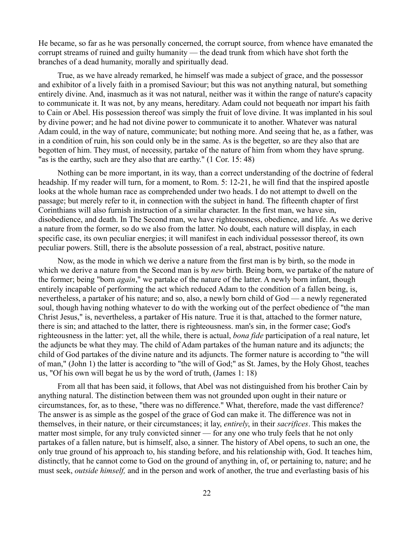He became, so far as he was personally concerned, the corrupt source, from whence have emanated the corrupt streams of ruined and guilty humanity — the dead trunk from which have shot forth the branches of a dead humanity, morally and spiritually dead.

True, as we have already remarked, he himself was made a subject of grace, and the possessor and exhibitor of a lively faith in a promised Saviour; but this was not anything natural, but something entirely divine. And, inasmuch as it was not natural, neither was it within the range of nature's capacity to communicate it. It was not, by any means, hereditary. Adam could not bequeath nor impart his faith to Cain or Abel. His possession thereof was simply the fruit of love divine. It was implanted in his soul by divine power; and he had not divine power to communicate it to another. Whatever was natural Adam could, in the way of nature, communicate; but nothing more. And seeing that he, as a father, was in a condition of ruin, his son could only be in the same. As is the begetter, so are they also that are begotten of him. They must, of necessity, partake of the nature of him from whom they have sprung. "as is the earthy, such are they also that are earthy." (1 Cor. 15: 48)

Nothing can be more important, in its way, than a correct understanding of the doctrine of federal headship. If my reader will turn, for a moment, to Rom. 5: 12-21, he will find that the inspired apostle looks at the whole human race as comprehended under two heads. I do not attempt to dwell on the passage; but merely refer to it, in connection with the subject in hand. The fifteenth chapter of first Corinthians will also furnish instruction of a similar character. In the first man, we have sin, disobedience, and death. In The Second man, we have righteousness, obedience, and life. As we derive a nature from the former, so do we also from the latter. No doubt, each nature will display, in each specific case, its own peculiar energies; it will manifest in each individual possessor thereof, its own peculiar powers. Still, there is the absolute possession of a real, abstract, positive nature.

Now, as the mode in which we derive a nature from the first man is by birth, so the mode in which we derive a nature from the Second man is by *new* birth. Being born, we partake of the nature of the former; being "born *again*," we partake of the nature of the latter. A newly born infant, though entirely incapable of performing the act which reduced Adam to the condition of a fallen being, is, nevertheless, a partaker of his nature; and so, also, a newly born child of God — a newly regenerated soul, though having nothing whatever to do with the working out of the perfect obedience of "the man Christ Jesus," is, nevertheless, a partaker of His nature. True it is that, attached to the former nature, there is sin; and attached to the latter, there is righteousness. man's sin, in the former case; God's righteousness in the latter: yet, all the while, there is actual, *bona fide* participation of a real nature, let the adjuncts be what they may. The child of Adam partakes of the human nature and its adjuncts; the child of God partakes of the divine nature and its adjuncts. The former nature is according to "the will of man," (John 1) the latter is according to "the will of God;" as St. James, by the Holy Ghost, teaches us, "Of his own will begat he us by the word of truth, (James 1: 18)

From all that has been said, it follows, that Abel was not distinguished from his brother Cain by anything natural. The distinction between them was not grounded upon ought in their nature or circumstances, for, as to these, "there was no difference." What, therefore, made the vast difference? The answer is as simple as the gospel of the grace of God can make it. The difference was not in themselves, in their nature, or their circumstances; it lay, *entirely*, in their *sacrifices*. This makes the matter most simple, for any truly convicted sinner — for any one who truly feels that he not only partakes of a fallen nature, but is himself, also, a sinner. The history of Abel opens, to such an one, the only true ground of his approach to, his standing before, and his relationship with, God. It teaches him, distinctly, that he cannot come to God on the ground of anything in, of, or pertaining to, nature; and he must seek, *outside himself,* and in the person and work of another, the true and everlasting basis of his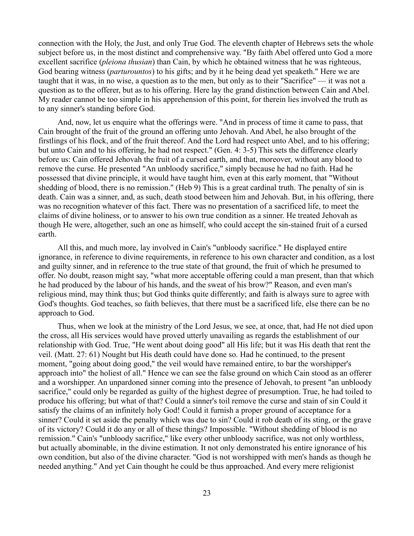connection with the Holy, the Just, and only True God. The eleventh chapter of Hebrews sets the whole subject before us, in the most distinct and comprehensive way. "By faith Abel offered unto God a more excellent sacrifice (*pleiona thusian*) than Cain, by which he obtained witness that he was righteous, God bearing witness (*parturountos*) to his gifts; and by it he being dead yet speaketh." Here we are taught that it was, in no wise, a question as to the men, but only as to their "Sacrifice" — it was not a question as to the offerer, but as to his offering. Here lay the grand distinction between Cain and Abel. My reader cannot be too simple in his apprehension of this point, for therein lies involved the truth as to any sinner's standing before God.

And, now, let us enquire what the offerings were. "And in process of time it came to pass, that Cain brought of the fruit of the ground an offering unto Jehovah. And Abel, he also brought of the firstlings of his flock, and of the fruit thereof. And the Lord had respect unto Abel, and to his offering; but unto Cain and to his offering, he had not respect." (Gen. 4: 3-5) This sets the difference clearly before us: Cain offered Jehovah the fruit of a cursed earth, and that, moreover, without any blood to remove the curse. He presented "An unbloody sacrifice," simply because he had no faith. Had he possessed that divine principle, it would have taught him, even at this early moment, that "Without shedding of blood, there is no remission." (Heb 9) This is a great cardinal truth. The penalty of sin is death. Cain was a sinner, and, as such, death stood between him and Jehovah. But, in his offering, there was no recognition whatever of this fact. There was no presentation of a sacrificed life, to meet the claims of divine holiness, or to answer to his own true condition as a sinner. He treated Jehovah as though He were, altogether, such an one as himself, who could accept the sin-stained fruit of a cursed earth.

All this, and much more, lay involved in Cain's "unbloody sacrifice." He displayed entire ignorance, in reference to divine requirements, in reference to his own character and condition, as a lost and guilty sinner, and in reference to the true state of that ground, the fruit of which he presumed to offer. No doubt, reason might say, "what more acceptable offering could a man present, than that which he had produced by the labour of his hands, and the sweat of his brow?" Reason, and even man's religious mind, may think thus; but God thinks quite differently; and faith is always sure to agree with God's thoughts. God teaches, so faith believes, that there must be a sacrificed life, else there can be no approach to God.

Thus, when we look at the ministry of the Lord Jesus, we see, at once, that, had He not died upon the cross, all His services would have proved utterly unavailing as regards the establishment of our relationship with God. True, "He went about doing good" all His life; but it was His death that rent the veil. (Matt. 27: 61) Nought but His death could have done so. Had he continued, to the present moment, "going about doing good," the veil would have remained entire, to bar the worshipper's approach into" the holiest of all." Hence we can see the false ground on which Cain stood as an offerer and a worshipper. An unpardoned sinner coming into the presence of Jehovah, to present "an unbloody sacrifice," could only be regarded as guilty of the highest degree of presumption. True, he had toiled to produce his offering; but what of that? Could a sinner's toil remove the curse and stain of sin Could it satisfy the claims of an infinitely holy God! Could it furnish a proper ground of acceptance for a sinner? Could it set aside the penalty which was due to sin? Could it rob death of its sting, or the grave of its victory? Could it do any or all of these things? Impossible. "Without shedding of blood is no remission." Cain's "unbloody sacrifice," like every other unbloody sacrifice, was not only worthless, but actually abominable, in the divine estimation. It not only demonstrated his entire ignorance of his own condition, but also of the divine character. "God is not worshipped with men's hands as though he needed anything." And yet Cain thought he could be thus approached. And every mere religionist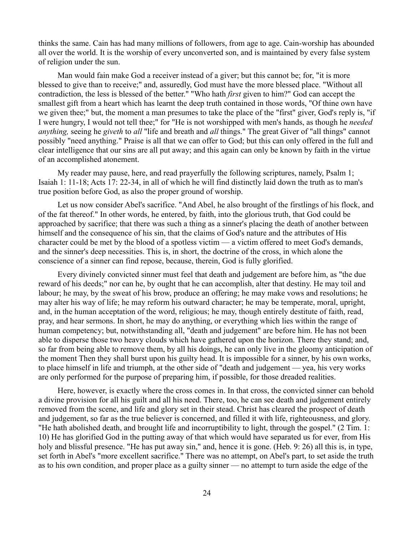thinks the same. Cain has had many millions of followers, from age to age. Cain-worship has abounded all over the world. It is the worship of every unconverted son, and is maintained by every false system of religion under the sun.

Man would fain make God a receiver instead of a giver; but this cannot be; for, "it is more blessed to give than to receive;" and, assuredly, God must have the more blessed place. "Without all contradiction, the less is blessed of the better." "Who hath *first* given to him?" God can accept the smallest gift from a heart which has learnt the deep truth contained in those words, "Of thine own have we given thee;" but, the moment a man presumes to take the place of the "first" giver, God's reply is, "if I were hungry, I would not tell thee;" for "He is not worshipped with men's hands, as though he *needed anything,* seeing he *giveth* to *all* "life and breath and *all* things." The great Giver of "all things" cannot possibly "need anything." Praise is all that we can offer to God; but this can only offered in the full and clear intelligence that our sins are all put away; and this again can only be known by faith in the virtue of an accomplished atonement.

My reader may pause, here, and read prayerfully the following scriptures, namely, Psalm 1; Isaiah 1: 11-18; Acts 17: 22-34, in all of which he will find distinctly laid down the truth as to man's true position before God, as also the proper ground of worship.

Let us now consider Abel's sacrifice. "And Abel, he also brought of the firstlings of his flock, and of the fat thereof." In other words, he entered, by faith, into the glorious truth, that God could be approached by sacrifice; that there was such a thing as a sinner's placing the death of another between himself and the consequence of his sin, that the claims of God's nature and the attributes of His character could be met by the blood of a spotless victim — a victim offered to meet God's demands, and the sinner's deep necessities. This is, in short, the doctrine of the cross, in which alone the conscience of a sinner can find repose, because, therein, God is fully glorified.

Every divinely convicted sinner must feel that death and judgement are before him, as "the due reward of his deeds;" nor can he, by ought that he can accomplish, alter that destiny. He may toil and labour; he may, by the sweat of his brow, produce an offering; he may make vows and resolutions; he may alter his way of life; he may reform his outward character; he may be temperate, moral, upright, and, in the human acceptation of the word, religious; he may, though entirely destitute of faith, read, pray, and hear sermons. In short, he may do anything, or everything which lies within the range of human competency; but, notwithstanding all, "death and judgement" are before him. He has not been able to disperse those two heavy clouds which have gathered upon the horizon. There they stand; and, so far from being able to remove them, by all his doings, he can only live in the gloomy anticipation of the moment Then they shall burst upon his guilty head. It is impossible for a sinner, by his own works, to place himself in life and triumph, at the other side of "death and judgement — yea, his very works are only performed for the purpose of preparing him, if possible, for those dreaded realities.

Here, however, is exactly where the cross comes in. In that cross, the convicted sinner can behold a divine provision for all his guilt and all his need. There, too, he can see death and judgement entirely removed from the scene, and life and glory set in their stead. Christ has cleared the prospect of death and judgement, so far as the true believer is concerned, and filled it with life, righteousness, and glory. "He hath abolished death, and brought life and incorruptibility to light, through the gospel." (2 Tim. 1: 10) He has glorified God in the putting away of that which would have separated us for ever, from His holy and blissful presence. "He has put away sin," and, hence it is gone. (Heb. 9: 26) all this is, in type, set forth in Abel's "more excellent sacrifice." There was no attempt, on Abel's part, to set aside the truth as to his own condition, and proper place as a guilty sinner — no attempt to turn aside the edge of the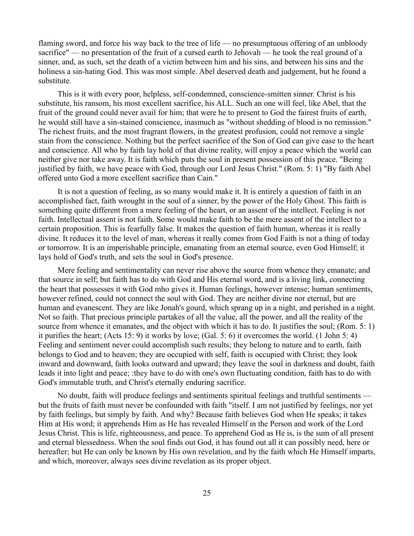flaming sword, and force his way back to the tree of life — no presumptuous offering of an unbloody sacrifice" — no presentation of the fruit of a cursed earth to Jehovah — he took the real ground of a sinner, and, as such, set the death of a victim between him and his sins, and between his sins and the holiness a sin-hating God. This was most simple. Abel deserved death and judgement, but he found a substitute.

This is it with every poor, helpless, self-condemned, conscience-smitten sinner. Christ is his substitute, his ransom, his most excellent sacrifice, his ALL. Such an one will feel, like Abel, that the fruit of the ground could never avail for him; that were he to present to God the fairest fruits of earth, he would still have a sin-stained conscience, inasmuch as "without shedding of blood is no remission." The richest fruits, and the most fragrant flowers, in the greatest profusion, could not remove a single stain from the conscience. Nothing but the perfect sacrifice of the Son of God can give ease to the heart and conscience. All who by faith lay hold of that divine reality, will enjoy a peace which the world can neither give nor take away. It is faith which puts the soul in present possession of this peace. "Being justified by faith, we have peace with God, through our Lord Jesus Christ." (Rom. 5: 1) "By faith Abel offered unto God a more excellent sacrifice than Cain."

It is not a question of feeling, as so many would make it. It is entirely a question of faith in an accomplished fact, faith wrought in the soul of a sinner, by the power of the Holy Ghost. This faith is something quite different from a mere feeling of the heart, or an assent of the intellect. Feeling is not faith. Intellectual assent is not faith. Some would make faith to be the mere assent of the intellect to a certain proposition. This is fearfully false. It makes the question of faith human, whereas it is really divine. It reduces it to the level of man, whereas it really comes from God Faith is not a thing of today or tomorrow. It is an imperishable principle, emanating from an eternal source, even God Himself; it lays hold of God's truth, and sets the soul in God's presence.

Mere feeling and sentimentality can never rise above the source from whence they emanate; and that source in self; but faith has to do with God and His eternal word, and is a living link, connecting the heart that possesses it with God mho gives it. Human feelings, however intense; human sentiments, however refined, could not connect the soul with God. They are neither divine nor eternal, but are human and evanescent. They are like Jonah's gourd, which sprang up in a night, and perished in a night. Not so faith. That precious principle partakes of all the value, all the power, and all the reality of the source from whence it emanates, and the object with which it has to do. It justifies the soul; (Rom. 5: 1) it purifies the heart; (Acts 15: 9) it works by love; (Gal. 5: 6) it overcomes the world. (1 John 5: 4) Feeling and sentiment never could accomplish such results; they belong to nature and to earth, faith belongs to God and to heaven; they are occupied with self, faith is occupied with Christ; they look inward and downward, faith looks outward and upward; they leave the soul in darkness and doubt, faith leads it into light and peace; :they have to do with one's own fluctuating condition, faith has to do with God's immutable truth, and Christ's eternally enduring sacrifice.

No doubt, faith will produce feelings and sentiments spiritual feelings and truthful sentiments but the fruits of faith must never be confounded with faith "itself. I am not justified by feelings, nor yet by faith feelings, but simply by faith. And why? Because faith believes God when He speaks; it takes Him at His word; it apprehends Him as He has revealed Himself in the Person and work of the Lord Jesus Christ. This is life, righteousness, and peace. To apprehend God as He is, is the sum of all present and eternal blessedness. When the soul finds out God, it has found out all it can possibly need, here or hereafter; but He can only be known by His own revelation, and by the faith which He Himself imparts, and which, moreover, always sees divine revelation as its proper object.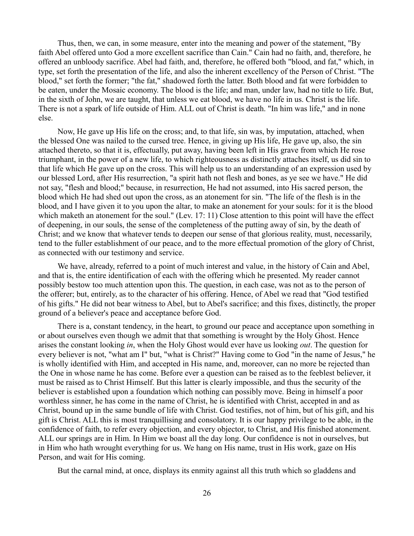Thus, then, we can, in some measure, enter into the meaning and power of the statement, "By faith Abel offered unto God a more excellent sacrifice than Cain." Cain had no faith, and, therefore, he offered an unbloody sacrifice. Abel had faith, and, therefore, he offered both "blood, and fat," which, in type, set forth the presentation of the life, and also the inherent excellency of the Person of Christ. "The blood," set forth the former; "the fat," shadowed forth the latter. Both blood and fat were forbidden to be eaten, under the Mosaic economy. The blood is the life; and man, under law, had no title to life. But, in the sixth of John, we are taught, that unless we eat blood, we have no life in us. Christ is the life. There is not a spark of life outside of Him. ALL out of Christ is death. "In him was life," and in none else.

Now, He gave up His life on the cross; and, to that life, sin was, by imputation, attached, when the blessed One was nailed to the cursed tree. Hence, in giving up His life, He gave up, also, the sin attached thereto, so that it is, effectually, put away, having been left in His grave from which He rose triumphant, in the power of a new life, to which righteousness as distinctly attaches itself, us did sin to that life which He gave up on the cross. This will help us to an understanding of an expression used by our blessed Lord, after His resurrection, "a spirit hath not flesh and bones, as ye see we have." He did not say, "flesh and blood;" because, in resurrection, He had not assumed, into His sacred person, the blood which He had shed out upon the cross, as an atonement for sin. "The life of the flesh is in the blood, and I have given it to you upon the altar, to make an atonement for your souls: for it is the blood which maketh an atonement for the soul." (Lev. 17: 11) Close attention to this point will have the effect of deepening, in our souls, the sense of the completeness of the putting away of sin, by the death of Christ; and we know that whatever tends to deepen our sense of that glorious reality, must, necessarily, tend to the fuller establishment of our peace, and to the more effectual promotion of the glory of Christ, as connected with our testimony and service.

We have, already, referred to a point of much interest and value, in the history of Cain and Abel, and that is, the entire identification of each with the offering which he presented. My reader cannot possibly bestow too much attention upon this. The question, in each case, was not as to the person of the offerer; but, entirely, as to the character of his offering. Hence, of Abel we read that "God testified of his gifts." He did not bear witness to Abel, but to Abel's sacrifice; and this fixes, distinctly, the proper ground of a believer's peace and acceptance before God.

There is a, constant tendency, in the heart, to ground our peace and acceptance upon something in or about ourselves even though we admit that that something is wrought by the Holy Ghost. Hence arises the constant looking *in*, when the Holy Ghost would ever have us looking *out*. The question for every believer is not, "what am I" but, "what is Christ?" Having come to God "in the name of Jesus," he is wholly identified with Him, and accepted in His name, and, moreover, can no more be rejected than the One in whose name he has come. Before ever a question can be raised as to the feeblest believer, it must be raised as to Christ Himself. But this latter is clearly impossible, and thus the security of the believer is established upon a foundation which nothing can possibly move. Being in himself a poor worthless sinner, he has come in the name of Christ, he is identified with Christ, accepted in and as Christ, bound up in the same bundle of life with Christ. God testifies, not of him, but of his gift, and his gift is Christ. ALL this is most tranquillising and consolatory. It is our happy privilege to be able, in the confidence of faith, to refer every objection, and every objector, to Christ, and His finished atonement. ALL our springs are in Him. In Him we boast all the day long. Our confidence is not in ourselves, but in Him who hath wrought everything for us. We hang on His name, trust in His work, gaze on His Person, and wait for His coming.

But the carnal mind, at once, displays its enmity against all this truth which so gladdens and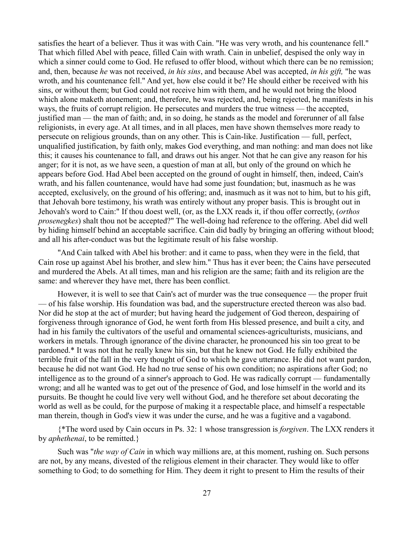satisfies the heart of a believer. Thus it was with Cain. "He was very wroth, and his countenance fell." That which filled Abel with peace, filled Cain with wrath. Cain in unbelief, despised the only way in which a sinner could come to God. He refused to offer blood, without which there can be no remission; and, then, because *he* was not received, *in his sins*, and because Abel was accepted, *in his gift,* "he was wroth, and his countenance fell." And yet, how else could it be? He should either be received with his sins, or without them; but God could not receive him with them, and he would not bring the blood which alone maketh atonement; and, therefore, he was rejected, and, being rejected, he manifests in his ways, the fruits of corrupt religion. He persecutes and murders the true witness — the accepted, justified man — the man of faith; and, in so doing, he stands as the model and forerunner of all false religionists, in every age. At all times, and in all places, men have shown themselves more ready to persecute on religious grounds, than on any other. This is Cain-like. Justification — full, perfect, unqualified justification, by faith only, makes God everything, and man nothing: and man does not like this; it causes his countenance to fall, and draws out his anger. Not that he can give any reason for his anger; for it is not, as we have seen, a question of man at all, but only of the ground on which he appears before God. Had Abel been accepted on the ground of ought in himself, then, indeed, Cain's wrath, and his fallen countenance, would have had some just foundation; but, inasmuch as he was accepted, exclusively, on the ground of his offering; and, inasmuch as it was not to him, but to his gift, that Jehovah bore testimony, his wrath was entirely without any proper basis. This is brought out in Jehovah's word to Cain:" If thou doest well, (or, as the LXX reads it, if thou offer correctly, (*orthos prosenegkes*) shalt thou not be accepted?" The well-doing had reference to the offering. Abel did well by hiding himself behind an acceptable sacrifice. Cain did badly by bringing an offering without blood; and all his after-conduct was but the legitimate result of his false worship.

"And Cain talked with Abel his brother: and it came to pass, when they were in the field, that Cain rose up against Abel his brother, and slew him." Thus has it ever been; the Cains have persecuted and murdered the Abels. At all times, man and his religion are the same; faith and its religion are the same: and wherever they have met, there has been conflict.

However, it is well to see that Cain's act of murder was the true consequence — the proper fruit — of his false worship. His foundation was bad, and the superstructure erected thereon was also bad. Nor did he stop at the act of murder; but having heard the judgement of God thereon, despairing of forgiveness through ignorance of God, he went forth from His blessed presence, and built a city, and had in his family the cultivators of the useful and ornamental sciences-agriculturists, musicians, and workers in metals. Through ignorance of the divine character, he pronounced his sin too great to be pardoned.\* It was not that he really knew his sin, but that he knew not God. He fully exhibited the terrible fruit of the fall in the very thought of God to which he gave utterance. He did not want pardon, because he did not want God. He had no true sense of his own condition; no aspirations after God; no intelligence as to the ground of a sinner's approach to God. He was radically corrupt — fundamentally wrong; and all he wanted was to get out of the presence of God, and lose himself in the world and its pursuits. Be thought he could live very well without God, and he therefore set about decorating the world as well as be could, for the purpose of making it a respectable place, and himself a respectable man therein, though in God's view it was under the curse, and he was a fugitive and a vagabond.

{\*The word used by Cain occurs in Ps. 32: 1 whose transgression is *forgiven*. The LXX renders it by *aphethenai*, to be remitted.}

Such was "*the way of Cain* in which way millions are, at this moment, rushing on. Such persons are not, by any means, divested of the religious element in their character. They would like to offer something to God; to do something for Him. They deem it right to present to Him the results of their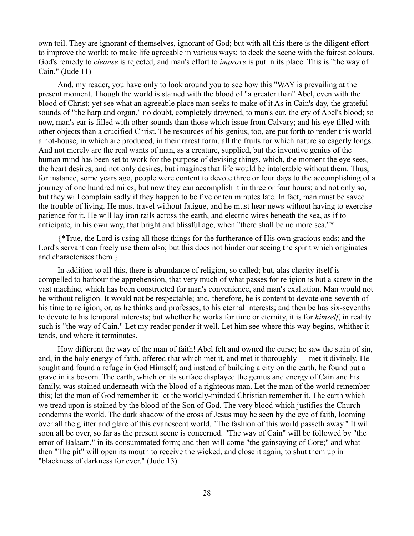own toil. They are ignorant of themselves, ignorant of God; but with all this there is the diligent effort to improve the world; to make life agreeable in various ways; to deck the scene with the fairest colours. God's remedy to *cleanse* is rejected, and man's effort to *improve* is put in its place. This is "the way of Cain." (Jude 11)

And, my reader, you have only to look around you to see how this "WAY is prevailing at the present moment. Though the world is stained with the blood of "a greater than" Abel, even with the blood of Christ; yet see what an agreeable place man seeks to make of it As in Cain's day, the grateful sounds of "the harp and organ," no doubt, completely drowned, to man's ear, the cry of Abel's blood; so now, man's ear is filled with other sounds than those which issue from Calvary; and his eye filled with other objects than a crucified Christ. The resources of his genius, too, are put forth to render this world a hot-house, in which are produced, in their rarest form, all the fruits for which nature so eagerly longs. And not merely are the real wants of man, as a creature, supplied, but the inventive genius of the human mind has been set to work for the purpose of devising things, which, the moment the eye sees, the heart desires, and not only desires, but imagines that life would be intolerable without them. Thus, for instance, some years ago, people were content to devote three or four days to the accomplishing of a journey of one hundred miles; but now they can accomplish it in three or four hours; and not only so, but they will complain sadly if they happen to be five or ten minutes late. In fact, man must be saved the trouble of living. He must travel without fatigue, and he must hear news without having to exercise patience for it. He will lay iron rails across the earth, and electric wires beneath the sea, as if to anticipate, in his own way, that bright and blissful age, when "there shall be no more sea."\*

{\*True, the Lord is using all those things for the furtherance of His own gracious ends; and the Lord's servant can freely use them also; but this does not hinder our seeing the spirit which originates and characterises them.}

In addition to all this, there is abundance of religion, so called; but, alas charity itself is compelled to harbour the apprehension, that very much of what passes for religion is but a screw in the vast machine, which has been constructed for man's convenience, and man's exaltation. Man would not be without religion. It would not be respectable; and, therefore, he is content to devote one-seventh of his time to religion; or, as he thinks and professes, to his eternal interests; and then be has six-sevenths to devote to his temporal interests; but whether he works for time or eternity, it is for *himself*, in reality. such is "the way of Cain." Let my reader ponder it well. Let him see where this way begins, whither it tends, and where it terminates.

How different the way of the man of faith! Abel felt and owned the curse; he saw the stain of sin, and, in the holy energy of faith, offered that which met it, and met it thoroughly — met it divinely. He sought and found a refuge in God Himself; and instead of building a city on the earth, he found but a grave in its bosom. The earth, which on its surface displayed the genius and energy of Cain and his family, was stained underneath with the blood of a righteous man. Let the man of the world remember this; let the man of God remember it; let the worldly-minded Christian remember it. The earth which we tread upon is stained by the blood of the Son of God. The very blood which justifies the Church condemns the world. The dark shadow of the cross of Jesus may be seen by the eye of faith, looming over all the glitter and glare of this evanescent world. "The fashion of this world passeth away." It will soon all be over, so far as the present scene is concerned. "The way of Cain" will be followed by "the error of Balaam," in its consummated form; and then will come "the gainsaying of Core;" and what then "The pit" will open its mouth to receive the wicked, and close it again, to shut them up in "blackness of darkness for ever." (Jude 13)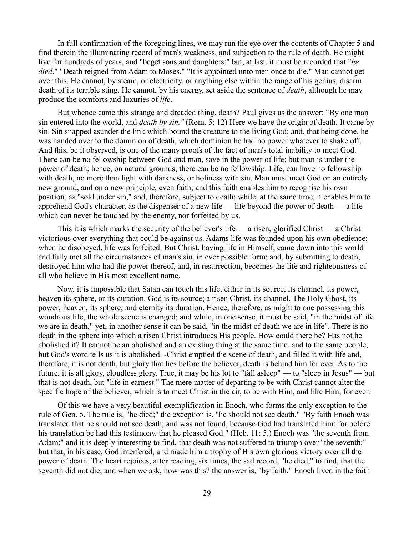In full confirmation of the foregoing lines, we may run the eye over the contents of Chapter 5 and find therein the illuminating record of man's weakness, and subjection to the rule of death. He might live for hundreds of years, and "beget sons and daughters;" but, at last, it must be recorded that "*he died*." "Death reigned from Adam to Moses." "It is appointed unto men once to die." Man cannot get over this. He cannot, by steam, or electricity, or anything else within the range of his genius, disarm death of its terrible sting. He cannot, by his energy, set aside the sentence of *death*, although he may produce the comforts and luxuries of *life*.

But whence came this strange and dreaded thing, death? Paul gives us the answer: "By one man sin entered into the world, and *death by sin."* (Rom. 5: 12) Here we have the origin of death. It came by sin. Sin snapped asunder the link which bound the creature to the living God; and, that being done, he was handed over to the dominion of death, which dominion he had no power whatever to shake off. And this, be it observed, is one of the many proofs of the fact of man's total inability to meet God. There can be no fellowship between God and man, save in the power of life; but man is under the power of death; hence, on natural grounds, there can be no fellowship. Life, can have no fellowship with death, no more than light with darkness, or holiness with sin. Man must meet God on an entirely new ground, and on a new principle, even faith; and this faith enables him to recognise his own position, as "sold under sin," and, therefore, subject to death; while, at the same time, it enables him to apprehend God's character, as the dispenser of a new life — life beyond the power of death — a life which can never be touched by the enemy, nor forfeited by us.

This it is which marks the security of the believer's life — a risen, glorified Christ — a Christ victorious over everything that could be against us. Adams life was founded upon his own obedience; when he disobeyed, life was forfeited. But Christ, having life in Himself, came down into this world and fully met all the circumstances of man's sin, in ever possible form; and, by submitting to death, destroyed him who had the power thereof, and, in resurrection, becomes the life and righteousness of all who believe in His most excellent name.

Now, it is impossible that Satan can touch this life, either in its source, its channel, its power, heaven its sphere, or its duration. God is its source; a risen Christ, its channel, The Holy Ghost, its power; heaven, its sphere; and eternity its duration. Hence, therefore, as might to one possessing this wondrous life, the whole scene is changed; and while, in one sense, it must be said, "in the midst of life we are in death," yet, in another sense it can be said, "in the midst of death we are in life". There is no death in the sphere into which a risen Christ introduces His people. How could there be? Has not he abolished it? It cannot be an abolished and an existing thing at the same time, and to the same people; but God's word tells us it is abolished. -Christ emptied the scene of death, and filled it with life and, therefore, it is not death, but glory that lies before the believer, death is behind him for ever. As to the future, it is all glory, cloudless glory. True, it may be his lot to "fall asleep" — to "sleep in Jesus" — but that is not death, but "life in earnest." The mere matter of departing to be with Christ cannot alter the specific hope of the believer, which is to meet Christ in the air, to be with Him, and like Him, for ever.

Of this we have a very beautiful exemplification in Enoch, who forms the only exception to the rule of Gen. 5. The rule is, "he died;" the exception is, "he should not see death." "By faith Enoch was translated that he should not see death; and was not found, because God had translated him; for before his translation be had this testimony, that he pleased God." (Heb. 11: 5.) Enoch was "the seventh from Adam;" and it is deeply interesting to find, that death was not suffered to triumph over "the seventh;" but that, in his case, God interfered, and made him a trophy of His own glorious victory over all the power of death. The heart rejoices, after reading, six times, the sad record, "he died," to find, that the seventh did not die; and when we ask, how was this? the answer is, "by faith." Enoch lived in the faith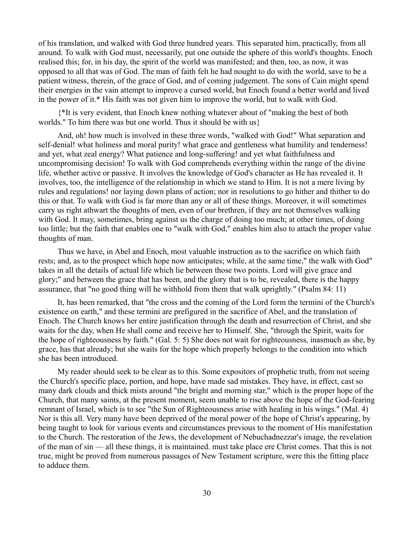of his translation, and walked with God three hundred years. This separated him, practically, from all around. To walk with God must, necessarily, put one outside the sphere of this world's thoughts. Enoch realised this; for, in his day, the spirit of the world was manifested; and then, too, as now, it was opposed to all that was of God. The man of faith felt he had nought to do with the world, save to be a patient witness, therein, of the grace of God, and of coming judgement. The sons of Cain might spend their energies in the vain attempt to improve a cursed world, but Enoch found a better world and lived in the power of it.\* His faith was not given him to improve the world, but to walk with God.

{\*It is very evident, that Enoch knew nothing whatever about of "making the best of both worlds." To him there was but one world. Thus it should be with us}

And, oh! how much is involved in these three words, "walked with God!" What separation and self-denial! what holiness and moral purity! what grace and gentleness what humility and tenderness! and yet, what zeal energy? What patience and long-suffering! and yet what faithfulness and uncompromising decision! To walk with God comprehends everything within the range of the divine life, whether active or passive. It involves the knowledge of God's character as He has revealed it. It involves, too, the intelligence of the relationship in which we stand to Him. It is not a mere living by rules and regulations! nor laying down plans of action; nor in resolutions to go hither and thither to do this or that. To walk with God is far more than any or all of these things. Moreover, it will sometimes carry us right athwart the thoughts of men, even of our brethren, if they are not themselves walking with God. It may, sometimes, bring against us the charge of doing too much; at other times, of doing too little; but the faith that enables one to "walk with God," enables him also to attach the proper value thoughts of man.

Thus we have, in Abel and Enoch, most valuable instruction as to the sacrifice on which faith rests; and, as to the prospect which hope now anticipates; while, at the same time," the walk with God" takes in all the details of actual life which lie between those two points. Lord will give grace and glory;" and between the grace that has been, and the glory that is to be, revealed, there is the happy assurance, that "no good thing will he withhold from them that walk uprightly." (Psalm 84: 11)

It, has been remarked, that "the cross and the coming of the Lord form the termini of the Church's existence on earth," and these termini are prefigured in the sacrifice of Abel, and the translation of Enoch. The Church knows her entire justification through the death and resurrection of Christ, and she waits for the day, when He shall come and receive her to Himself. She, "through the Spirit, waits for the hope of righteousness by faith." (Gal. 5: 5) She does not wait for righteousness, inasmuch as she, by grace, has that already; but she waits for the hope which properly belongs to the condition into which she has been introduced.

My reader should seek to be clear as to this. Some expositors of prophetic truth, from not seeing the Church's specific place, portion, and hope, have made sad mistakes. They have, in effect, cast so many dark clouds and thick mists around "the bright and morning star," which is the proper hope of the Church, that many saints, at the present moment, seem unable to rise above the hope of the God-fearing remnant of Israel, which is to see "the Sun of Righteousness arise with healing in his wings." (Mal. 4) Nor is this all. Very many have been deprived of the moral power of the hope of Christ's appearing, by being taught to look for various events and circumstances previous to the moment of His manifestation to the Church. The restoration of the Jews, the development of Nebuchadnezzar's image, the revelation of the man of sin — all these things, it is maintained. must take place ere Christ comes. That this is not true, might be proved from numerous passages of New Testament scripture, were this the fitting place to adduce them.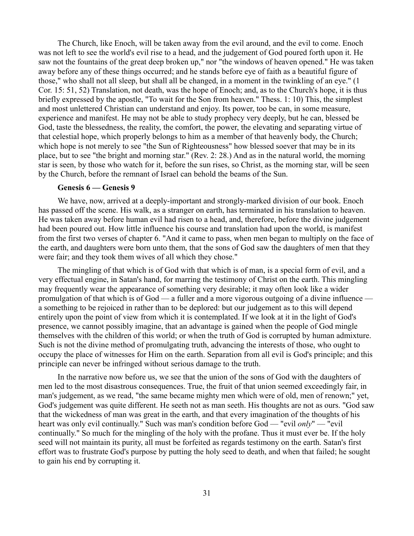The Church, like Enoch, will be taken away from the evil around, and the evil to come. Enoch was not left to see the world's evil rise to a head, and the judgement of God poured forth upon it. He saw not the fountains of the great deep broken up," nor "the windows of heaven opened." He was taken away before any of these things occurred; and he stands before eye of faith as a beautiful figure of those," who shall not all sleep, but shall all be changed, in a moment in the twinkling of an eye." (1 Cor. 15: 51, 52) Translation, not death, was the hope of Enoch; and, as to the Church's hope, it is thus briefly expressed by the apostle, "To wait for the Son from heaven." Thess. 1: 10) This, the simplest and most unlettered Christian can understand and enjoy. Its power, too be can, in some measure, experience and manifest. He may not be able to study prophecy very deeply, but he can, blessed be God, taste the blessedness, the reality, the comfort, the power, the elevating and separating virtue of that celestial hope, which properly belongs to him as a member of that heavenly body, the Church; which hope is not merely to see "the Sun of Righteousness" how blessed soever that may be in its place, but to see "the bright and morning star." (Rev. 2: 28.) And as in the natural world, the morning star is seen, by those who watch for it, before the sun rises, so Christ, as the morning star, will be seen by the Church, before the remnant of Israel can behold the beams of the Sun.

## **Genesis 6 — Genesis 9**

We have, now, arrived at a deeply-important and strongly-marked division of our book. Enoch has passed off the scene. His walk, as a stranger on earth, has terminated in his translation to heaven. He was taken away before human evil had risen to a head, and, therefore, before the divine judgement had been poured out. How little influence his course and translation had upon the world, is manifest from the first two verses of chapter 6. "And it came to pass, when men began to multiply on the face of the earth, and daughters were born unto them, that the sons of God saw the daughters of men that they were fair; and they took them wives of all which they chose."

The mingling of that which is of God with that which is of man, is a special form of evil, and a very effectual engine, in Satan's hand, for marring the testimony of Christ on the earth. This mingling may frequently wear the appearance of something very desirable; it may often look like a wider promulgation of that which is of God — a fuller and a more vigorous outgoing of a divine influence a something to be rejoiced in rather than to be deplored: but our judgement as to this will depend entirely upon the point of view from which it is contemplated. If we look at it in the light of God's presence, we cannot possibly imagine, that an advantage is gained when the people of God mingle themselves with the children of this world; or when the truth of God is corrupted by human admixture. Such is not the divine method of promulgating truth, advancing the interests of those, who ought to occupy the place of witnesses for Him on the earth. Separation from all evil is God's principle; and this principle can never be infringed without serious damage to the truth.

In the narrative now before us, we see that the union of the sons of God with the daughters of men led to the most disastrous consequences. True, the fruit of that union seemed exceedingly fair, in man's judgement, as we read, "the same became mighty men which were of old, men of renown;" yet, God's judgement was quite different. He seeth not as man seeth. His thoughts are not as ours. "God saw that the wickedness of man was great in the earth, and that every imagination of the thoughts of his heart was only evil continually." Such was man's condition before God — "evil *only*" — "evil continually." So much for the mingling of the holy with the profane. Thus it must ever be. If the holy seed will not maintain its purity, all must be forfeited as regards testimony on the earth. Satan's first effort was to frustrate God's purpose by putting the holy seed to death, and when that failed; he sought to gain his end by corrupting it.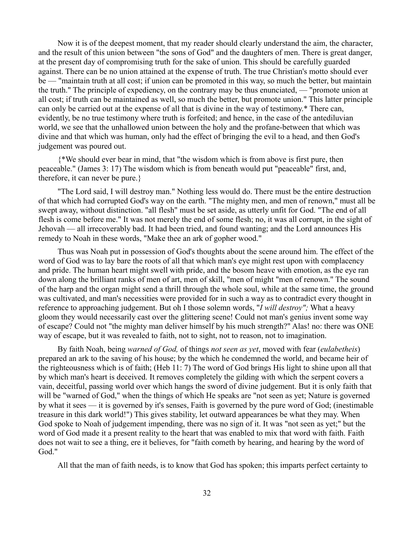Now it is of the deepest moment, that my reader should clearly understand the aim, the character, and the result of this union between "the sons of God" and the daughters of men. There is great danger, at the present day of compromising truth for the sake of union. This should be carefully guarded against. There can be no union attained at the expense of truth. The true Christian's motto should ever be — "maintain truth at all cost; if union can be promoted in this way, so much the better, but maintain the truth." The principle of expediency, on the contrary may be thus enunciated, — "promote union at all cost; if truth can be maintained as well, so much the better, but promote union." This latter principle can only be carried out at the expense of all that is divine in the way of testimony.\* There can, evidently, be no true testimony where truth is forfeited; and hence, in the case of the antediluvian world, we see that the unhallowed union between the holy and the profane-between that which was divine and that which was human, only had the effect of bringing the evil to a head, and then God's judgement was poured out.

{\*We should ever bear in mind, that "the wisdom which is from above is first pure, then peaceable." (James 3: 17) The wisdom which is from beneath would put "peaceable" first, and, therefore, it can never be pure.}

"The Lord said, I will destroy man." Nothing less would do. There must be the entire destruction of that which had corrupted God's way on the earth. "The mighty men, and men of renown," must all be swept away, without distinction. "all flesh" must be set aside, as utterly unfit for God. "The end of all flesh is come before me." It was not merely the end of some flesh; no, it was all corrupt, in the sight of Jehovah — all irrecoverably bad. It had been tried, and found wanting; and the Lord announces His remedy to Noah in these words, "Make thee an ark of gopher wood."

Thus was Noah put in possession of God's thoughts about the scene around him. The effect of the word of God was to lay bare the roots of all that which man's eye might rest upon with complacency and pride. The human heart might swell with pride, and the bosom heave with emotion, as the eye ran down along the brilliant ranks of men of art, men of skill, "men of might "men of renown." The sound of the harp and the organ might send a thrill through the whole soul, while at the same time, the ground was cultivated, and man's necessities were provided for in such a way as to contradict every thought in reference to approaching judgement. But oh I those solemn words, "*I will destroy";* What a heavy gloom they would necessarily cast over the glittering scene! Could not man's genius invent some way of escape? Could not "the mighty man deliver himself by his much strength?" Alas! no: there was ONE way of escape, but it was revealed to faith, not to sight, not to reason, not to imagination.

By faith Noah, being *warned of God,* of things *not seen as yet*, moved with fear (*eulabetheis*) prepared an ark to the saving of his house; by the which he condemned the world, and became heir of the righteousness which is of faith; (Heb 11: 7) The word of God brings His light to shine upon all that by which man's heart is deceived. It removes completely the gilding with which the serpent covers a vain, deceitful, passing world over which hangs the sword of divine judgement. But it is only faith that will be "warned of God," when the things of which He speaks are "not seen as yet; Nature is governed by what it sees — it is governed by it's senses, Faith is governed by the pure word of God; (inestimable treasure in this dark world!") This gives stability, let outward appearances be what they may. When God spoke to Noah of judgement impending, there was no sign of it. It was "not seen as yet;" but the word of God made it a present reality to the heart that was enabled to mix that word with faith. Faith does not wait to see a thing, ere it believes, for "faith cometh by hearing, and hearing by the word of God."

All that the man of faith needs, is to know that God has spoken; this imparts perfect certainty to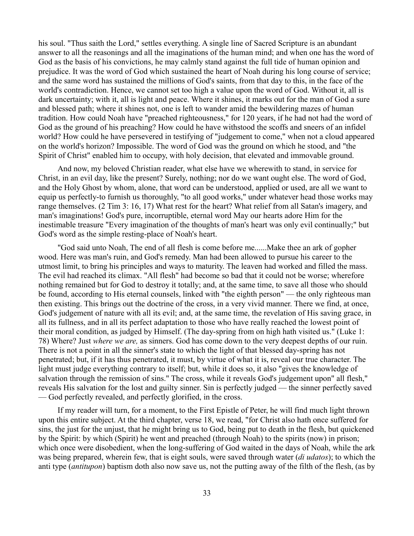his soul. "Thus saith the Lord," settles everything. A single line of Sacred Scripture is an abundant answer to all the reasonings and all the imaginations of the human mind; and when one has the word of God as the basis of his convictions, he may calmly stand against the full tide of human opinion and prejudice. It was the word of God which sustained the heart of Noah during his long course of service; and the same word has sustained the millions of God's saints, from that day to this, in the face of the world's contradiction. Hence, we cannot set too high a value upon the word of God. Without it, all is dark uncertainty; with it, all is light and peace. Where it shines, it marks out for the man of God a sure and blessed path; where it shines not, one is left to wander amid the bewildering mazes of human tradition. How could Noah have "preached righteousness," for 120 years, if he had not had the word of God as the ground of his preaching? How could he have withstood the scoffs and sneers of an infidel world? How could he have persevered in testifying of "judgement to come," when not a cloud appeared on the world's horizon? Impossible. The word of God was the ground on which he stood, and "the Spirit of Christ" enabled him to occupy, with holy decision, that elevated and immovable ground.

And now, my beloved Christian reader, what else have we wherewith to stand, in service for Christ, in an evil day, like the present? Surely, nothing; nor do we want ought else. The word of God, and the Holy Ghost by whom, alone, that word can be understood, applied or used, are all we want to equip us perfectly-to furnish us thoroughly, "to all good works," under whatever head those works may range themselves. (2 Tim 3: 16, 17) What rest for the heart? What relief from all Satan's imagery, and man's imaginations! God's pure, incorruptible, eternal word May our hearts adore Him for the inestimable treasure "Every imagination of the thoughts of man's heart was only evil continually;" but God's word as the simple resting-place of Noah's heart.

"God said unto Noah, The end of all flesh is come before me......Make thee an ark of gopher wood. Here was man's ruin, and God's remedy. Man had been allowed to pursue his career to the utmost limit, to bring his principles and ways to maturity. The leaven had worked and filled the mass. The evil had reached its climax. "All flesh" had become so bad that it could not be worse; wherefore nothing remained but for God to destroy it totally; and, at the same time, to save all those who should be found, according to His eternal counsels, linked with "the eighth person" — the only righteous man then existing. This brings out the doctrine of the cross, in a very vivid manner. There we find, at once, God's judgement of nature with all its evil; and, at the same time, the revelation of His saving grace, in all its fullness, and in all its perfect adaptation to those who have really reached the lowest point of their moral condition, as judged by Himself. (The day-spring from on high hath visited us." (Luke 1: 78) Where? Just *where we are,* as sinners. God has come down to the very deepest depths of our ruin. There is not a point in all the sinner's state to which the light of that blessed day-spring has not penetrated; but, if it has thus penetrated, it must, by virtue of what it is, reveal our true character. The light must judge everything contrary to itself; but, while it does so, it also "gives the knowledge of salvation through the remission of sins." The cross, while it reveals God's judgement upon" all flesh," reveals His salvation for the lost and guilty sinner. Sin is perfectly judged — the sinner perfectly saved — God perfectly revealed, and perfectly glorified, in the cross.

If my reader will turn, for a moment, to the First Epistle of Peter, he will find much light thrown upon this entire subject. At the third chapter, verse 18, we read, "for Christ also hath once suffered for sins, the just for the unjust, that he might bring us to God, being put to death in the flesh, but quickened by the Spirit: by which (Spirit) he went and preached (through Noah) to the spirits (now) in prison; which once were disobedient, when the long-suffering of God waited in the days of Noah, while the ark was being prepared, wherein few, that is eight souls, were saved through water (*di udatos*); to which the anti type (*antitupon*) baptism doth also now save us, not the putting away of the filth of the flesh, (as by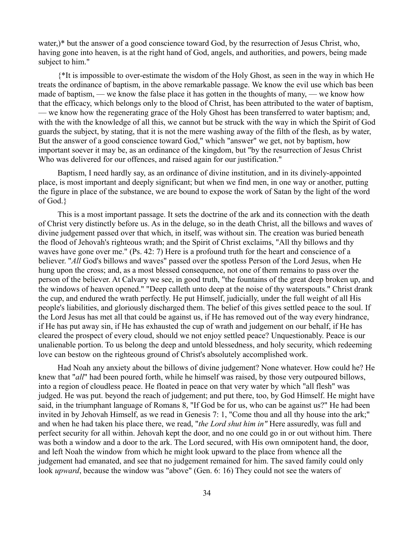water,)\* but the answer of a good conscience toward God, by the resurrection of Jesus Christ, who, having gone into heaven, is at the right hand of God, angels, and authorities, and powers, being made subject to him."

{\*It is impossible to over-estimate the wisdom of the Holy Ghost, as seen in the way in which He treats the ordinance of baptism, in the above remarkable passage. We know the evil use which bas been made of baptism, — we know the false place it has gotten in the thoughts of many, — we know how that the efficacy, which belongs only to the blood of Christ, has been attributed to the water of baptism, — we know how the regenerating grace of the Holy Ghost has been transferred to water baptism; and, with the with the knowledge of all this, we cannot but be struck with the way in which the Spirit of God guards the subject, by stating, that it is not the mere washing away of the filth of the flesh, as by water, But the answer of a good conscience toward God," which "answer" we get, not by baptism, how important soever it may be, as an ordinance of the kingdom, but "by the resurrection of Jesus Christ Who was delivered for our offences, and raised again for our justification."

Baptism, I need hardly say, as an ordinance of divine institution, and in its divinely-appointed place, is most important and deeply significant; but when we find men, in one way or another, putting the figure in place of the substance, we are bound to expose the work of Satan by the light of the word of God.}

This is a most important passage. It sets the doctrine of the ark and its connection with the death of Christ very distinctly before us. As in the deluge, so in the death Christ, all the billows and waves of divine judgement passed over that which, in itself, was without sin. The creation was buried beneath the flood of Jehovah's righteous wrath; and the Spirit of Christ exclaims, "All thy billows and thy waves have gone over me." (Ps. 42: 7) Here is a profound truth for the heart and conscience of a believer. "*All* God's billows and waves" passed over the spotless Person of the Lord Jesus, when He hung upon the cross; and, as a most blessed consequence, not one of them remains to pass over the person of the believer. At Calvary we see, in good truth, "the fountains of the great deep broken up, and the windows of heaven opened." "Deep calleth unto deep at the noise of thy waterspouts." Christ drank the cup, and endured the wrath perfectly. He put Himself, judicially, under the full weight of all His people's liabilities, and gloriously discharged them. The belief of this gives settled peace to the soul. If the Lord Jesus has met all that could be against us, if He has removed out of the way every hindrance, if He has put away sin, if He has exhausted the cup of wrath and judgement on our behalf, if He has cleared the prospect of every cloud, should we not enjoy settled peace? Unquestionably. Peace is our unalienable portion. To us belong the deep and untold blessedness, and holy security, which redeeming love can bestow on the righteous ground of Christ's absolutely accomplished work.

Had Noah any anxiety about the billows of divine judgement? None whatever. How could he? He knew that "*all*" had been poured forth, while he himself was raised, by those very outpoured billows, into a region of cloudless peace. He floated in peace on that very water by which "all flesh" was judged. He was put. beyond the reach of judgement; and put there, too, by God Himself. He might have said, in the triumphant language of Romans 8, "If God be for us, who can be against us?" He had been invited in by Jehovah Himself, as we read in Genesis 7: 1, "Come thou and all thy house into the ark;" and when he had taken his place there, we read, "*the Lord shut him in"* Here assuredly, was full and perfect security for all within. Jehovah kept the door, and no one could go in or out without him. There was both a window and a door to the ark. The Lord secured, with His own omnipotent hand, the door, and left Noah the window from which he might look upward to the place from whence all the judgement had emanated, and see that no judgement remained for him. The saved family could only look *upward*, because the window was "above" (Gen. 6: 16) They could not see the waters of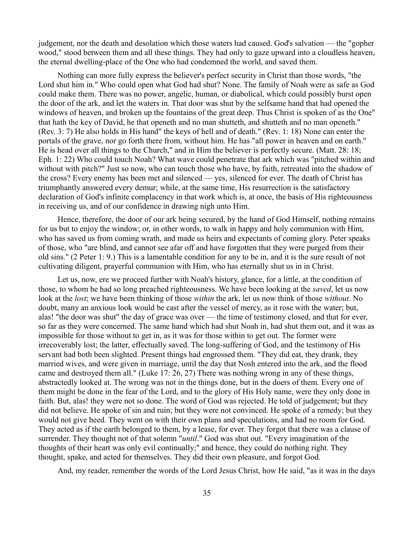judgement, nor the death and desolation which those waters had caused. God's salvation — the "gopher wood," stood between them and all these things. They had only to gaze upward into a cloudless heaven, the eternal dwelling-place of the One who had condemned the world, and saved them.

Nothing can more fully express the believer's perfect security in Christ than those words, "the Lord shut him in." Who could open what God had shut? None. The family of Noah were as safe as God could make them. There was no power, angelic, human, or diabolical, which could possibly burst open the door of the ark, and let the waters in. That door was shut by the selfsame hand that had opened the windows of heaven, and broken up the fountains of the great deep. Thus Christ is spoken of as the One" that hath the key of David, he that openeth and no man shutteth, and shutteth and no man openeth." (Rev. 3: 7) He also holds in His hand" the keys of hell and of death." (Rev. 1: 18) None can enter the portals of the grave, nor go forth there from, without him. He has "all power in heaven and on earth." He is head over all things to the Church," and in Him the believer is perfectly secure. (Matt. 28: 18; Eph. 1: 22) Who could touch Noah? What wave could penetrate that ark which was "pitched within and without with pitch?" Just so now, who can touch those who have, by faith, retreated into the shadow of the cross? Every enemy has been met and silenced — yes, silenced for ever. The death of Christ has triumphantly answered every demur; while, at the same time, His resurrection is the satisfactory declaration of God's infinite complacency in that work which is, at once, the basis of His righteousness in receiving us, and of our confidence in drawing nigh unto Him.

Hence, therefore, the door of our ark being secured, by the hand of God Himself, nothing remains for us but to enjoy the window; or, in other words, to walk in happy and holy communion with Him, who has saved us from coming wrath, and made us heirs and expectants of coming glory. Peter speaks of those, who "are blind, and cannot see afar off and have forgotten that they were purged from their old sins." (2 Peter 1: 9.) This is a lamentable condition for any to be in, and it is the sure result of not cultivating diligent, prayerful communion with Him, who has eternally shut us in in Christ.

Let us, now, ere we proceed further with Noah's history, glance, for a little, at the condition of those, to whom he had so long preached righteousness. We have been looking at the *saved*, let us now look at the *lost*; we have been thinking of those *within* the ark, let us now think of those *without*. No doubt, many an anxious look would be cast after the vessel of mercy, as it rose with the water; but, alas! "the door was shut" the day of grace was over — the time of testimony closed, and that for ever, so far as they were concerned. The same hand which had shut Noah in, had shut them out, and it was as impossible for those without to get in, as it was for those within to get out. The former were irrecoverably lost; the latter, effectually saved. The long-suffering of God, and the testimony of His servant had both been slighted. Present things had engrossed them. "They did eat, they drank, they married wives, and were given in marriage, until the day that Nosh entered into the ark, and the flood came and destroyed them all." (Luke 17: 26, 27) There was nothing wrong in any of these things, abstractedly looked at. The wrong was not in the things done, but in the doers of them. Every one of them might be done in the fear of the Lord, and to the glory of His Holy name, were they only done in faith. But, alas! they were not so done. The word of God was rejected. He told of judgement; but they did not believe. He spoke of sin and ruin; but they were not convinced. He spoke of a remedy; but they would not give heed. They went on with their own plans and speculations, and had no room for God. They acted as if the earth belonged to them, by a lease, for ever. They forgot that there was a clause of surrender. They thought not of that solemn "*until*." God was shut out. "Every imagination of the thoughts of their heart was only evil continually;" and hence, they could do nothing right. They thought, spake, and acted for themselves. They did their own pleasure, and forgot God.

And, my reader, remember the words of the Lord Jesus Christ, how He said, "as it was in the days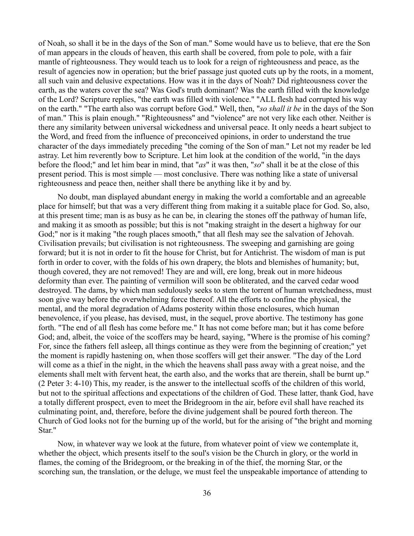of Noah, so shall it be in the days of the Son of man." Some would have us to believe, that ere the Son of man appears in the clouds of heaven, this earth shall be covered, from pole to pole, with a fair mantle of righteousness. They would teach us to look for a reign of righteousness and peace, as the result of agencies now in operation; but the brief passage just quoted cuts up by the roots, in a moment, all such vain and delusive expectations. How was it in the days of Noah? Did righteousness cover the earth, as the waters cover the sea? Was God's truth dominant? Was the earth filled with the knowledge of the Lord? Scripture replies, "the earth was filled with violence." "ALL flesh had corrupted his way on the earth." "The earth also was corrupt before God." Well, then, "*so shall it be* in the days of the Son of man." This is plain enough." "Righteousness" and "violence" are not very like each other. Neither is there any similarity between universal wickedness and universal peace. It only needs a heart subject to the Word, and freed from the influence of preconceived opinions, in order to understand the true character of the days immediately preceding "the coming of the Son of man." Let not my reader be led astray. Let him reverently bow to Scripture. Let him look at the condition of the world, "in the days before the flood;" and let him bear in mind, that "*as*" it was then, "*so*" shall it be at the close of this present period. This is most simple — most conclusive. There was nothing like a state of universal righteousness and peace then, neither shall there be anything like it by and by.

No doubt, man displayed abundant energy in making the world a comfortable and an agreeable place for himself; but that was a very different thing from making it a suitable place for God. So, also, at this present time; man is as busy as he can be, in clearing the stones off the pathway of human life, and making it as smooth as possible; but this is not "making straight in the desert a highway for our God;" nor is it making "the rough places smooth," that all flesh may see the salvation of Jehovah. Civilisation prevails; but civilisation is not righteousness. The sweeping and garnishing are going forward; but it is not in order to fit the house for Christ, but for Antichrist. The wisdom of man is put forth in order to cover, with the folds of his own drapery, the blots and blemishes of humanity; but, though covered, they are not removed! They are and will, ere long, break out in more hideous deformity than ever. The painting of vermilion will soon be obliterated, and the carved cedar wood destroyed. The dams, by which man sedulously seeks to stem the torrent of human wretchedness, must soon give way before the overwhelming force thereof. All the efforts to confine the physical, the mental, and the moral degradation of Adams posterity within those enclosures, which human benevolence, if you please, has devised, must, in the sequel, prove abortive. The testimony has gone forth. "The end of all flesh has come before me." It has not come before man; but it has come before God; and, albeit, the voice of the scoffers may be heard, saying, "Where is the promise of his coming? For, since the fathers fell asleep, all things continue as they were from the beginning of creation;" yet the moment is rapidly hastening on, when those scoffers will get their answer. "The day of the Lord will come as a thief in the night, in the which the heavens shall pass away with a great noise, and the elements shall melt with fervent heat, the earth also, and the works that are therein, shall be burnt up." (2 Peter 3: 4-10) This, my reader, is the answer to the intellectual scoffs of the children of this world, but not to the spiritual affections and expectations of the children of God. These latter, thank God, have a totally different prospect, even to meet the Bridegroom in the air, before evil shall have reached its culminating point, and, therefore, before the divine judgement shall be poured forth thereon. The Church of God looks not for the burning up of the world, but for the arising of "the bright and morning Star."

Now, in whatever way we look at the future, from whatever point of view we contemplate it, whether the object, which presents itself to the soul's vision be the Church in glory, or the world in flames, the coming of the Bridegroom, or the breaking in of the thief, the morning Star, or the scorching sun, the translation, or the deluge, we must feel the unspeakable importance of attending to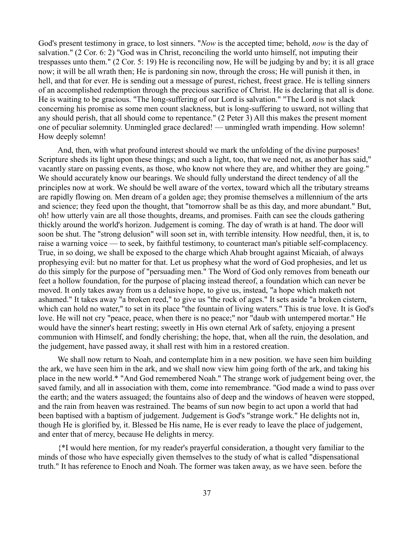God's present testimony in grace, to lost sinners. "*Now* is the accepted time; behold, *now* is the day of salvation." (2 Cor. 6: 2) "God was in Christ, reconciling the world unto himself, not imputing their trespasses unto them." (2 Cor. 5: 19) He is reconciling now, He will be judging by and by; it is all grace now; it will be all wrath then; He is pardoning sin now, through the cross; He will punish it then, in hell, and that for ever. He is sending out a message of purest, richest, freest grace. He is telling sinners of an accomplished redemption through the precious sacrifice of Christ. He is declaring that all is done. He is waiting to be gracious. "The long-suffering of our Lord is salvation." "The Lord is not slack concerning his promise as some men count slackness, but is long-suffering to usward, not willing that any should perish, that all should come to repentance." (2 Peter 3) All this makes the present moment one of peculiar solemnity. Unmingled grace declared! — unmingled wrath impending. How solemn! How deeply solemn!

And, then, with what profound interest should we mark the unfolding of the divine purposes! Scripture sheds its light upon these things; and such a light, too, that we need not, as another has said," vacantly stare on passing events, as those, who know not where they are, and whither they are going." We should accurately know our bearings. We should fully understand the direct tendency of all the principles now at work. We should be well aware of the vortex, toward which all the tributary streams are rapidly flowing on. Men dream of a golden age; they promise themselves a millennium of the arts and science; they feed upon the thought, that "tomorrow shall be as this day, and more abundant." But, oh! how utterly vain are all those thoughts, dreams, and promises. Faith can see the clouds gathering thickly around the world's horizon. Judgement is coming. The day of wrath is at hand. The door will soon be shut. The "strong delusion" will soon set in, with terrible intensity. How needful, then, it is, to raise a warning voice — to seek, by faithful testimony, to counteract man's pitiable self-complacency. True, in so doing, we shall be exposed to the charge which Ahab brought against Micaiah, of always prophesying evil: but no matter for that. Let us prophesy what the word of God prophesies, and let us do this simply for the purpose of "persuading men." The Word of God only removes from beneath our feet a hollow foundation, for the purpose of placing instead thereof, a foundation which can never be moved. It only takes away from us a delusive hope, to give us, instead, "a hope which maketh not ashamed." It takes away "a broken reed," to give us "the rock of ages." It sets aside "a broken cistern, which can hold no water," to set in its place "the fountain of living waters." This is true love. It is God's love. He will not cry "peace, peace, when there is no peace;" nor "daub with untempered mortar." He would have the sinner's heart resting; sweetly in His own eternal Ark of safety, enjoying a present communion with Himself, and fondly cherishing; the hope, that, when all the ruin, the desolation, and the judgement, have passed away, it shall rest with him in a restored creation.

We shall now return to Noah, and contemplate him in a new position. we have seen him building the ark, we have seen him in the ark, and we shall now view him going forth of the ark, and taking his place in the new world.\* "And God remembered Noah." The strange work of judgement being over, the saved family, and all in association with them, come into remembrance. "God made a wind to pass over the earth; and the waters assuaged; the fountains also of deep and the windows of heaven were stopped, and the rain from heaven was restrained. The beams of sun now begin to act upon a world that had been baptised with a baptism of judgement. Judgement is God's "strange work." He delights not in, though He is glorified by, it. Blessed be His name, He is ever ready to leave the place of judgement, and enter that of mercy, because He delights in mercy.

{\*I would here mention, for my reader's prayerful consideration, a thought very familiar to the minds of those who have especially given themselves to the study of what is called "dispensational truth." It has reference to Enoch and Noah. The former was taken away, as we have seen. before the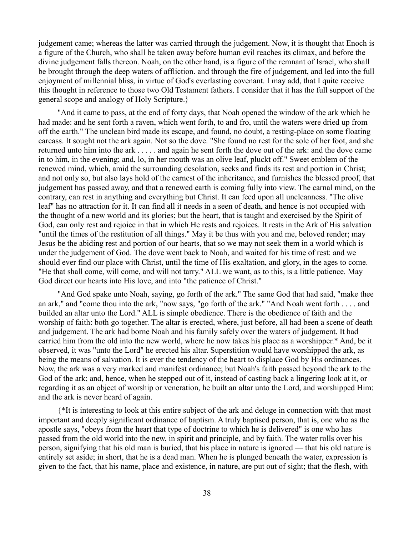judgement came; whereas the latter was carried through the judgement. Now, it is thought that Enoch is a figure of the Church, who shall be taken away before human evil reaches its climax, and before the divine judgement falls thereon. Noah, on the other hand, is a figure of the remnant of Israel, who shall be brought through the deep waters of affliction. and through the fire of judgement, and led into the full enjoyment of millennial bliss, in virtue of God's everlasting covenant. I may add, that I quite receive this thought in reference to those two Old Testament fathers. I consider that it has the full support of the general scope and analogy of Holy Scripture.}

"And it came to pass, at the end of forty days, that Noah opened the window of the ark which he had made: and he sent forth a raven, which went forth, to and fro, until the waters were dried up from off the earth." The unclean bird made its escape, and found, no doubt, a resting-place on some floating carcass. It sought not the ark again. Not so the dove. "She found no rest for the sole of her foot, and she returned unto him into the ark . . . . . and again he sent forth the dove out of the ark: and the dove came in to him, in the evening; and, lo, in her mouth was an olive leaf, pluckt off." Sweet emblem of the renewed mind, which, amid the surrounding desolation, seeks and finds its rest and portion in Christ; and not only so, but also lays hold of the earnest of the inheritance, and furnishes the blessed proof, that judgement has passed away, and that a renewed earth is coming fully into view. The carnal mind, on the contrary, can rest in anything and everything but Christ. It can feed upon all uncleanness. "The olive leaf" has no attraction for it. It can find all it needs in a seen of death, and hence is not occupied with the thought of a new world and its glories; but the heart, that is taught and exercised by the Spirit of God, can only rest and rejoice in that in which He rests and rejoices. It rests in the Ark of His salvation "until the times of the restitution of all things." May it be thus with you and me, beloved render; may Jesus be the abiding rest and portion of our hearts, that so we may not seek them in a world which is under the judgement of God. The dove went back to Noah, and waited for his time of rest: and we should ever find our place with Christ, until the time of His exaltation, and glory, in the ages to come. "He that shall come, will come, and will not tarry." ALL we want, as to this, is a little patience. May God direct our hearts into His love, and into "the patience of Christ."

"And God spake unto Noah, saying, go forth of the ark." The same God that had said, "make thee an ark," and "come thou into the ark, "now says, "go forth of the ark." "And Noah went forth . . . . and builded an altar unto the Lord." ALL is simple obedience. There is the obedience of faith and the worship of faith: both go together. The altar is erected, where, just before, all had been a scene of death and judgement. The ark had borne Noah and his family safely over the waters of judgement. It had carried him from the old into the new world, where he now takes his place as a worshipper.\* And, be it observed, it was "unto the Lord" he erected his altar. Superstition would have worshipped the ark, as being the means of salvation. It is ever the tendency of the heart to displace God by His ordinances. Now, the ark was a very marked and manifest ordinance; but Noah's faith passed beyond the ark to the God of the ark; and, hence, when he stepped out of it, instead of casting back a lingering look at it, or regarding it as an object of worship or veneration, he built an altar unto the Lord, and worshipped Him: and the ark is never heard of again.

{\*It is interesting to look at this entire subject of the ark and deluge in connection with that most important and deeply significant ordinance of baptism. A truly baptised person, that is, one who as the apostle says, "obeys from the heart that type of doctrine to which he is delivered" is one who has passed from the old world into the new, in spirit and principle, and by faith. The water rolls over his person, signifying that his old man is buried, that his place in nature is ignored — that his old nature is entirely set aside; in short, that he is a dead man. When he is plunged beneath the water, expression is given to the fact, that his name, place and existence, in nature, are put out of sight; that the flesh, with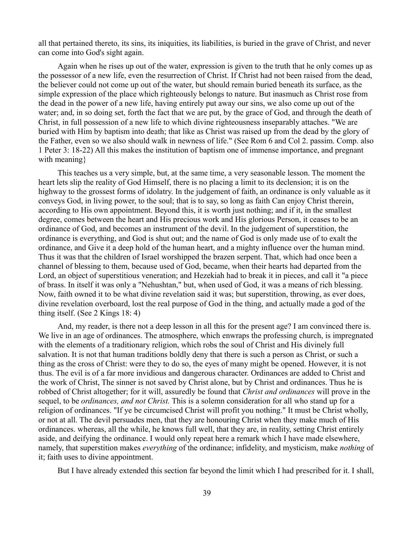all that pertained thereto, its sins, its iniquities, its liabilities, is buried in the grave of Christ, and never can come into God's sight again.

Again when he rises up out of the water, expression is given to the truth that he only comes up as the possessor of a new life, even the resurrection of Christ. If Christ had not been raised from the dead, the believer could not come up out of the water, but should remain buried beneath its surface, as the simple expression of the place which righteously belongs to nature. But inasmuch as Christ rose from the dead in the power of a new life, having entirely put away our sins, we also come up out of the water; and, in so doing set, forth the fact that we are put, by the grace of God, and through the death of Christ, in full possession of a new life to which divine righteousness inseparably attaches. "We are buried with Him by baptism into death; that like as Christ was raised up from the dead by the glory of the Father, even so we also should walk in newness of life." (See Rom 6 and Col 2. passim. Comp. also 1 Peter 3: 18-22) All this makes the institution of baptism one of immense importance, and pregnant with meaning }

This teaches us a very simple, but, at the same time, a very seasonable lesson. The moment the heart lets slip the reality of God Himself, there is no placing a limit to its declension; it is on the highway to the grossest forms of idolatry. In the judgement of faith, an ordinance is only valuable as it conveys God, in living power, to the soul; that is to say, so long as faith Can enjoy Christ therein, according to His own appointment. Beyond this, it is worth just nothing; and if it, in the smallest degree, comes between the heart and His precious work and His glorious Person, it ceases to be an ordinance of God, and becomes an instrument of the devil. In the judgement of superstition, the ordinance is everything, and God is shut out; and the name of God is only made use of to exalt the ordinance, and Give it a deep hold of the human heart, and a mighty influence over the human mind. Thus it was that the children of Israel worshipped the brazen serpent. That, which had once been a channel of blessing to them, because used of God, became, when their hearts had departed from the Lord, an object of superstitious veneration; and Hezekiah had to break it in pieces, and call it "a piece of brass. In itself it was only a "Nehushtan," but, when used of God, it was a means of rich blessing. Now, faith owned it to be what divine revelation said it was; but superstition, throwing, as ever does, divine revelation overboard, lost the real purpose of God in the thing, and actually made a god of the thing itself. (See 2 Kings 18: 4)

And, my reader, is there not a deep lesson in all this for the present age? I am convinced there is. We live in an age of ordinances. The atmosphere, which enwraps the professing church, is impregnated with the elements of a traditionary religion, which robs the soul of Christ and His divinely full salvation. It is not that human traditions boldly deny that there is such a person as Christ, or such a thing as the cross of Christ: were they to do so, the eyes of many might be opened. However, it is not thus. The evil is of a far more invidious and dangerous character. Ordinances are added to Christ and the work of Christ, The sinner is not saved by Christ alone, but by Christ and ordinances. Thus he is robbed of Christ altogether; for it will, assuredly be found that *Christ and ordinances* will prove in the sequel, to be *ordinances, and not Christ.* This is a solemn consideration for all who stand up for a religion of ordinances. "If ye be circumcised Christ will profit you nothing." It must be Christ wholly, or not at all. The devil persuades men, that they are honouring Christ when they make much of His ordinances. whereas, all the while, he knows full well, that they are, in reality, setting Christ entirely aside, and deifying the ordinance. I would only repeat here a remark which I have made elsewhere, namely, that superstition makes *everything* of the ordinance; infidelity, and mysticism, make *nothing* of it; faith uses to divine appointment.

But I have already extended this section far beyond the limit which I had prescribed for it. I shall,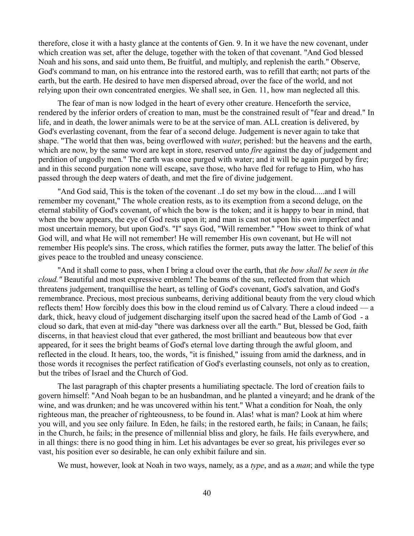therefore, close it with a hasty glance at the contents of Gen. 9. In it we have the new covenant, under which creation was set, after the deluge, together with the token of that covenant. "And God blessed Noah and his sons, and said unto them, Be fruitful, and multiply, and replenish the earth." Observe, God's command to man, on his entrance into the restored earth, was to refill that earth; not parts of the earth, but the earth. He desired to have men dispersed abroad, over the face of the world, and not relying upon their own concentrated energies. We shall see, in Gen. 11, how man neglected all this.

The fear of man is now lodged in the heart of every other creature. Henceforth the service, rendered by the inferior orders of creation to man, must be the constrained result of "fear and dread." In life, and in death, the lower animals were to be at the service of man. ALL creation is delivered, by God's everlasting covenant, from the fear of a second deluge. Judgement is never again to take that shape. "The world that then was, being overflowed with *water*, perished: but the heavens and the earth, which are now, by the same word are kept in store, reserved unto *fire* against the day of judgement and perdition of ungodly men." The earth was once purged with water; and it will be again purged by fire; and in this second purgation none will escape, save those, who have fled for refuge to Him, who has passed through the deep waters of death, and met the fire of divine judgement.

"And God said, This is the token of the covenant ..I do set my bow in the cloud.....and I will remember my covenant," The whole creation rests, as to its exemption from a second deluge, on the eternal stability of God's covenant, of which the bow is the token; and it is happy to bear in mind, that when the bow appears, the eye of God rests upon it; and man is cast not upon his own imperfect and most uncertain memory, but upon God's. "I" says God, "Will remember." "How sweet to think of what God will, and what He will not remember! He will remember His own covenant, but He will not remember His people's sins. The cross, which ratifies the former, puts away the latter. The belief of this gives peace to the troubled and uneasy conscience.

"And it shall come to pass, when I bring a cloud over the earth, that *the bow shall be seen in the cloud."* Beautiful and most expressive emblem! The beams of the sun, reflected from that which threatens judgement, tranquillise the heart, as telling of God's covenant, God's salvation, and God's remembrance. Precious, most precious sunbeams, deriving additional beauty from the very cloud which reflects them! How forcibly does this bow in the cloud remind us of Calvary. There a cloud indeed — a dark, thick, heavy cloud of judgement discharging itself upon the sacred head of the Lamb of God - a cloud so dark, that even at mid-day "there was darkness over all the earth." But, blessed be God, faith discerns, in that heaviest cloud that ever gathered, the most brilliant and beauteous bow that ever appeared, for it sees the bright beams of God's eternal love darting through the awful gloom, and reflected in the cloud. It hears, too, the words, "it is finished," issuing from amid the darkness, and in those words it recognises the perfect ratification of God's everlasting counsels, not only as to creation, but the tribes of Israel and the Church of God.

The last paragraph of this chapter presents a humiliating spectacle. The lord of creation fails to govern himself: "And Noah began to be an husbandman, and he planted a vineyard; and he drank of the wine, and was drunken; and he was uncovered within his tent." What a condition for Noah, the only righteous man, the preacher of righteousness, to be found in. Alas! what is man? Look at him where you will, and you see only failure. In Eden, he fails; in the restored earth, he fails; in Canaan, he fails; in the Church, he fails; in the presence of millennial bliss and glory, he fails. He fails everywhere, and in all things: there is no good thing in him. Let his advantages be ever so great, his privileges ever so vast, his position ever so desirable, he can only exhibit failure and sin.

We must, however, look at Noah in two ways, namely, as a *type*, and as a *man*; and while the type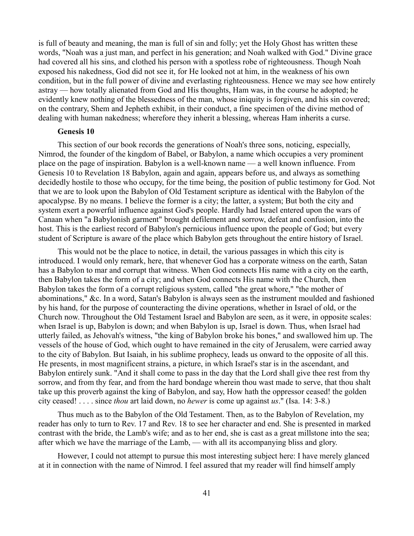is full of beauty and meaning, the man is full of sin and folly; yet the Holy Ghost has written these words, "Noah was a just man, and perfect in his generation; and Noah walked with God." Divine grace had covered all his sins, and clothed his person with a spotless robe of righteousness. Though Noah exposed his nakedness, God did not see it, for He looked not at him, in the weakness of his own condition, but in the full power of divine and everlasting righteousness. Hence we may see how entirely astray — how totally alienated from God and His thoughts, Ham was, in the course he adopted; he evidently knew nothing of the blessedness of the man, whose iniquity is forgiven, and his sin covered; on the contrary, Shem and Jepheth exhibit, in their conduct, a fine specimen of the divine method of dealing with human nakedness; wherefore they inherit a blessing, whereas Ham inherits a curse.

### **Genesis 10**

This section of our book records the generations of Noah's three sons, noticing, especially, Nimrod, the founder of the kingdom of Babel, or Babylon, a name which occupies a very prominent place on the page of inspiration. Babylon is a well-known name — a well known influence. From Genesis 10 to Revelation 18 Babylon, again and again, appears before us, and always as something decidedly hostile to those who occupy, for the time being, the position of public testimony for God. Not that we are to look upon the Babylon of Old Testament scripture as identical with the Babylon of the apocalypse. By no means. I believe the former is a city; the latter, a system; But both the city and system exert a powerful influence against God's people. Hardly had Israel entered upon the wars of Canaan when "a Babylonish garment" brought defilement and sorrow, defeat and confusion, into the host. This is the earliest record of Babylon's pernicious influence upon the people of God; but every student of Scripture is aware of the place which Babylon gets throughout the entire history of Israel.

This would not be the place to notice, in detail, the various passages in which this city is introduced. I would only remark, here, that whenever God has a corporate witness on the earth, Satan has a Babylon to mar and corrupt that witness. When God connects His name with a city on the earth, then Babylon takes the form of a city; and when God connects His name with the Church, then Babylon takes the form of a corrupt religious system, called "the great whore," "the mother of abominations," &c. In a word, Satan's Babylon is always seen as the instrument moulded and fashioned by his hand, for the purpose of counteracting the divine operations, whether in Israel of old, or the Church now. Throughout the Old Testament Israel and Babylon are seen, as it were, in opposite scales: when Israel is up, Babylon is down; and when Babylon is up, Israel is down. Thus, when Israel had utterly failed, as Jehovah's witness, "the king of Babylon broke his bones," and swallowed him up. The vessels of the house of God, which ought to have remained in the city of Jerusalem, were carried away to the city of Babylon. But Isaiah, in his sublime prophecy, leads us onward to the opposite of all this. He presents, in most magnificent strains, a picture, in which Israel's star is in the ascendant, and Babylon entirely sunk. "And it shall come to pass in the day that the Lord shall give thee rest from thy sorrow, and from thy fear, and from the hard bondage wherein thou wast made to serve, that thou shalt take up this proverb against the king of Babylon, and say, How hath the oppressor ceased! the golden city ceased! . . . . since *thou* art laid down, no *hewer* is come up against *us*." (Isa. 14: 3-8.)

Thus much as to the Babylon of the Old Testament. Then, as to the Babylon of Revelation, my reader has only to turn to Rev. 17 and Rev. 18 to see her character and end. She is presented in marked contrast with the bride, the Lamb's wife; and as to her end, she is cast as a great millstone into the sea; after which we have the marriage of the Lamb, — with all its accompanying bliss and glory.

However, I could not attempt to pursue this most interesting subject here: I have merely glanced at it in connection with the name of Nimrod. I feel assured that my reader will find himself amply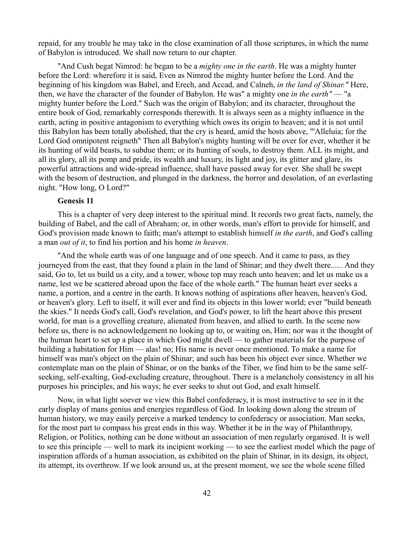repaid, for any trouble he may take in the close examination of all those scriptures, in which the name of Babylon is introduced. We shall now return to our chapter.

"And Cush begat Nimrod: he began to be a *mighty one in the earth*. He was a mighty hunter before the Lord: wherefore it is said, Even as Nimrod the mighty hunter before the Lord. And the beginning of his kingdom was Babel, and Erech, and Accad, and Calneh, *in the land of Shinar."* Here, then, we have the character of the founder of Babylon. He was" a mighty one *in the earth"* — "a mighty hunter before the Lord." Such was the origin of Babylon; and its character, throughout the entire book of God, remarkably corresponds therewith. It is always seen as a mighty influence in the earth, acting in positive antagonism to everything which owes its origin to heaven; and it is not until this Babylon has been totally abolished, that the cry is heard, amid the hosts above, "'Alleluia; for the Lord God omnipotent reigneth" Then all Babylon's mighty hunting will be over for ever, whether it be its hunting of wild beasts, to subdue them; or its hunting of souls, to destroy them. ALL its might, and all its glory, all its pomp and pride, its wealth and luxury, its light and joy, its glitter and glare, its powerful attractions and wide-spread influence, shall have passed away for ever. She shall be swept with the besom of destruction, and plunged in the darkness, the horror and desolation, of an everlasting night. "How long, O Lord?"

# **Genesis 11**

This is a chapter of very deep interest to the spiritual mind. It records two great facts, namely, the building of Babel, and the call of Abraham; or, in other words, man's effort to provide for himself, and God's provision made known to faith; man's attempt to establish himself *in the earth*, and God's calling a man *out of it*, to find his portion and his home *in heaven*.

"And the whole earth was of one language and of one speech. And it came to pass, as they journeyed from the east, that they found a plain in the land of Shinar; and they dwelt there...... And they said, Go to, let us build us a city, and a tower, whose top may reach unto heaven; and let us make us a name, lest we be scattered abroad upon the face of the whole earth." The human heart ever seeks a name, a portion, and a centre in the earth. It knows nothing of aspirations after heaven, heaven's God, or heaven's glory. Left to itself, it will ever and find its objects in this lower world; ever "build beneath the skies." It needs God's call, God's revelation, and God's power, to lift the heart above this present world, for man is a grovelling creature, alienated from heaven, and allied to earth. In the scene now before us, there is no acknowledgement no looking up to, or waiting on, Him; nor was it the thought of the human heart to set up a place in which God might dwell — to gather materials for the purpose of building a habitation for Him — alas! no; His name is never once mentioned. To make a name for himself was man's object on the plain of Shinar; and such has been his object ever since. Whether we contemplate man on the plain of Shinar, or on the banks of the Tiber, we find him to be the same selfseeking, self-exalting, God-excluding creature, throughout. There is a melancholy consistency in all his purposes his principles, and his ways; he ever seeks to shut out God, and exalt himself.

Now, in what light soever we view this Babel confederacy, it is most instructive to see in it the early display of mans genius and energies regardless of God. In looking down along the stream of human history, we may easily perceive a marked tendency to confederacy or association. Man seeks, for the most part to compass his great ends in this way. Whether it be in the way of Philanthropy, Religion, or Politics, nothing can be done without an association of men regularly organised. It is well to see this principle — well to mark its incipient working — to see the earliest model which the page of inspiration affords of a human association, as exhibited on the plain of Shinar, in its design, its object, its attempt, its overthrow. If we look around us, at the present moment, we see the whole scene filled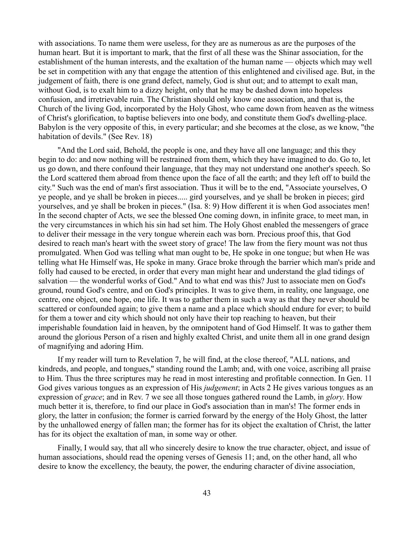with associations. To name them were useless, for they are as numerous as are the purposes of the human heart. But it is important to mark, that the first of all these was the Shinar association, for the establishment of the human interests, and the exaltation of the human name — objects which may well be set in competition with any that engage the attention of this enlightened and civilised age. But, in the judgement of faith, there is one grand defect, namely, God is shut out; and to attempt to exalt man, without God, is to exalt him to a dizzy height, only that he may be dashed down into hopeless confusion, and irretrievable ruin. The Christian should only know one association, and that is, the Church of the living God, incorporated by the Holy Ghost, who came down from heaven as the witness of Christ's glorification, to baptise believers into one body, and constitute them God's dwelling-place. Babylon is the very opposite of this, in every particular; and she becomes at the close, as we know, "the habitation of devils." (See Rev. 18)

"And the Lord said, Behold, the people is one, and they have all one language; and this they begin to do: and now nothing will be restrained from them, which they have imagined to do. Go to, let us go down, and there confound their language, that they may not understand one another's speech. So the Lord scattered them abroad from thence upon the face of all the earth; and they left off to build the city." Such was the end of man's first association. Thus it will be to the end, "Associate yourselves, O ye people, and ye shall be broken in pieces..... gird yourselves, and ye shall be broken in pieces; gird yourselves, and ye shall be broken in pieces." (Isa. 8: 9) How different it is when God associates men! In the second chapter of Acts, we see the blessed One coming down, in infinite grace, to meet man, in the very circumstances in which his sin had set him. The Holy Ghost enabled the messengers of grace to deliver their message in the very tongue wherein each was born. Precious proof this, that God desired to reach man's heart with the sweet story of grace! The law from the fiery mount was not thus promulgated. When God was telling what man ought to be, He spoke in one tongue; but when He was telling what He Himself was, He spoke in many. Grace broke through the barrier which man's pride and folly had caused to be erected, in order that every man might hear and understand the glad tidings of salvation — the wonderful works of God." And to what end was this? Just to associate men on God's ground, round God's centre, and on God's principles. It was to give them, in reality, one language, one centre, one object, one hope, one life. It was to gather them in such a way as that they never should be scattered or confounded again; to give them a name and a place which should endure for ever; to build for them a tower and city which should not only have their top reaching to heaven, but their imperishable foundation laid in heaven, by the omnipotent hand of God Himself. It was to gather them around the glorious Person of a risen and highly exalted Christ, and unite them all in one grand design of magnifying and adoring Him.

If my reader will turn to Revelation 7, he will find, at the close thereof, "ALL nations, and kindreds, and people, and tongues," standing round the Lamb; and, with one voice, ascribing all praise to Him. Thus the three scriptures may he read in most interesting and profitable connection. In Gen. 11 God gives various tongues as an expression of His *judgement*; in Acts 2 He gives various tongues as an expression of *grace*; and in Rev. 7 we see all those tongues gathered round the Lamb, in *glory*. How much better it is, therefore, to find our place in God's association than in man's! The former ends in glory, the latter in confusion; the former is carried forward by the energy of the Holy Ghost, the latter by the unhallowed energy of fallen man; the former has for its object the exaltation of Christ, the latter has for its object the exaltation of man, in some way or other.

Finally, I would say, that all who sincerely desire to know the true character, object, and issue of human associations, should read the opening verses of Genesis 11; and, on the other hand, all who desire to know the excellency, the beauty, the power, the enduring character of divine association,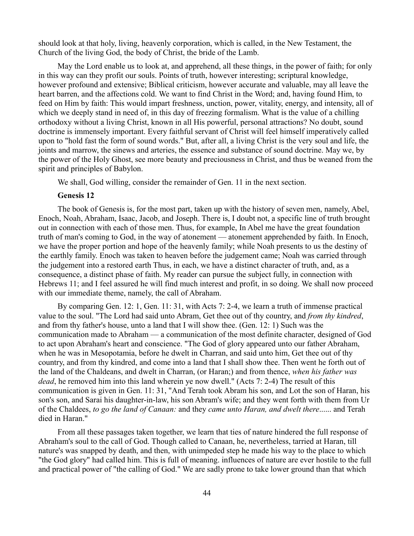should look at that holy, living, heavenly corporation, which is called, in the New Testament, the Church of the living God, the body of Christ, the bride of the Lamb.

May the Lord enable us to look at, and apprehend, all these things, in the power of faith; for only in this way can they profit our souls. Points of truth, however interesting; scriptural knowledge, however profound and extensive; Biblical criticism, however accurate and valuable, may all leave the heart barren, and the affections cold. We want to find Christ in the Word; and, having found Him, to feed on Him by faith: This would impart freshness, unction, power, vitality, energy, and intensity, all of which we deeply stand in need of, in this day of freezing formalism. What is the value of a chilling orthodoxy without a living Christ, known in all His powerful, personal attractions? No doubt, sound doctrine is immensely important. Every faithful servant of Christ will feel himself imperatively called upon to "hold fast the form of sound words." But, after all, a living Christ is the very soul and life, the joints and marrow, the sinews and arteries, the essence and substance of sound doctrine. May we, by the power of the Holy Ghost, see more beauty and preciousness in Christ, and thus be weaned from the spirit and principles of Babylon.

We shall, God willing, consider the remainder of Gen. 11 in the next section.

#### **Genesis 12**

The book of Genesis is, for the most part, taken up with the history of seven men, namely, Abel, Enoch, Noah, Abraham, Isaac, Jacob, and Joseph. There is, I doubt not, a specific line of truth brought out in connection with each of those men. Thus, for example, In Abel me have the great foundation truth of man's coming to God, in the way of atonement — atonement apprehended by faith. In Enoch, we have the proper portion and hope of the heavenly family; while Noah presents to us the destiny of the earthly family. Enoch was taken to heaven before the judgement came; Noah was carried through the judgement into a restored earth Thus, in each, we have a distinct character of truth, and, as a consequence, a distinct phase of faith. My reader can pursue the subject fully, in connection with Hebrews 11; and I feel assured he will find much interest and profit, in so doing. We shall now proceed with our immediate theme, namely, the call of Abraham.

By comparing Gen. 12: 1, Gen. 11: 31, with Acts 7: 2-4, we learn a truth of immense practical value to the soul. "The Lord had said unto Abram, Get thee out of thy country, and *from thy kindred*, and from thy father's house, unto a land that I will show thee. (Gen. 12: 1) Such was the communication made to Abraham — a communication of the most definite character, designed of God to act upon Abraham's heart and conscience. "The God of glory appeared unto our father Abraham, when he was in Mesopotamia, before he dwelt in Charran, and said unto him, Get thee out of thy country, and from thy kindred, and come into a land that I shall show thee. Then went he forth out of the land of the Chaldeans, and dwelt in Charran, (or Haran;) and from thence, *when his father was dead*, he removed him into this land wherein ye now dwell." (Acts 7: 2-4) The result of this communication is given in Gen. 11: 31, "And Terah took Abram his son, and Lot the son of Haran, his son's son, and Sarai his daughter-in-law, his son Abram's wife; and they went forth with them from Ur of the Chaldees, *to go the land of Canaan:* and they *came unto Haran, and dwelt there*...... and Terah died in Haran."

From all these passages taken together, we learn that ties of nature hindered the full response of Abraham's soul to the call of God. Though called to Canaan, he, nevertheless, tarried at Haran, till nature's was snapped by death, and then, with unimpeded step he made his way to the place to which "the God glory" had called him. This is full of meaning. influences of nature are ever hostile to the full and practical power of "the calling of God." We are sadly prone to take lower ground than that which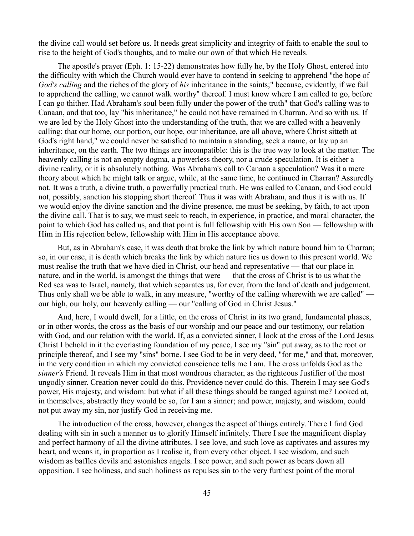the divine call would set before us. It needs great simplicity and integrity of faith to enable the soul to rise to the height of God's thoughts, and to make our own of that which He reveals.

The apostle's prayer (Eph. 1: 15-22) demonstrates how fully he, by the Holy Ghost, entered into the difficulty with which the Church would ever have to contend in seeking to apprehend "the hope of *God's calling* and the riches of the glory of *his* inheritance in the saints;" because, evidently, if we fail to apprehend the calling, we cannot walk worthy" thereof. I must know where I am called to go, before I can go thither. Had Abraham's soul been fully under the power of the truth" that God's calling was to Canaan, and that too, lay "his inheritance," he could not have remained in Charran. And so with us. If we are led by the Holy Ghost into the understanding of the truth, that we are called with a heavenly calling; that our home, our portion, our hope, our inheritance, are all above, where Christ sitteth at God's right hand," we could never be satisfied to maintain a standing, seek a name, or lay up an inheritance, on the earth. The two things are incompatible: this is the true way to look at the matter. The heavenly calling is not an empty dogma, a powerless theory, nor a crude speculation. It is either a divine reality, or it is absolutely nothing. Was Abraham's call to Canaan a speculation? Was it a mere theory about which he might talk or argue, while, at the same time, he continued in Charran? Assuredly not. It was a truth, a divine truth, a powerfully practical truth. He was called to Canaan, and God could not, possibly, sanction his stopping short thereof. Thus it was with Abraham, and thus it is with us. If we would enjoy the divine sanction and the divine presence, me must be seeking, by faith, to act upon the divine call. That is to say, we must seek to reach, in experience, in practice, and moral character, the point to which God has called us, and that point is full fellowship with His own Son — fellowship with Him in His rejection below, fellowship with Him in His acceptance above.

But, as in Abraham's case, it was death that broke the link by which nature bound him to Charran; so, in our case, it is death which breaks the link by which nature ties us down to this present world. We must realise the truth that we have died in Christ, our head and representative — that our place in nature, and in the world, is amongst the things that were — that the cross of Christ is to us what the Red sea was to Israel, namely, that which separates us, for ever, from the land of death and judgement. Thus only shall we be able to walk, in any measure, "worthy of the calling wherewith we are called" our high, our holy, our heavenly calling — our "calling of God in Christ Jesus."

And, here, I would dwell, for a little, on the cross of Christ in its two grand, fundamental phases, or in other words, the cross as the basis of our worship and our peace and our testimony, our relation with God, and our relation with the world. If, as a convicted sinner, I look at the cross of the Lord Jesus Christ I behold in it the everlasting foundation of my peace, I see my "sin" put away, as to the root or principle thereof, and I see my "sins" borne. I see God to be in very deed, "for me," and that, moreover, in the very condition in which my convicted conscience tells me I am. The cross unfolds God as the *sinner's* Friend. It reveals Him in that most wondrous character, as the righteous Justifier of the most ungodly sinner. Creation never could do this. Providence never could do this. Therein I may see God's power, His majesty, and wisdom: but what if all these things should be ranged against me? Looked at, in themselves, abstractly they would be so, for I am a sinner; and power, majesty, and wisdom, could not put away my sin, nor justify God in receiving me.

The introduction of the cross, however, changes the aspect of things entirely. There I find God dealing with sin in such a manner us to glorify Himself infinitely. There I see the magnificent display and perfect harmony of all the divine attributes. I see love, and such love as captivates and assures my heart, and weans it, in proportion as I realise it, from every other object. I see wisdom, and such wisdom as baffles devils and astonishes angels. I see power, and such power as bears down all opposition. I see holiness, and such holiness as repulses sin to the very furthest point of the moral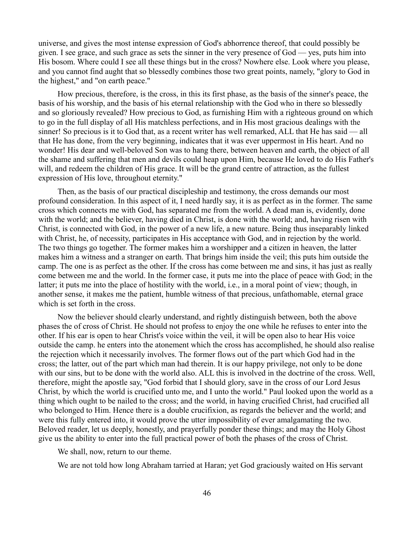universe, and gives the most intense expression of God's abhorrence thereof, that could possibly be given. I see grace, and such grace as sets the sinner in the very presence of God — yes, puts him into His bosom. Where could I see all these things but in the cross? Nowhere else. Look where you please, and you cannot find aught that so blessedly combines those two great points, namely, "glory to God in the highest," and "on earth peace."

How precious, therefore, is the cross, in this its first phase, as the basis of the sinner's peace, the basis of his worship, and the basis of his eternal relationship with the God who in there so blessedly and so gloriously revealed? How precious to God, as furnishing Him with a righteous ground on which to go in the full display of all His matchless perfections, and in His most gracious dealings with the sinner! So precious is it to God that, as a recent writer has well remarked, ALL that He has said — all that He has done, from the very beginning, indicates that it was ever uppermost in His heart. And no wonder! His dear and well-beloved Son was to hang there, between heaven and earth, the object of all the shame and suffering that men and devils could heap upon Him, because He loved to do His Father's will, and redeem the children of His grace. It will be the grand centre of attraction, as the fullest expression of His love, throughout eternity."

Then, as the basis of our practical discipleship and testimony, the cross demands our most profound consideration. In this aspect of it, I need hardly say, it is as perfect as in the former. The same cross which connects me with God, has separated me from the world. A dead man is, evidently, done with the world; and the believer, having died in Christ, is done with the world; and, having risen with Christ, is connected with God, in the power of a new life, a new nature. Being thus inseparably linked with Christ, he, of necessity, participates in His acceptance with God, and in rejection by the world. The two things go together. The former makes him a worshipper and a citizen in heaven, the latter makes him a witness and a stranger on earth. That brings him inside the veil; this puts him outside the camp. The one is as perfect as the other. If the cross has come between me and sins, it has just as really come between me and the world. In the former case, it puts me into the place of peace with God; in the latter; it puts me into the place of hostility with the world, i.e., in a moral point of view; though, in another sense, it makes me the patient, humble witness of that precious, unfathomable, eternal grace which is set forth in the cross.

Now the believer should clearly understand, and rightly distinguish between, both the above phases the of cross of Christ. He should not profess to enjoy the one while he refuses to enter into the other. If his ear is open to hear Christ's voice within the veil, it will be open also to hear His voice outside the camp. he enters into the atonement which the cross has accomplished, he should also realise the rejection which it necessarily involves. The former flows out of the part which God had in the cross; the latter, out of the part which man had therein. It is our happy privilege, not only to be done with our sins, but to be done with the world also. ALL this is involved in the doctrine of the cross. Well, therefore, might the apostle say, "God forbid that I should glory, save in the cross of our Lord Jesus Christ, by which the world is crucified unto me, and I unto the world." Paul looked upon the world as a thing which ought to be nailed to the cross; and the world, in having crucified Christ, had crucified all who belonged to Him. Hence there is a double crucifixion, as regards the believer and the world; and were this fully entered into, it would prove the utter impossibility of ever amalgamating the two. Beloved reader, let us deeply, honestly, and prayerfully ponder these things; and may the Holy Ghost give us the ability to enter into the full practical power of both the phases of the cross of Christ.

We shall, now, return to our theme.

We are not told how long Abraham tarried at Haran; yet God graciously waited on His servant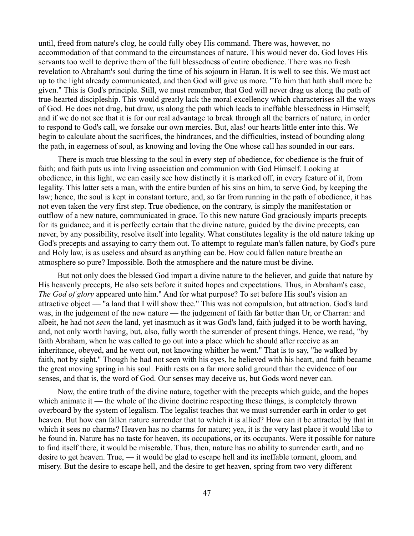until, freed from nature's clog, he could fully obey His command. There was, however, no accommodation of that command to the circumstances of nature. This would never do. God loves His servants too well to deprive them of the full blessedness of entire obedience. There was no fresh revelation to Abraham's soul during the time of his sojourn in Haran. It is well to see this. We must act up to the light already communicated, and then God will give us more. "To him that hath shall more be given." This is God's principle. Still, we must remember, that God will never drag us along the path of true-hearted discipleship. This would greatly lack the moral excellency which characterises all the ways of God. He does not drag, but draw, us along the path which leads to ineffable blessedness in Himself; and if we do not see that it is for our real advantage to break through all the barriers of nature, in order to respond to God's call, we forsake our own mercies. But, alas! our hearts little enter into this. We begin to calculate about the sacrifices, the hindrances, and the difficulties, instead of bounding along the path, in eagerness of soul, as knowing and loving the One whose call has sounded in our ears.

There is much true blessing to the soul in every step of obedience, for obedience is the fruit of faith; and faith puts us into living association and communion with God Himself. Looking at obedience, in this light, we can easily see how distinctly it is marked off, in every feature of it, from legality. This latter sets a man, with the entire burden of his sins on him, to serve God, by keeping the law; hence, the soul is kept in constant torture, and, so far from running in the path of obedience, it has not even taken the very first step. True obedience, on the contrary, is simply the manifestation or outflow of a new nature, communicated in grace. To this new nature God graciously imparts precepts for its guidance; and it is perfectly certain that the divine nature, guided by the divine precepts, can never, by any possibility, resolve itself into legality. What constitutes legality is the old nature taking up God's precepts and assaying to carry them out. To attempt to regulate man's fallen nature, by God's pure and Holy law, is as useless and absurd as anything can be. How could fallen nature breathe an atmosphere so pure? Impossible. Both the atmosphere and the nature must be divine.

But not only does the blessed God impart a divine nature to the believer, and guide that nature by His heavenly precepts, He also sets before it suited hopes and expectations. Thus, in Abraham's case, *The God of glory* appeared unto him." And for what purpose? To set before His soul's vision an attractive object — "a land that I will show thee." This was not compulsion, but attraction. God's land was, in the judgement of the new nature — the judgement of faith far better than Ur, or Charran: and albeit, he had not *seen* the land, yet inasmuch as it was God's land, faith judged it to be worth having, and, not only worth having, but, also, fully worth the surrender of present things. Hence, we read, "by faith Abraham, when he was called to go out into a place which he should after receive as an inheritance, obeyed, and he went out, not knowing whither he went." That is to say, "he walked by faith, not by sight." Though he had not seen with his eyes, he believed with his heart, and faith became the great moving spring in his soul. Faith rests on a far more solid ground than the evidence of our senses, and that is, the word of God. Our senses may deceive us, but Gods word never can.

Now, the entire truth of the divine nature, together with the precepts which guide, and the hopes which animate it — the whole of the divine doctrine respecting these things, is completely thrown overboard by the system of legalism. The legalist teaches that we must surrender earth in order to get heaven. But how can fallen nature surrender that to which it is allied? How can it be attracted by that in which it sees no charms? Heaven has no charms for nature; yea, it is the very last place it would like to be found in. Nature has no taste for heaven, its occupations, or its occupants. Were it possible for nature to find itself there, it would be miserable. Thus, then, nature has no ability to surrender earth, and no desire to get heaven. True, — it would be glad to escape hell and its ineffable torment, gloom, and misery. But the desire to escape hell, and the desire to get heaven, spring from two very different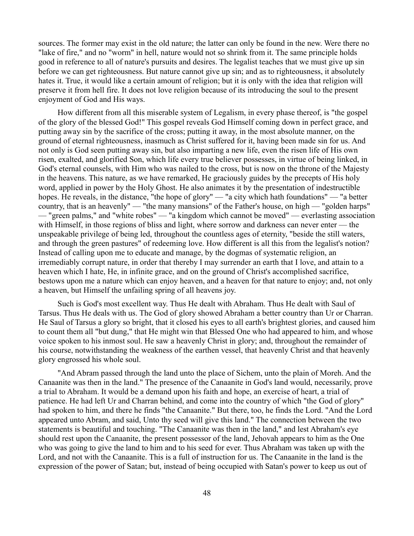sources. The former may exist in the old nature; the latter can only be found in the new. Were there no "lake of fire," and no "worm" in hell, nature would not so shrink from it. The same principle holds good in reference to all of nature's pursuits and desires. The legalist teaches that we must give up sin before we can get righteousness. But nature cannot give up sin; and as to righteousness, it absolutely hates it. True, it would like a certain amount of religion; but it is only with the idea that religion will preserve it from hell fire. It does not love religion because of its introducing the soul to the present enjoyment of God and His ways.

How different from all this miserable system of Legalism, in every phase thereof, is "the gospel of the glory of the blessed God!" This gospel reveals God Himself coming down in perfect grace, and putting away sin by the sacrifice of the cross; putting it away, in the most absolute manner, on the ground of eternal righteousness, inasmuch as Christ suffered for it, having been made sin for us. And not only is God seen putting away sin, but also imparting a new life, even the risen life of His own risen, exalted, and glorified Son, which life every true believer possesses, in virtue of being linked, in God's eternal counsels, with Him who was nailed to the cross, but is now on the throne of the Majesty in the heavens. This nature, as we have remarked, He graciously guides by the precepts of His holy word, applied in power by the Holy Ghost. He also animates it by the presentation of indestructible hopes. He reveals, in the distance, "the hope of glory" — "a city which hath foundations" — "a better country, that is an heavenly" — "the many mansions" of the Father's house, on high — "golden harps" — "green palms," and "white robes" — "a kingdom which cannot be moved" — everlasting association with Himself, in those regions of bliss and light, where sorrow and darkness can never enter — the unspeakable privilege of being led, throughout the countless ages of eternity, "beside the still waters, and through the green pastures" of redeeming love. How different is all this from the legalist's notion? Instead of calling upon me to educate and manage, by the dogmas of systematic religion, an irremediably corrupt nature, in order that thereby I may surrender an earth that I love, and attain to a heaven which I hate, He, in infinite grace, and on the ground of Christ's accomplished sacrifice, bestows upon me a nature which can enjoy heaven, and a heaven for that nature to enjoy; and, not only a heaven, but Himself the unfailing spring of all heavens joy.

Such is God's most excellent way. Thus He dealt with Abraham. Thus He dealt with Saul of Tarsus. Thus He deals with us. The God of glory showed Abraham a better country than Ur or Charran. He Saul of Tarsus a glory so bright, that it closed his eyes to all earth's brightest glories, and caused him to count them all "but dung," that He might win that Blessed One who had appeared to him, and whose voice spoken to his inmost soul. He saw a heavenly Christ in glory; and, throughout the remainder of his course, notwithstanding the weakness of the earthen vessel, that heavenly Christ and that heavenly glory engrossed his whole soul.

"And Abram passed through the land unto the place of Sichem, unto the plain of Moreh. And the Canaanite was then in the land." The presence of the Canaanite in God's land would, necessarily, prove a trial to Abraham. It would be a demand upon his faith and hope, an exercise of heart, a trial of patience. He had left Ur and Charran behind, and come into the country of which "the God of glory" had spoken to him, and there he finds "the Canaanite." But there, too, he finds the Lord. "And the Lord appeared unto Abram, and said, Unto thy seed will give this land." The connection between the two statements is beautiful and touching. "The Canaanite was then in the land," and lest Abraham's eye should rest upon the Canaanite, the present possessor of the land, Jehovah appears to him as the One who was going to give the land to him and to his seed for ever. Thus Abraham was taken up with the Lord, and not with the Canaanite. This is a full of instruction for us. The Canaanite in the land is the expression of the power of Satan; but, instead of being occupied with Satan's power to keep us out of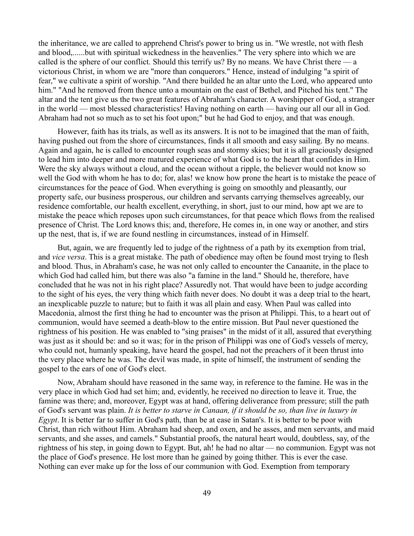the inheritance, we are called to apprehend Christ's power to bring us in. "We wrestle, not with flesh and blood,......but with spiritual wickedness in the heavenlies." The very sphere into which we are called is the sphere of our conflict. Should this terrify us? By no means. We have Christ there  $\overline{\phantom{a}}$  a victorious Christ, in whom we are "more than conquerors." Hence, instead of indulging "a spirit of fear," we cultivate a spirit of worship. "And there builded he an altar unto the Lord, who appeared unto him." "And he removed from thence unto a mountain on the east of Bethel, and Pitched his tent." The altar and the tent give us the two great features of Abraham's character. A worshipper of God, a stranger in the world — most blessed characteristics! Having nothing on earth — having our all our all in God. Abraham had not so much as to set his foot upon;" but he had God to enjoy, and that was enough.

However, faith has its trials, as well as its answers. It is not to be imagined that the man of faith, having pushed out from the shore of circumstances, finds it all smooth and easy sailing. By no means. Again and again, he is called to encounter rough seas and stormy skies; but it is all graciously designed to lead him into deeper and more matured experience of what God is to the heart that confides in Him. Were the sky always without a cloud, and the ocean without a ripple, the believer would not know so well the God with whom he has to do; for, alas! we know how prone the heart is to mistake the peace of circumstances for the peace of God. When everything is going on smoothly and pleasantly, our property safe, our business prosperous, our children and servants carrying themselves agreeably, our residence comfortable, our health excellent, everything, in short, just to our mind, how apt we are to mistake the peace which reposes upon such circumstances, for that peace which flows from the realised presence of Christ. The Lord knows this; and, therefore, He comes in, in one way or another, and stirs up the nest, that is, if we are found nestling in circumstances, instead of in Himself.

But, again, we are frequently led to judge of the rightness of a path by its exemption from trial, and *vice versa*. This is a great mistake. The path of obedience may often be found most trying to flesh and blood. Thus, in Abraham's case, he was not only called to encounter the Canaanite, in the place to which God had called him, but there was also "a famine in the land." Should he, therefore, have concluded that he was not in his right place? Assuredly not. That would have been to judge according to the sight of his eyes, the very thing which faith never does. No doubt it was a deep trial to the heart, an inexplicable puzzle to nature; but to faith it was all plain and easy. When Paul was called into Macedonia, almost the first thing he had to encounter was the prison at Philippi. This, to a heart out of communion, would have seemed a death-blow to the entire mission. But Paul never questioned the rightness of his position. He was enabled to "sing praises" in the midst of it all, assured that everything was just as it should be: and so it was; for in the prison of Philippi was one of God's vessels of mercy, who could not, humanly speaking, have heard the gospel, had not the preachers of it been thrust into the very place where he was. The devil was made, in spite of himself, the instrument of sending the gospel to the ears of one of God's elect.

Now, Abraham should have reasoned in the same way, in reference to the famine. He was in the very place in which God had set him; and, evidently, he received no direction to leave it. True, the famine was there; and, moreover, Egypt was at hand, offering deliverance from pressure; still the path of God's servant was plain. *It is better to starve in Canaan, if it should be so, than live in luxury in Egypt*. It is better far to suffer in God's path, than be at ease in Satan's. It is better to be poor with Christ, than rich without Him. Abraham had sheep, and oxen, and he asses, and men servants, and maid servants, and she asses, and camels." Substantial proofs, the natural heart would, doubtless, say, of the rightness of his step, in going down to Egypt. But, ah! he had no altar — no communion. Egypt was not the place of God's presence. He lost more than he gained by going thither. This is ever the case. Nothing can ever make up for the loss of our communion with God. Exemption from temporary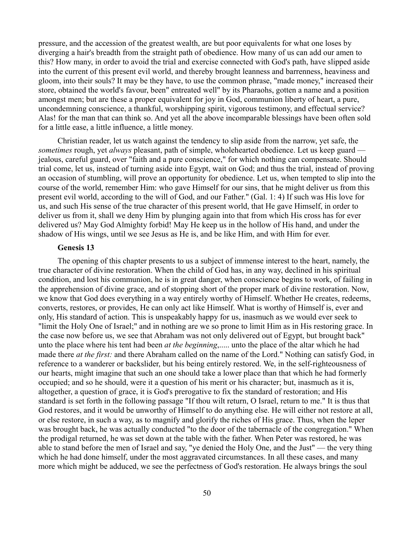pressure, and the accession of the greatest wealth, are but poor equivalents for what one loses by diverging a hair's breadth from the straight path of obedience. How many of us can add our amen to this? How many, in order to avoid the trial and exercise connected with God's path, have slipped aside into the current of this present evil world, and thereby brought leanness and barrenness, heaviness and gloom, into their souls? It may be they have, to use the common phrase, "made money," increased their store, obtained the world's favour, been" entreated well" by its Pharaohs, gotten a name and a position amongst men; but are these a proper equivalent for joy in God, communion liberty of heart, a pure, uncondemning conscience, a thankful, worshipping spirit, vigorous testimony, and effectual service? Alas! for the man that can think so. And yet all the above incomparable blessings have been often sold for a little ease, a little influence, a little money.

Christian reader, let us watch against the tendency to slip aside from the narrow, yet safe, the *sometimes* rough, yet *always* pleasant, path of simple, wholehearted obedience. Let us keep guard jealous, careful guard, over "faith and a pure conscience," for which nothing can compensate. Should trial come, let us, instead of turning aside into Egypt, wait on God; and thus the trial, instead of proving an occasion of stumbling, will prove an opportunity for obedience. Let us, when tempted to slip into the course of the world, remember Him: who gave Himself for our sins, that he might deliver us from this present evil world, according to the will of God, and our Father." (Gal. 1: 4) If such was His love for us, and such His sense of the true character of this present world, that He gave Himself, in order to deliver us from it, shall we deny Him by plunging again into that from which His cross has for ever delivered us? May God Almighty forbid! May He keep us in the hollow of His hand, and under the shadow of His wings, until we see Jesus as He is, and be like Him, and with Him for ever.

### **Genesis 13**

The opening of this chapter presents to us a subject of immense interest to the heart, namely, the true character of divine restoration. When the child of God has, in any way, declined in his spiritual condition, and lost his communion, he is in great danger, when conscience begins to work, of failing in the apprehension of divine grace, and of stopping short of the proper mark of divine restoration. Now, we know that God does everything in a way entirely worthy of Himself. Whether He creates, redeems, converts, restores, or provides, He can only act like Himself. What is worthy of Himself is, ever and only, His standard of action. This is unspeakably happy for us, inasmuch as we would ever seek to "limit the Holy One of Israel;" and in nothing are we so prone to limit Him as in His restoring grace. In the case now before us, we see that Abraham was not only delivered out of Egypt, but brought back" unto the place where his tent had been *at the beginning*,..... unto the place of the altar which he had made there *at the first:* and there Abraham called on the name of the Lord." Nothing can satisfy God, in reference to a wanderer or backslider, but his being entirely restored. We, in the self-righteousness of our hearts, might imagine that such an one should take a lower place than that which he had formerly occupied; and so he should, were it a question of his merit or his character; but, inasmuch as it is, altogether, a question of grace, it is God's prerogative to fix the standard of restoration; and His standard is set forth in the following passage "If thou wilt return, O Israel, return to me." It is thus that God restores, and it would be unworthy of Himself to do anything else. He will either not restore at all, or else restore, in such a way, as to magnify and glorify the riches of His grace. Thus, when the leper was brought back, he was actually conducted "to the door of the tabernacle of the congregation." When the prodigal returned, he was set down at the table with the father. When Peter was restored, he was able to stand before the men of Israel and say, "ye denied the Holy One, and the Just" — the very thing which he had done himself, under the most aggravated circumstances. In all these cases, and many more which might be adduced, we see the perfectness of God's restoration. He always brings the soul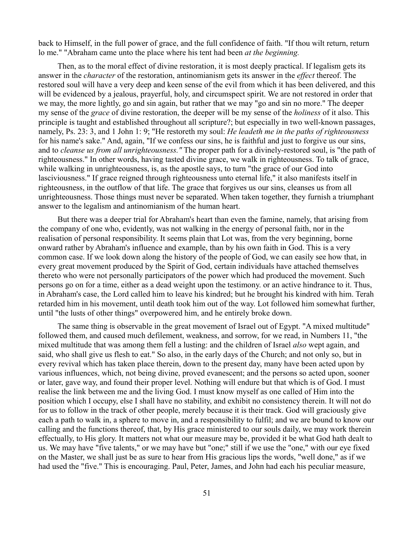back to Himself, in the full power of grace, and the full confidence of faith. "If thou wilt return, return lo me." "Abraham came unto the place where his tent had been *at the beginning.*

Then, as to the moral effect of divine restoration, it is most deeply practical. If legalism gets its answer in the *character* of the restoration, antinomianism gets its answer in the *effect* thereof. The restored soul will have a very deep and keen sense of the evil from which it has been delivered, and this will be evidenced by a jealous, prayerful, holy, and circumspect spirit. We are not restored in order that we may, the more lightly, go and sin again, but rather that we may "go and sin no more." The deeper my sense of the *grace* of divine restoration, the deeper will be my sense of the *holiness* of it also. This principle is taught and established throughout all scripture?; but especially in two well-known passages, namely, Ps. 23: 3, and 1 John 1: 9; "He restoreth my soul: *He leadeth me in the paths of righteousness* for his name's sake." And, again, "If we confess our sins, he is faithful and just to forgive us our sins, and to *cleanse us from all unrighteousness."* The proper path for a divinely-restored soul, is "the path of righteousness." In other words, having tasted divine grace, we walk in righteousness. To talk of grace, while walking in unrighteousness, is, as the apostle says, to turn "the grace of our God into lasciviousness." If grace reigned through righteousness unto eternal life," it also manifests itself in righteousness, in the outflow of that life. The grace that forgives us our sins, cleanses us from all unrighteousness. Those things must never be separated. When taken together, they furnish a triumphant answer to the legalism and antinomianism of the human heart.

But there was a deeper trial for Abraham's heart than even the famine, namely, that arising from the company of one who, evidently, was not walking in the energy of personal faith, nor in the realisation of personal responsibility. It seems plain that Lot was, from the very beginning, borne onward rather by Abraham's influence and example, than by his own faith in God. This is a very common case. If we look down along the history of the people of God, we can easily see how that, in every great movement produced by the Spirit of God, certain individuals have attached themselves thereto who were not personally participators of the power which had produced the movement. Such persons go on for a time, either as a dead weight upon the testimony. or an active hindrance to it. Thus, in Abraham's case, the Lord called him to leave his kindred; but he brought his kindred with him. Terah retarded him in his movement, until death took him out of the way. Lot followed him somewhat further, until "the lusts of other things" overpowered him, and he entirely broke down.

The same thing is observable in the great movement of Israel out of Egypt. "A mixed multitude" followed them, and caused much defilement, weakness, and sorrow, for we read, in Numbers 11, "the mixed multitude that was among them fell a lusting: and the children of Israel *also* wept again, and said, who shall give us flesh to eat." So also, in the early days of the Church; and not only so, but in every revival which has taken place therein, down to the present day, many have been acted upon by various influences, which, not being divine, proved evanescent; and the persons so acted upon, sooner or later, gave way, and found their proper level. Nothing will endure but that which is of God. I must realise the link between me and the living God. I must know myself as one called of Him into the position which I occupy, else I shall have no stability, and exhibit no consistency therein. It will not do for us to follow in the track of other people, merely because it is their track. God will graciously give each a path to walk in, a sphere to move in, and a responsibility to fulfil; and we are bound to know our calling and the functions thereof, that, by His grace ministered to our souls daily, we may work therein effectually, to His glory. It matters not what our measure may be, provided it be what God hath dealt to us. We may have "five talents," or we may have but "one;" still if we use the "one," with our eye fixed on the Master, we shall just be as sure to hear from His gracious lips the words, "well done," as if we had used the "five." This is encouraging. Paul, Peter, James, and John had each his peculiar measure,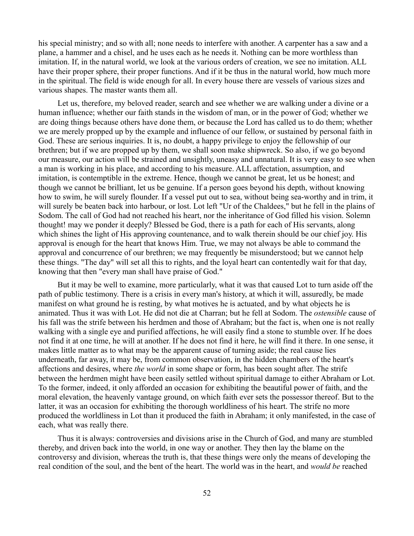his special ministry; and so with all; none needs to interfere with another. A carpenter has a saw and a plane, a hammer and a chisel, and he uses each as he needs it. Nothing can be more worthless than imitation. If, in the natural world, we look at the various orders of creation, we see no imitation. ALL have their proper sphere, their proper functions. And if it be thus in the natural world, how much more in the spiritual. The field is wide enough for all. In every house there are vessels of various sizes and various shapes. The master wants them all.

Let us, therefore, my beloved reader, search and see whether we are walking under a divine or a human influence; whether our faith stands in the wisdom of man, or in the power of God; whether we are doing things because others have done them, or because the Lord has called us to do them; whether we are merely propped up by the example and influence of our fellow, or sustained by personal faith in God. These are serious inquiries. It is, no doubt, a happy privilege to enjoy the fellowship of our brethren; but if we are propped up by them, we shall soon make shipwreck. So also, if we go beyond our measure, our action will be strained and unsightly, uneasy and unnatural. It is very easy to see when a man is working in his place, and according to his measure. ALL affectation, assumption, and imitation, is contemptible in the extreme. Hence, though we cannot be great, let us be honest; and though we cannot be brilliant, let us be genuine. If a person goes beyond his depth, without knowing how to swim, he will surely flounder. If a vessel put out to sea, without being sea-worthy and in trim, it will surely be beaten back into harbour, or lost. Lot left "Ur of the Chaldees," but he fell in the plains of Sodom. The call of God had not reached his heart, nor the inheritance of God filled his vision. Solemn thought! may we ponder it deeply? Blessed be God, there is a path for each of His servants, along which shines the light of His approving countenance, and to walk therein should be our chief joy. His approval is enough for the heart that knows Him. True, we may not always be able to command the approval and concurrence of our brethren; we may frequently be misunderstood; but we cannot help these things. "The day" will set all this to rights, and the loyal heart can contentedly wait for that day, knowing that then "every man shall have praise of God."

But it may be well to examine, more particularly, what it was that caused Lot to turn aside off the path of public testimony. There is a crisis in every man's history, at which it will, assuredly, be made manifest on what ground he is resting, by what motives he is actuated, and by what objects he is animated. Thus it was with Lot. He did not die at Charran; but he fell at Sodom. The *ostensible* cause of his fall was the strife between his herdmen and those of Abraham; but the fact is, when one is not really walking with a single eye and purified affections, he will easily find a stone to stumble over. If he does not find it at one time, he will at another. If he does not find it here, he will find it there. In one sense, it makes little matter as to what may be the apparent cause of turning aside; the real cause lies underneath, far away, it may be, from common observation, in the hidden chambers of the heart's affections and desires, where *the world* in some shape or form, has been sought after. The strife between the herdmen might have been easily settled without spiritual damage to either Abraham or Lot. To the former, indeed, it only afforded an occasion for exhibiting the beautiful power of faith, and the moral elevation, the heavenly vantage ground, on which faith ever sets the possessor thereof. But to the latter, it was an occasion for exhibiting the thorough worldliness of his heart. The strife no more produced the worldliness in Lot than it produced the faith in Abraham; it only manifested, in the case of each, what was really there.

Thus it is always: controversies and divisions arise in the Church of God, and many are stumbled thereby, and driven back into the world, in one way or another. They then lay the blame on the controversy and division, whereas the truth is, that these things were only the means of developing the real condition of the soul, and the bent of the heart. The world was in the heart, and *would be* reached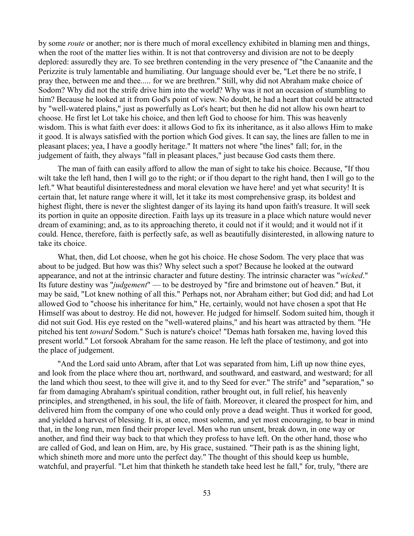by some *route* or another; nor is there much of moral excellency exhibited in blaming men and things, when the root of the matter lies within. It is not that controversy and division are not to be deeply deplored: assuredly they are. To see brethren contending in the very presence of "the Canaanite and the Perizzite is truly lamentable and humiliating. Our language should ever be, "Let there be no strife, I pray thee, between me and thee..... for we are brethren." Still, why did not Abraham make choice of Sodom? Why did not the strife drive him into the world? Why was it not an occasion of stumbling to him? Because he looked at it from God's point of view. No doubt, he had a heart that could be attracted by "well-watered plains," just as powerfully as Lot's heart; but then he did not allow his own heart to choose. He first let Lot take his choice, and then left God to choose for him. This was heavenly wisdom. This is what faith ever does: it allows God to fix its inheritance, as it also allows Him to make it good. It is always satisfied with the portion which God gives. It can say, the lines are fallen to me in pleasant places; yea, I have a goodly heritage." It matters not where "the lines" fall; for, in the judgement of faith, they always "fall in pleasant places," just because God casts them there.

The man of faith can easily afford to allow the man of sight to take his choice. Because, "If thou wilt take the left hand, then I will go to the right; or if thou depart to the right hand, then I will go to the left." What beautiful disinterestedness and moral elevation we have here! and yet what security! It is certain that, let nature range where it will, let it take its most comprehensive grasp, its boldest and highest flight, there is never the slightest danger of its laying its hand upon faith's treasure. It will seek its portion in quite an opposite direction. Faith lays up its treasure in a place which nature would never dream of examining; and, as to its approaching thereto, it could not if it would; and it would not if it could. Hence, therefore, faith is perfectly safe, as well as beautifully disinterested, in allowing nature to take its choice.

What, then, did Lot choose, when he got his choice. He chose Sodom. The very place that was about to be judged. But how was this? Why select such a spot? Because he looked at the outward appearance, and not at the intrinsic character and future destiny. The intrinsic character was "*wicked*." Its future destiny was "*judgement*" — to be destroyed by "fire and brimstone out of heaven." But, it may be said, "Lot knew nothing of all this." Perhaps not, nor Abraham either; but God did; and had Lot allowed God to "choose his inheritance for him," He, certainly, would not have chosen a spot that He Himself was about to destroy. He did not, however. He judged for himself. Sodom suited him, though it did not suit God. His eye rested on the "well-watered plains," and his heart was attracted by them. "He pitched his tent *toward* Sodom." Such is nature's choice! "Demas hath forsaken me, having loved this present world." Lot forsook Abraham for the same reason. He left the place of testimony, and got into the place of judgement.

"And the Lord said unto Abram, after that Lot was separated from him, Lift up now thine eyes, and look from the place where thou art, northward, and southward, and eastward, and westward; for all the land which thou seest, to thee will give it, and to thy Seed for ever." The strife" and "separation," so far from damaging Abraham's spiritual condition, rather brought out, in full relief, his heavenly principles, and strengthened, in his soul, the life of faith. Moreover, it cleared the prospect for him, and delivered him from the company of one who could only prove a dead weight. Thus it worked for good, and yielded a harvest of blessing. It is, at once, most solemn, and yet most encouraging, to bear in mind that, in the long run, men find their proper level. Men who run unsent, break down, in one way or another, and find their way back to that which they profess to have left. On the other hand, those who are called of God, and lean on Him, are, by His grace, sustained. "Their path is as the shining light, which shineth more and more unto the perfect day." The thought of this should keep us humble, watchful, and prayerful. "Let him that thinketh he standeth take heed lest he fall," for, truly, "there are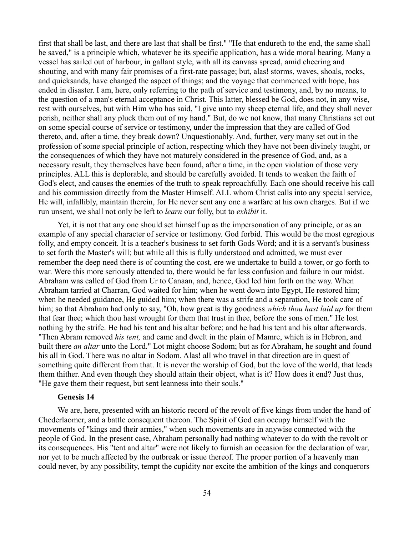first that shall be last, and there are last that shall be first." "He that endureth to the end, the same shall be saved," is a principle which, whatever be its specific application, has a wide moral bearing. Many a vessel has sailed out of harbour, in gallant style, with all its canvass spread, amid cheering and shouting, and with many fair promises of a first-rate passage; but, alas! storms, waves, shoals, rocks, and quicksands, have changed the aspect of things; and the voyage that commenced with hope, has ended in disaster. I am, here, only referring to the path of service and testimony, and, by no means, to the question of a man's eternal acceptance in Christ. This latter, blessed be God, does not, in any wise, rest with ourselves, but with Him who has said, "I give unto my sheep eternal life, and they shall never perish, neither shall any pluck them out of my hand." But, do we not know, that many Christians set out on some special course of service or testimony, under the impression that they are called of God thereto, and, after a time, they break down? Unquestionably. And, further, very many set out in the profession of some special principle of action, respecting which they have not been divinely taught, or the consequences of which they have not maturely considered in the presence of God, and, as a necessary result, they themselves have been found, after a time, in the open violation of those very principles. ALL this is deplorable, and should be carefully avoided. It tends to weaken the faith of God's elect, and causes the enemies of the truth to speak reproachfully. Each one should receive his call and his commission directly from the Master Himself. ALL whom Christ calls into any special service, He will, infallibly, maintain therein, for He never sent any one a warfare at his own charges. But if we run unsent, we shall not only be left to *learn* our folly, but to *exhibit* it.

Yet, it is not that any one should set himself up as the impersonation of any principle, or as an example of any special character of service or testimony. God forbid. This would be the most egregious folly, and empty conceit. It is a teacher's business to set forth Gods Word; and it is a servant's business to set forth the Master's will; but while all this is fully understood and admitted, we must ever remember the deep need there is of counting the cost, ere we undertake to build a tower, or go forth to war. Were this more seriously attended to, there would be far less confusion and failure in our midst. Abraham was called of God from Ur to Canaan, and, hence, God led him forth on the way. When Abraham tarried at Charran, God waited for him; when he went down into Egypt, He restored him; when he needed guidance, He guided him; when there was a strife and a separation, He took care of him; so that Abraham had only to say, "Oh, how great is thy goodness *which thou hast laid up* for them that fear thee; which thou hast wrought for them that trust in thee, before the sons of men." He lost nothing by the strife. He had his tent and his altar before; and he had his tent and his altar afterwards. "Then Abram removed *his tent,* and came and dwelt in the plain of Mamre, which is in Hebron, and built there *an altar* unto the Lord." Lot might choose Sodom; but as for Abraham, he sought and found his all in God. There was no altar in Sodom. Alas! all who travel in that direction are in quest of something quite different from that. It is never the worship of God, but the love of the world, that leads them thither. And even though they should attain their object, what is it? How does it end? Just thus, "He gave them their request, but sent leanness into their souls."

#### **Genesis 14**

We are, here, presented with an historic record of the revolt of five kings from under the hand of Chederlaomer, and a battle consequent thereon. The Spirit of God can occupy himself with the movements of "kings and their armies," when such movements are in anywise connected with the people of God. In the present case, Abraham personally had nothing whatever to do with the revolt or its consequences. His "tent and altar" were not likely to furnish an occasion for the declaration of war, nor yet to be much affected by the outbreak or issue thereof. The proper portion of a heavenly man could never, by any possibility, tempt the cupidity nor excite the ambition of the kings and conquerors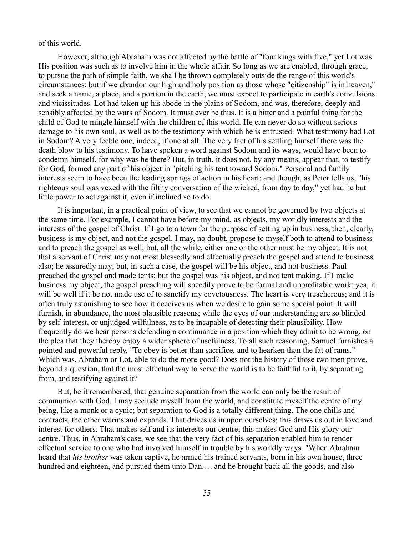of this world.

However, although Abraham was not affected by the battle of "four kings with five," yet Lot was. His position was such as to involve him in the whole affair. So long as we are enabled, through grace, to pursue the path of simple faith, we shall be thrown completely outside the range of this world's circumstances; but if we abandon our high and holy position as those whose "citizenship" is in heaven," and seek a name, a place, and a portion in the earth, we must expect to participate in earth's convulsions and vicissitudes. Lot had taken up his abode in the plains of Sodom, and was, therefore, deeply and sensibly affected by the wars of Sodom. It must ever be thus. It is a bitter and a painful thing for the child of God to mingle himself with the children of this world. He can never do so without serious damage to his own soul, as well as to the testimony with which he is entrusted. What testimony had Lot in Sodom? A very feeble one, indeed, if one at all. The very fact of his settling himself there was the death blow to his testimony. To have spoken a word against Sodom and its ways, would have been to condemn himself, for why was he there? But, in truth, it does not, by any means, appear that, to testify for God, formed any part of his object in "pitching his tent toward Sodom." Personal and family interests seem to have been the leading springs of action in his heart: and though, as Peter tells us, "his righteous soul was vexed with the filthy conversation of the wicked, from day to day," yet had he but little power to act against it, even if inclined so to do.

It is important, in a practical point of view, to see that we cannot be governed by two objects at the same time. For example, I cannot have before my mind, as objects, my worldly interests and the interests of the gospel of Christ. If I go to a town for the purpose of setting up in business, then, clearly, business is my object, and not the gospel. I may, no doubt, propose to myself both to attend to business and to preach the gospel as well; but, all the while, either one or the other must be my object. It is not that a servant of Christ may not most blessedly and effectually preach the gospel and attend to business also; he assuredly may; but, in such a case, the gospel will be his object, and not business. Paul preached the gospel and made tents; but the gospel was his object, and not tent making. If I make business my object, the gospel preaching will speedily prove to be formal and unprofitable work; yea, it will be well if it be not made use of to sanctify my covetousness. The heart is very treacherous; and it is often truly astonishing to see how it deceives us when we desire to gain some special point. It will furnish, in abundance, the most plausible reasons; while the eyes of our understanding are so blinded by self-interest, or unjudged wilfulness, as to be incapable of detecting their plausibility. How frequently do we hear persons defending a continuance in a position which they admit to be wrong, on the plea that they thereby enjoy a wider sphere of usefulness. To all such reasoning, Samuel furnishes a pointed and powerful reply, "To obey is better than sacrifice, and to hearken than the fat of rams." Which was, Abraham or Lot, able to do the more good? Does not the history of those two men prove, beyond a question, that the most effectual way to serve the world is to be faithful to it, by separating from, and testifying against it?

But, be it remembered, that genuine separation from the world can only be the result of communion with God. I may seclude myself from the world, and constitute myself the centre of my being, like a monk or a cynic; but separation to God is a totally different thing. The one chills and contracts, the other warms and expands. That drives us in upon ourselves; this draws us out in love and interest for others. That makes self and its interests our centre; this makes God and His glory our centre. Thus, in Abraham's case, we see that the very fact of his separation enabled him to render effectual service to one who had involved himself in trouble by his worldly ways. "When Abraham heard that *his brother* was taken captive, he armed his trained servants, born in his own house, three hundred and eighteen, and pursued them unto Dan..... and he brought back all the goods, and also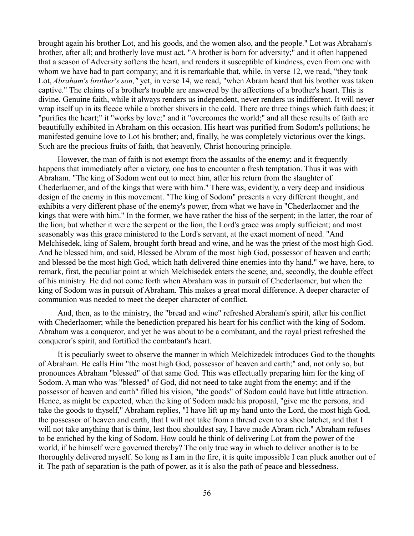brought again his brother Lot, and his goods, and the women also, and the people." Lot was Abraham's brother, after all; and brotherly love must act. "A brother is born for adversity;" and it often happened that a season of Adversity softens the heart, and renders it susceptible of kindness, even from one with whom we have had to part company; and it is remarkable that, while, in verse 12, we read, "they took Lot, *Abraham's brother's son,"* yet, in verse 14, we read, "when Abram heard that his brother was taken captive." The claims of a brother's trouble are answered by the affections of a brother's heart. This is divine. Genuine faith, while it always renders us independent, never renders us indifferent. It will never wrap itself up in its fleece while a brother shivers in the cold. There are three things which faith does; it "purifies the heart;" it "works by love;" and it "overcomes the world;" and all these results of faith are beautifully exhibited in Abraham on this occasion. His heart was purified from Sodom's pollutions; he manifested genuine love to Lot his brother; and, finally, he was completely victorious over the kings. Such are the precious fruits of faith, that heavenly, Christ honouring principle.

However, the man of faith is not exempt from the assaults of the enemy; and it frequently happens that immediately after a victory, one has to encounter a fresh temptation. Thus it was with Abraham. "The king of Sodom went out to meet him, after his return from the slaughter of Chederlaomer, and of the kings that were with him." There was, evidently, a very deep and insidious design of the enemy in this movement. "The king of Sodom" presents a very different thought, and exhibits a very different phase of the enemy's power, from what we have in "Chederlaomer and the kings that were with him." In the former, we have rather the hiss of the serpent; in the latter, the roar of the lion; but whether it were the serpent or the lion, the Lord's grace was amply sufficient; and most seasonably was this grace ministered to the Lord's servant, at the exact moment of need. "And Melchisedek, king of Salem, brought forth bread and wine, and he was the priest of the most high God. And he blessed him, and said, Blessed be Abram of the most high God, possessor of heaven and earth; and blessed be the most high God, which hath delivered thine enemies into thy hand." we have, here, to remark, first, the peculiar point at which Melchisedek enters the scene; and, secondly, the double effect of his ministry. He did not come forth when Abraham was in pursuit of Chederlaomer, but when the king of Sodom was in pursuit of Abraham. This makes a great moral difference. A deeper character of communion was needed to meet the deeper character of conflict.

And, then, as to the ministry, the "bread and wine" refreshed Abraham's spirit, after his conflict with Chederlaomer; while the benediction prepared his heart for his conflict with the king of Sodom. Abraham was a conqueror, and yet he was about to be a combatant, and the royal priest refreshed the conqueror's spirit, and fortified the combatant's heart.

It is peculiarly sweet to observe the manner in which Melchizedek introduces God to the thoughts of Abraham. He calls Him "the most high God, possessor of heaven and earth;" and, not only so, but pronounces Abraham "blessed" of that same God. This was effectually preparing him for the king of Sodom. A man who was "blessed" of God, did not need to take aught from the enemy; and if the possessor of heaven and earth" filled his vision, "the goods" of Sodom could have but little attraction. Hence, as might be expected, when the king of Sodom made his proposal, "give me the persons, and take the goods to thyself," Abraham replies, "I have lift up my hand unto the Lord, the most high God, the possessor of heaven and earth, that I will not take from a thread even to a shoe latchet, and that I will not take anything that is thine, lest thou shouldest say, I have made Abram rich." Abraham refuses to be enriched by the king of Sodom. How could he think of delivering Lot from the power of the world, if he himself were governed thereby? The only true way in which to deliver another is to be thoroughly delivered myself. So long as I am in the fire, it is quite impossible I can pluck another out of it. The path of separation is the path of power, as it is also the path of peace and blessedness.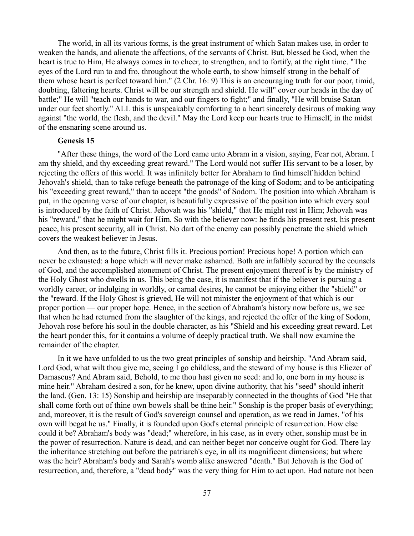The world, in all its various forms, is the great instrument of which Satan makes use, in order to weaken the hands, and alienate the affections, of the servants of Christ. But, blessed be God, when the heart is true to Him, He always comes in to cheer, to strengthen, and to fortify, at the right time. "The eyes of the Lord run to and fro, throughout the whole earth, to show himself strong in the behalf of them whose heart is perfect toward him." (2 Chr. 16: 9) This is an encouraging truth for our poor, timid, doubting, faltering hearts. Christ will be our strength and shield. He will" cover our heads in the day of battle;" He will "teach our hands to war, and our fingers to fight;" and finally, "He will bruise Satan under our feet shortly." ALL this is unspeakably comforting to a heart sincerely desirous of making way against "the world, the flesh, and the devil." May the Lord keep our hearts true to Himself, in the midst of the ensnaring scene around us.

### **Genesis 15**

"After these things, the word of the Lord came unto Abram in a vision, saying, Fear not, Abram. I am thy shield, and thy exceeding great reward." The Lord would not suffer His servant to be a loser, by rejecting the offers of this world. It was infinitely better for Abraham to find himself hidden behind Jehovah's shield, than to take refuge beneath the patronage of the king of Sodom; and to be anticipating his "exceeding great reward," than to accept "the goods" of Sodom. The position into which Abraham is put, in the opening verse of our chapter, is beautifully expressive of the position into which every soul is introduced by the faith of Christ. Jehovah was his "shield," that He might rest in Him; Jehovah was his "reward," that he might wait for Him. So with the believer now: he finds his present rest, his present peace, his present security, all in Christ. No dart of the enemy can possibly penetrate the shield which covers the weakest believer in Jesus.

And then, as to the future, Christ fills it. Precious portion! Precious hope! A portion which can never be exhausted: a hope which will never make ashamed. Both are infallibly secured by the counsels of God, and the accomplished atonement of Christ. The present enjoyment thereof is by the ministry of the Holy Ghost who dwells in us. This being the case, it is manifest that if the believer is pursuing a worldly career, or indulging in worldly, or carnal desires, he cannot be enjoying either the "shield" or the "reward. If the Holy Ghost is grieved, He will not minister the enjoyment of that which is our proper portion — our proper hope. Hence, in the section of Abraham's history now before us, we see that when he had returned from the slaughter of the kings, and rejected the offer of the king of Sodom, Jehovah rose before his soul in the double character, as his "Shield and his exceeding great reward. Let the heart ponder this, for it contains a volume of deeply practical truth. We shall now examine the remainder of the chapter.

In it we have unfolded to us the two great principles of sonship and heirship. "And Abram said, Lord God, what wilt thou give me, seeing I go childless, and the steward of my house is this Eliezer of Damascus? And Abram said, Behold, to me thou hast given no seed: and lo, one born in my house is mine heir." Abraham desired a son, for he knew, upon divine authority, that his "seed" should inherit the land. (Gen. 13: 15) Sonship and heirship are inseparably connected in the thoughts of God "He that shall come forth out of thine own bowels shall be thine heir." Sonship is the proper basis of everything; and, moreover, it is the result of God's sovereign counsel and operation, as we read in James, "of his own will begat he us." Finally, it is founded upon God's eternal principle of resurrection. How else could it be? Abraham's body was "dead;" wherefore, in his case, as in every other, sonship must be in the power of resurrection. Nature is dead, and can neither beget nor conceive ought for God. There lay the inheritance stretching out before the patriarch's eye, in all its magnificent dimensions; but where was the heir? Abraham's body and Sarah's womb alike answered "death." But Jehovah is the God of resurrection, and, therefore, a "dead body" was the very thing for Him to act upon. Had nature not been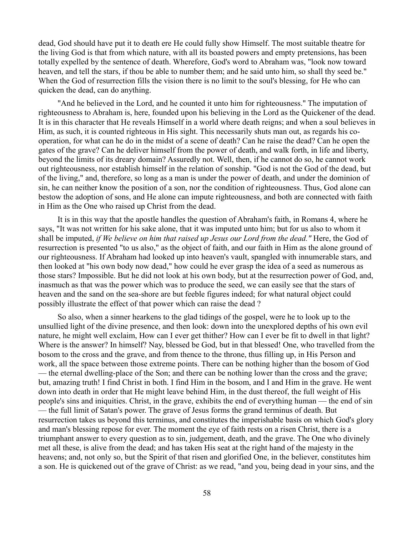dead, God should have put it to death ere He could fully show Himself. The most suitable theatre for the living God is that from which nature, with all its boasted powers and empty pretensions, has been totally expelled by the sentence of death. Wherefore, God's word to Abraham was, "look now toward heaven, and tell the stars, if thou be able to number them; and he said unto him, so shall thy seed be." When the God of resurrection fills the vision there is no limit to the soul's blessing, for He who can quicken the dead, can do anything.

"And he believed in the Lord, and he counted it unto him for righteousness." The imputation of righteousness to Abraham is, here, founded upon his believing in the Lord as the Quickener of the dead. It is in this character that He reveals Himself in a world where death reigns; and when a soul believes in Him, as such, it is counted righteous in His sight. This necessarily shuts man out, as regards his cooperation, for what can he do in the midst of a scene of death? Can he raise the dead? Can he open the gates of the grave? Can he deliver himself from the power of death, and walk forth, in life and liberty, beyond the limits of its dreary domain? Assuredly not. Well, then, if he cannot do so, he cannot work out righteousness, nor establish himself in the relation of sonship. "God is not the God of the dead, but of the living," and, therefore, so long as a man is under the power of death, and under the dominion of sin, he can neither know the position of a son, nor the condition of righteousness. Thus, God alone can bestow the adoption of sons, and He alone can impute righteousness, and both are connected with faith in Him as the One who raised up Christ from the dead.

It is in this way that the apostle handles the question of Abraham's faith, in Romans 4, where he says, "It was not written for his sake alone, that it was imputed unto him; but for us also to whom it shall be imputed, *if We believe on him that raised up Jesus our Lord from the dead."* Here, the God of resurrection is presented "to us also," as the object of faith, and our faith in Him as the alone ground of our righteousness. If Abraham had looked up into heaven's vault, spangled with innumerable stars, and then looked at "his own body now dead," how could he ever grasp the idea of a seed as numerous as those stars? Impossible. But he did not look at his own body, but at the resurrection power of God, and, inasmuch as that was the power which was to produce the seed, we can easily see that the stars of heaven and the sand on the sea-shore are but feeble figures indeed; for what natural object could possibly illustrate the effect of that power which can raise the dead ?

So also, when a sinner hearkens to the glad tidings of the gospel, were he to look up to the unsullied light of the divine presence, and then look: down into the unexplored depths of his own evil nature, he might well exclaim, How can I ever get thither? How can I ever be fit to dwell in that light? Where is the answer? In himself? Nay, blessed be God, but in that blessed! One, who travelled from the bosom to the cross and the grave, and from thence to the throne, thus filling up, in His Person and work, all the space between those extreme points. There can be nothing higher than the bosom of God — the eternal dwelling-place of the Son; and there can be nothing lower than the cross and the grave; but, amazing truth! I find Christ in both. I find Him in the bosom, and I and Him in the grave. He went down into death in order that He might leave behind Him, in the dust thereof, the full weight of His people's sins and iniquities. Christ, in the grave, exhibits the end of everything human — the end of sin — the full limit of Satan's power. The grave of Jesus forms the grand terminus of death. But resurrection takes us beyond this terminus, and constitutes the imperishable basis on which God's glory and man's blessing repose for ever. The moment the eye of faith rests on a risen Christ, there is a triumphant answer to every question as to sin, judgement, death, and the grave. The One who divinely met all these, is alive from the dead; and has taken His seat at the right hand of the majesty in the heavens; and, not only so, but the Spirit of that risen and glorified One, in the believer, constitutes him a son. He is quickened out of the grave of Christ: as we read, "and you, being dead in your sins, and the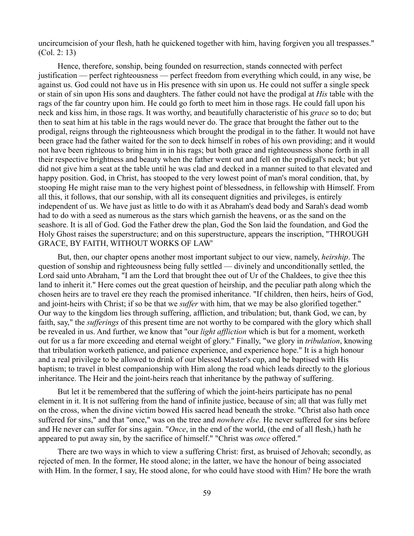uncircumcision of your flesh, hath he quickened together with him, having forgiven you all trespasses." (Col. 2: 13)

Hence, therefore, sonship, being founded on resurrection, stands connected with perfect justification — perfect righteousness — perfect freedom from everything which could, in any wise, be against us. God could not have us in His presence with sin upon us. He could not suffer a single speck or stain of sin upon His sons and daughters. The father could not have the prodigal at *His* table with the rags of the far country upon him. He could go forth to meet him in those rags. He could fall upon his neck and kiss him, in those rags. It was worthy, and beautifully characteristic of his *grace* so to do; but then to seat him at his table in the rags would never do. The grace that brought the father out to the prodigal, reigns through the righteousness which brought the prodigal in to the father. It would not have been grace had the father waited for the son to deck himself in robes of his own providing; and it would not have been righteous to bring him in in his rags; but both grace and righteousness shone forth in all their respective brightness and beauty when the father went out and fell on the prodigal's neck; but yet did not give him a seat at the table until he was clad and decked in a manner suited to that elevated and happy position. God, in Christ, has stooped to the very lowest point of man's moral condition, that, by stooping He might raise man to the very highest point of blessedness, in fellowship with Himself. From all this, it follows, that our sonship, with all its consequent dignities and privileges, is entirely independent of us. We have just as little to do with it as Abraham's dead body and Sarah's dead womb had to do with a seed as numerous as the stars which garnish the heavens, or as the sand on the seashore. It is all of God. God the Father drew the plan, God the Son laid the foundation, and God the Holy Ghost raises the superstructure; and on this superstructure, appears the inscription, "THROUGH GRACE, BY FAITH, WITHOUT WORKS OF LAW'

But, then, our chapter opens another most important subject to our view, namely, *heirship*. The question of sonship and righteousness being fully settled — divinely and unconditionally settled, the Lord said unto Abraham, "I am the Lord that brought thee out of Ur of the Chaldees, to give thee this land to inherit it." Here comes out the great question of heirship, and the peculiar path along which the chosen heirs are to travel ere they reach the promised inheritance. "If children, then heirs, heirs of God, and joint-heirs with Christ; if so be that we *suffer* with him, that we may be also glorified together." Our way to the kingdom lies through suffering, affliction, and tribulation; but, thank God, we can, by faith, say," the *sufferings* of this present time are not worthy to be compared with the glory which shall be revealed in us. And further, we know that "our *light affliction* which is but for a moment, worketh out for us a far more exceeding and eternal weight of glory." Finally, "we glory in *tribulation*, knowing that tribulation worketh patience, and patience experience, and experience hope." It is a high honour and a real privilege to be allowed to drink of our blessed Master's cup, and be baptised with His baptism; to travel in blest companionship with Him along the road which leads directly to the glorious inheritance. The Heir and the joint-heirs reach that inheritance by the pathway of suffering.

But let it be remembered that the suffering of which the joint-heirs participate has no penal element in it. It is not suffering from the hand of infinite justice, because of sin; all that was fully met on the cross, when the divine victim bowed His sacred head beneath the stroke. "Christ also hath once suffered for sins," and that "once," was on the tree and *nowhere else.* He never suffered for sins before and He never can suffer for sins again. "*Once*, in the end of the world, (the end of all flesh,) hath he appeared to put away sin, by the sacrifice of himself." "Christ was *once* offered."

There are two ways in which to view a suffering Christ: first, as bruised of Jehovah; secondly, as rejected of men. In the former, He stood alone; in the latter, we have the honour of being associated with Him. In the former, I say, He stood alone, for who could have stood with Him? He bore the wrath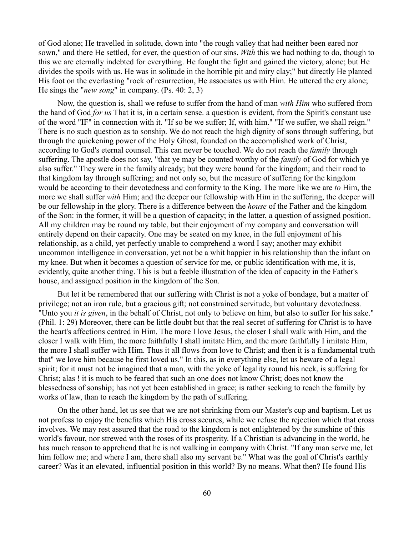of God alone; He travelled in solitude, down into "the rough valley that had neither been eared nor sown," and there He settled, for ever, the question of our sins. *With* this we had nothing to do, though to this we are eternally indebted for everything. He fought the fight and gained the victory, alone; but He divides the spoils with us. He was in solitude in the horrible pit and miry clay;" but directly He planted His foot on the everlasting "rock of resurrection, He associates us with Him. He uttered the cry alone; He sings the "*new song*" in company. (Ps. 40: 2, 3)

Now, the question is, shall we refuse to suffer from the hand of man *with Him* who suffered from the hand of God *for us* That it is, in a certain sense. a question is evident, from the Spirit's constant use of the word "IF" in connection with it. "If so be we suffer; If, with him." "If we suffer, we shall reign." There is no such question as to sonship. We do not reach the high dignity of sons through suffering, but through the quickening power of the Holy Ghost, founded on the accomplished work of Christ, according to God's eternal counsel. This can never be touched. We do not reach the *family* through suffering. The apostle does not say, "that ye may be counted worthy of the *family* of God for which ye also suffer." They were in the family already; but they were bound for the kingdom; and their road to that kingdom lay through suffering; and not only so, but the measure of suffering for the kingdom would be according to their devotedness and conformity to the King. The more like we are *to* Him, the more we shall suffer *with* Him; and the deeper our fellowship with Him in the suffering, the deeper will be our fellowship in the glory. There is a difference between the *house* of the Father and the kingdom of the Son: in the former, it will be a question of capacity; in the latter, a question of assigned position. All my children may be round my table, but their enjoyment of my company and conversation will entirely depend on their capacity. One may be seated on my knee, in the full enjoyment of his relationship, as a child, yet perfectly unable to comprehend a word I say; another may exhibit uncommon intelligence in conversation, yet not be a whit happier in his relationship than the infant on my knee. But when it becomes a question of service for me, or public identification with me, it is, evidently, quite another thing. This is but a feeble illustration of the idea of capacity in the Father's house, and assigned position in the kingdom of the Son.

But let it be remembered that our suffering with Christ is not a yoke of bondage, but a matter of privilege; not an iron rule, but a gracious gift; not constrained servitude, but voluntary devotedness. "Unto you *it is given*, in the behalf of Christ, not only to believe on him, but also to suffer for his sake." (Phil. 1: 29) Moreover, there can be little doubt but that the real secret of suffering for Christ is to have the heart's affections centred in Him. The more I love Jesus, the closer I shall walk with Him, and the closer I walk with Him, the more faithfully I shall imitate Him, and the more faithfully I imitate Him, the more I shall suffer with Him. Thus it all flows from love to Christ; and then it is a fundamental truth that" we love him because he first loved us." In this, as in everything else, let us beware of a legal spirit; for it must not be imagined that a man, with the yoke of legality round his neck, is suffering for Christ; alas ! it is much to be feared that such an one does not know Christ; does not know the blessedness of sonship; has not yet been established in grace; is rather seeking to reach the family by works of law, than to reach the kingdom by the path of suffering.

On the other hand, let us see that we are not shrinking from our Master's cup and baptism. Let us not profess to enjoy the benefits which His cross secures, while we refuse the rejection which that cross involves. We may rest assured that the road to the kingdom is not enlightened by the sunshine of this world's favour, nor strewed with the roses of its prosperity. If a Christian is advancing in the world, he has much reason to apprehend that he is not walking in company with Christ. "If any man serve me, let him follow me; and where I am, there shall also my servant be." What was the goal of Christ's earthly career? Was it an elevated, influential position in this world? By no means. What then? He found His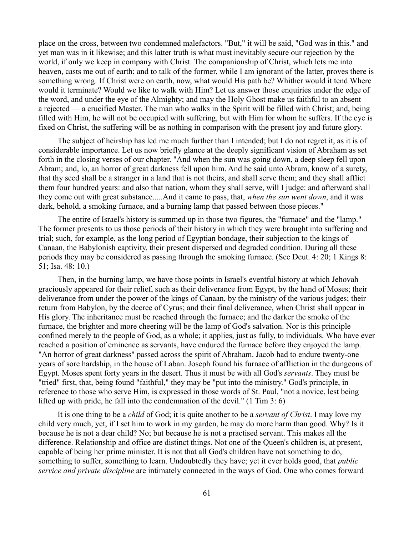place on the cross, between two condemned malefactors. "But," it will be said, "God was in this." and yet man was in it likewise; and this latter truth is what must inevitably secure our rejection by the world, if only we keep in company with Christ. The companionship of Christ, which lets me into heaven, casts me out of earth; and to talk of the former, while I am ignorant of the latter, proves there is something wrong. If Christ were on earth, now, what would His path be? Whither would it tend Where would it terminate? Would we like to walk with Him? Let us answer those enquiries under the edge of the word, and under the eye of the Almighty; and may the Holy Ghost make us faithful to an absent a rejected — a crucified Master. The man who walks in the Spirit will be filled with Christ; and, being filled with Him, he will not be occupied with suffering, but with Him for whom he suffers. If the eye is fixed on Christ, the suffering will be as nothing in comparison with the present joy and future glory.

The subject of heirship has led me much further than I intended; but I do not regret it, as it is of considerable importance. Let us now briefly glance at the deeply significant vision of Abraham as set forth in the closing verses of our chapter. "And when the sun was going down, a deep sleep fell upon Abram; and, lo, an horror of great darkness fell upon him. And he said unto Abram, know of a surety, that thy seed shall be a stranger in a land that is not theirs, and shall serve them; and they shall afflict them four hundred years: and also that nation, whom they shall serve, will I judge: and afterward shall they come out with great substance.....And it came to pass, that, *when the sun went down*, and it was dark, behold, a smoking furnace, and a burning lamp that passed between those pieces."

The entire of Israel's history is summed up in those two figures, the "furnace" and the "lamp." The former presents to us those periods of their history in which they were brought into suffering and trial; such, for example, as the long period of Egyptian bondage, their subjection to the kings of Canaan, the Babylonish captivity, their present dispersed and degraded condition. During all these periods they may be considered as passing through the smoking furnace. (See Deut. 4: 20; 1 Kings 8: 51; Isa. 48: 10.)

Then, in the burning lamp, we have those points in Israel's eventful history at which Jehovah graciously appeared for their relief, such as their deliverance from Egypt, by the hand of Moses; their deliverance from under the power of the kings of Canaan, by the ministry of the various judges; their return from Babylon, by the decree of Cyrus; and their final deliverance, when Christ shall appear in His glory. The inheritance must be reached through the furnace; and the darker the smoke of the furnace, the brighter and more cheering will be the lamp of God's salvation. Nor is this principle confined merely to the people of God, as a whole; it applies, just as fully, to individuals. Who have ever reached a position of eminence as servants, have endured the furnace before they enjoyed the lamp. "An horror of great darkness" passed across the spirit of Abraham. Jacob had to endure twenty-one years of sore hardship, in the house of Laban. Joseph found his furnace of affliction in the dungeons of Egypt. Moses spent forty years in the desert. Thus it must be with all God's *servants*. They must be "tried" first, that, being found "faithful," they may be "put into the ministry." God's principle, in reference to those who serve Him, is expressed in those words of St. Paul, "not a novice, lest being lifted up with pride, he fall into the condemnation of the devil." (1 Tim 3: 6)

It is one thing to be a *child* of God; it is quite another to be a *servant of Christ*. I may love my child very much, yet, if I set him to work in my garden, he may do more harm than good. Why? Is it because he is not a dear child? No; but because he is not a practised servant. This makes all the difference. Relationship and office are distinct things. Not one of the Queen's children is, at present, capable of being her prime minister. It is not that all God's children have not something to do, something to suffer, something to learn. Undoubtedly they have; yet it ever holds good, that *public service and private discipline* are intimately connected in the ways of God. One who comes forward